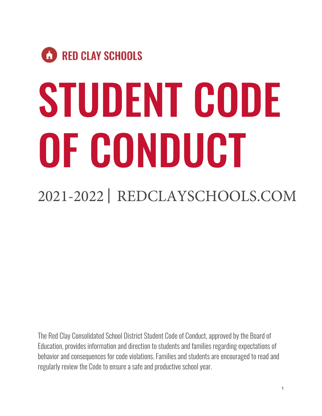# **CO** RED CLAY SCHOOLS STUDENT CODE OF CONDUCT

# 2021-2022 | REDCLAYSCHOOLS.COM

The Red Clay Consolidated School District Student Code of Conduct, approved by the Board of Education, provides information and direction to students and families regarding expectations of behavior and consequences for code violations. Families and students are encouraged to read and regularly review the Code to ensure a safe and productive school year.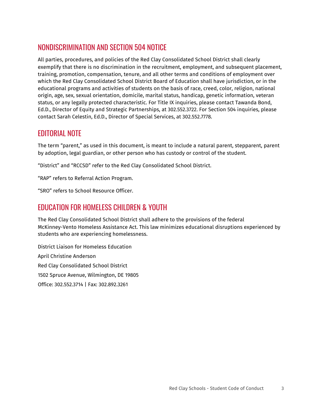# NONDISCRIMINATION AND SECTION 504 NOTICE

All parties, procedures, and policies of the Red Clay Consolidated School District shall clearly exemplify that there is no discrimination in the recruitment, employment, and subsequent placement, training, promotion, compensation, tenure, and all other terms and conditions of employment over which the Red Clay Consolidated School District Board of Education shall have jurisdiction, or in the educational programs and activities of students on the basis of race, creed, color, religion, national origin, age, sex, sexual orientation, domicile, marital status, handicap, genetic information, veteran status, or any legally protected characteristic. For Title IX inquiries, please contact Tawanda Bond, Ed.D., Director of Equity and Strategic Partnerships, at 302.552.3722. For Section 504 inquiries, please contact Sarah Celestin, Ed.D., Director of Special Services, at 302.552.7778.

## EDITORIAL NOTE

The term "parent," as used in this document, is meant to include a natural parent, stepparent, parent by adoption, legal guardian, or other person who has custody or control of the student.

"District" and "RCCSD" refer to the Red Clay Consolidated School District.

"RAP" refers to Referral Action Program.

"SRO" refers to School Resource Officer.

### EDUCATION FOR HOMELESS CHILDREN & YOUTH

The Red Clay Consolidated School District shall adhere to the provisions of the federal McKinney-Vento Homeless Assistance Act. This law minimizes educational disruptions experienced by students who are experiencing homelessness.

District Liaison for Homeless Education April Christine Anderson Red Clay Consolidated School District 1502 Spruce Avenue, Wilmington, DE 19805 Office: 302.552.3714 | Fax: 302.892.3261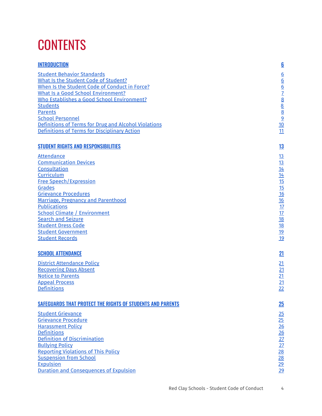# **CONTENTS**

| <b>INTRODUCTION</b>                                        | $6 \overline{6}$                                                        |
|------------------------------------------------------------|-------------------------------------------------------------------------|
| <b>Student Behavior Standards</b>                          |                                                                         |
| What Is the Student Code of Student?                       | 0<br>0<br>0<br>2<br>0<br>2<br>0<br>0<br>0<br>0<br>0<br>0<br>0<br>0<br>0 |
| When Is the Student Code of Conduct in Force?              |                                                                         |
| <b>What Is a Good School Environment?</b>                  |                                                                         |
| Who Establishes a Good School Environment?                 |                                                                         |
| <b>Students</b>                                            |                                                                         |
| <b>Parents</b>                                             |                                                                         |
| <b>School Personnel</b>                                    |                                                                         |
| Definitions of Terms for Drug and Alcohol Violations       |                                                                         |
| <b>Definitions of Terms for Disciplinary Action</b>        | 11                                                                      |
| <b>STUDENT RIGHTS AND RESPONSIBILITIES</b>                 | <u>13</u>                                                               |
| <b>Attendance</b>                                          | <u>13</u>                                                               |
| <b>Communication Devices</b>                               | 13                                                                      |
| Consultation                                               |                                                                         |
| Curriculum                                                 |                                                                         |
| <b>Free Speech/Expression</b>                              |                                                                         |
| <b>Grades</b>                                              | $\frac{14}{14}$ $\frac{15}{15}$                                         |
| <b>Grievance Procedures</b>                                |                                                                         |
| Marriage, Pregnancy and Parenthood                         |                                                                         |
| <b>Publications</b>                                        | $\frac{16}{16}$ $\frac{17}{12}$ $\frac{18}{18}$                         |
| <b>School Climate / Environment</b>                        |                                                                         |
| <b>Search and Seizure</b>                                  |                                                                         |
| <b>Student Dress Code</b>                                  |                                                                         |
| <b>Student Government</b>                                  | <u>19</u>                                                               |
| <b>Student Records</b>                                     | 19                                                                      |
| <b>SCHOOL ATTENDANCE</b>                                   | 21                                                                      |
| <b>District Attendance Policy</b>                          | 21                                                                      |
| <b>Recovering Days Absent</b>                              | 21                                                                      |
| <b>Notice to Parents</b>                                   |                                                                         |
| <b>Appeal Process</b>                                      | $\frac{21}{21}$                                                         |
| <b>Definitions</b>                                         |                                                                         |
| SAFEGUARDS THAT PROTECT THE RIGHTS OF STUDENTS AND PARENTS | 25                                                                      |
| <b>Student Grievance</b>                                   | 25                                                                      |
| <b>Grievance Procedure</b>                                 |                                                                         |
| <b>Harassment Policy</b>                                   |                                                                         |
| <b>Definitions</b>                                         |                                                                         |
| Definition of Discrimination                               |                                                                         |
| <b>Bullying Policy</b>                                     |                                                                         |
| <b>Reporting Violations of This Policy</b>                 |                                                                         |
| <b>Suspension from School</b>                              |                                                                         |
| <b>Expulsion</b>                                           | 25 26 26 27 27 28 29 29                                                 |
| <b>Duration and Consequences of Expulsion</b>              |                                                                         |
|                                                            |                                                                         |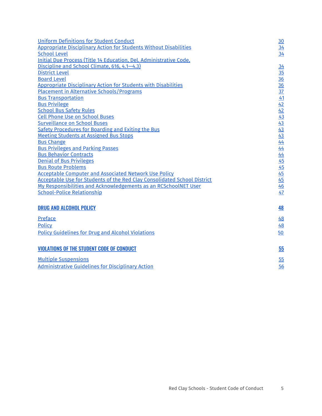| <b>Uniform Definitions for Student Conduct</b>                                  | 30                                                    |
|---------------------------------------------------------------------------------|-------------------------------------------------------|
| <b>Appropriate Disciplinary Action for Students Without Disabilities</b>        | 34                                                    |
| <b>School Level</b>                                                             | 34                                                    |
| Initial Due Process (Title 14 Education, Del. Administrative Code,              |                                                       |
| Discipline and School Climate, 616, 4.1-4.3)                                    | 34                                                    |
| <b>District Level</b>                                                           | 35                                                    |
| <b>Board Level</b>                                                              |                                                       |
| <b>Appropriate Disciplinary Action for Students with Disabilities</b>           | $\frac{36}{36}$                                       |
| <b>Placement in Alternative Schools/Programs</b>                                | $\frac{37}{2}$                                        |
| <b>Bus Transportation</b>                                                       |                                                       |
| <b>Bus Privilege</b>                                                            |                                                       |
| <b>School Bus Safety Rules</b>                                                  |                                                       |
| <b>Cell Phone Use on School Buses</b>                                           | $\frac{41}{42}$<br>$\frac{42}{43}$                    |
| <b>Surveillance on School Buses</b>                                             |                                                       |
| Safety Procedures for Boarding and Exiting the Bus                              |                                                       |
| <b>Meeting Students at Assigned Bus Stops</b>                                   |                                                       |
| <b>Bus Change</b>                                                               | $\frac{43}{43}$<br>$\frac{43}{44}$<br>$\frac{44}{44}$ |
| <b>Bus Privileges and Parking Passes</b>                                        |                                                       |
| <b>Bus Behavior Contracts</b>                                                   | 44                                                    |
| <b>Denial of Bus Privileges</b>                                                 | 45                                                    |
| <b>Bus Route Problems</b>                                                       | 45                                                    |
| <b>Acceptable Computer and Associated Network Use Policy</b>                    | 45                                                    |
| <b>Acceptable Use for Students of the Red Clay Consolidated School District</b> | 45                                                    |
| My Responsibilities and Acknowledgements as an RCSchoolNET User                 | 46                                                    |
| <b>School-Police Relationship</b>                                               | 47                                                    |
| <b>DRUG AND ALCOHOL POLICY</b>                                                  | 48                                                    |
| Preface                                                                         | 48                                                    |
| <b>Policy</b>                                                                   | 48                                                    |
|                                                                                 |                                                       |
| <b>Policy Guidelines for Drug and Alcohol Violations</b>                        | 50                                                    |
| <b>VIOLATIONS OF THE STUDENT CODE OF CONDUCT</b>                                | 55                                                    |
| <b>Multiple Suspensions</b>                                                     | 55                                                    |
| <b>Administrative Guidelines for Disciplinary Action</b>                        | 56                                                    |
|                                                                                 |                                                       |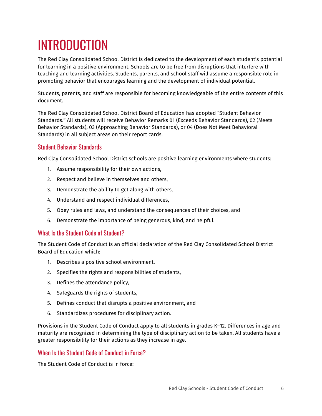# <span id="page-5-0"></span>INTRODUCTION

The Red Clay Consolidated School District is dedicated to the development of each student's potential for learning in a positive environment. Schools are to be free from disruptions that interfere with teaching and learning activities. Students, parents, and school staff will assume a responsible role in promoting behavior that encourages learning and the development of individual potential.

Students, parents, and staff are responsible for becoming knowledgeable of the entire contents of this document.

The Red Clay Consolidated School District Board of Education has adopted "Student Behavior Standards." All students will receive Behavior Remarks 01 (Exceeds Behavior Standards), 02 (Meets Behavior Standards), 03 (Approaching Behavior Standards), or 04 (Does Not Meet Behavioral Standards) in all subject areas on their report cards.

### <span id="page-5-1"></span>Student Behavior Standards

Red Clay Consolidated School District schools are positive learning environments where students:

- 1. Assume responsibility for their own actions,
- 2. Respect and believe in themselves and others,
- 3. Demonstrate the ability to get along with others,
- 4. Understand and respect individual differences,
- 5. Obey rules and laws, and understand the consequences of their choices, and
- 6. Demonstrate the importance of being generous, kind, and helpful.

### <span id="page-5-2"></span>What Is the Student Code of Student?

The Student Code of Conduct is an official declaration of the Red Clay Consolidated School District Board of Education which:

- 1. Describes a positive school environment,
- 2. Specifies the rights and responsibilities of students,
- 3. Defines the attendance policy,
- 4. Safeguards the rights of students,
- 5. Defines conduct that disrupts a positive environment, and
- 6. Standardizes procedures for disciplinary action.

Provisions in the Student Code of Conduct apply to all students in grades K–12. Differences in age and maturity are recognized in determining the type of disciplinary action to be taken. All students have a greater responsibility for their actions as they increase in age.

### <span id="page-5-3"></span>When Is the Student Code of Conduct in Force?

The Student Code of Conduct is in force: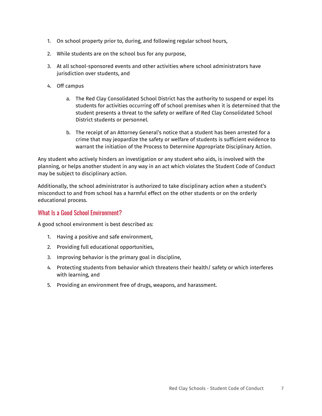- 1. On school property prior to, during, and following regular school hours,
- 2. While students are on the school bus for any purpose,
- 3. At all school-sponsored events and other activities where school administrators have jurisdiction over students, and
- 4. Off campus
	- a. The Red Clay Consolidated School District has the authority to suspend or expel its students for activities occurring off of school premises when it is determined that the student presents a threat to the safety or welfare of Red Clay Consolidated School District students or personnel.
	- b. The receipt of an Attorney General's notice that a student has been arrested for a crime that may jeopardize the safety or welfare of students is sufficient evidence to warrant the initiation of the Process to Determine Appropriate Disciplinary Action.

Any student who actively hinders an investigation or any student who aids, is involved with the planning, or helps another student in any way in an act which violates the Student Code of Conduct may be subject to disciplinary action.

Additionally, the school administrator is authorized to take disciplinary action when a student's misconduct to and from school has a harmful effect on the other students or on the orderly educational process.

### <span id="page-6-0"></span>What Is a Good School Environment?

A good school environment is best described as:

- 1. Having a positive and safe environment,
- 2. Providing full educational opportunities,
- 3. Improving behavior is the primary goal in discipline,
- 4. Protecting students from behavior which threatens their health/ safety or which interferes with learning, and
- 5. Providing an environment free of drugs, weapons, and harassment.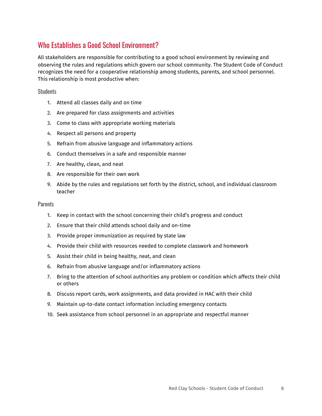# <span id="page-7-0"></span>Who Establishes a Good School Environment?

All stakeholders are responsible for contributing to a good school environment by reviewing and observing the rules and regulations which govern our school community. The Student Code of Conduct recognizes the need for a cooperative relationship among students, parents, and school personnel. This relationship is most productive when:

#### <span id="page-7-1"></span>**Students**

- 1. Attend all classes daily and on time
- 2. Are prepared for class assignments and activities
- 3. Come to class with appropriate working materials
- 4. Respect all persons and property
- 5. Refrain from abusive language and inflammatory actions
- 6. Conduct themselves in a safe and responsible manner
- 7. Are healthy, clean, and neat
- 8. Are responsible for their own work
- 9. Abide by the rules and regulations set forth by the district, school, and individual classroom teacher

#### <span id="page-7-2"></span>**Parents**

- 1. Keep in contact with the school concerning their child's progress and conduct
- 2. Ensure that their child attends school daily and on-time
- 3. Provide proper immunization as required by state law
- 4. Provide their child with resources needed to complete classwork and homework
- 5. Assist their child in being healthy, neat, and clean
- 6. Refrain from abusive language and/or inflammatory actions
- 7. Bring to the attention of school authorities any problem or condition which affects their child or others
- 8. Discuss report cards, work assignments, and data provided in HAC with their child
- 9. Maintain up-to-date contact information including emergency contacts
- 10. Seek assistance from school personnel in an appropriate and respectful manner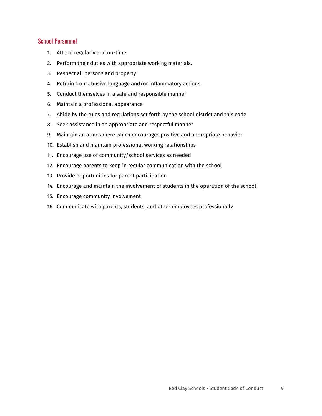### <span id="page-8-0"></span>School Personnel

- 1. Attend regularly and on-time
- 2. Perform their duties with appropriate working materials.
- 3. Respect all persons and property
- 4. Refrain from abusive language and/or inflammatory actions
- 5. Conduct themselves in a safe and responsible manner
- 6. Maintain a professional appearance
- 7. Abide by the rules and regulations set forth by the school district and this code
- 8. Seek assistance in an appropriate and respectful manner
- 9. Maintain an atmosphere which encourages positive and appropriate behavior
- 10. Establish and maintain professional working relationships
- 11. Encourage use of community/school services as needed
- 12. Encourage parents to keep in regular communication with the school
- 13. Provide opportunities for parent participation
- 14. Encourage and maintain the involvement of students in the operation of the school
- 15. Encourage community involvement
- 16. Communicate with parents, students, and other employees professionally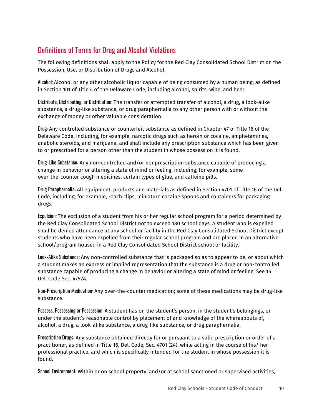# <span id="page-9-0"></span>Definitions of Terms for Drug and Alcohol Violations

The following definitions shall apply to the Policy for the Red Clay Consolidated School District on the Possession, Use, or Distribution of Drugs and Alcohol.

Alcohol: Alcohol or any other alcoholic liquor capable of being consumed by a human being, as defined in Section 101 of Title 4 of the Delaware Code, including alcohol, spirits, wine, and beer.

Distribute, Distributing, or Distribution: The transfer or attempted transfer of alcohol, a drug, a look-alike substance, a drug-like substance, or drug paraphernalia to any other person with or without the exchange of money or other valuable consideration.

Drug: Any controlled substance or counterfeit substance as defined in Chapter 47 of Title 16 of the Delaware Code, including, for example, narcotic drugs such as heroin or cocaine, amphetamines, anabolic steroids, and marijuana, and shall include any prescription substance which has been given to or prescribed for a person other than the student in whose possession it is found.

Drug-Like Substance: Any non-controlled and/or nonprescription substance capable of producing a change in behavior or altering a state of mind or feeling, including, for example, some over-the-counter cough medicines, certain types of glue, and caffeine pills.

Drug Paraphernalia: All equipment, products and materials as defined in Section 4701 of Title 16 of the Del. Code, including, for example, roach clips, miniature cocaine spoons and containers for packaging drugs.

Expulsion: The exclusion of a student from his or her regular school program for a period determined by the Red Clay Consolidated School District not to exceed 180 school days. A student who is expelled shall be denied attendance at any school or facility in the Red Clay Consolidated School District except students who have been expelled from their regular school program and are placed in an alternative school/program housed in a Red Clay Consolidated School District school or facility.

Look-Alike Substance: Any non-controlled substance that is packaged so as to appear to be, or about which a student makes an express or implied representation that the substance is a drug or non-controlled substance capable of producing a change in behavior or altering a state of mind or feeling. See 16 Del. Code Sec. 4752A.

Non-Prescription Medication: Any over-the-counter medication; some of these medications may be drug-like substance.

Possess, Possessing or Possession: A student has on the student's person, in the student's belongings, or under the student's reasonable control by placement of and knowledge of the whereabouts of, alcohol, a drug, a look-alike substance, a drug-like substance, or drug paraphernalia.

Prescription Drugs: Any substance obtained directly for or pursuant to a valid prescription or order of a practitioner, as defined in Title 16, Del. Code, Sec. 4701 (24), while acting in the course of his/ her professional practice, and which is specifically intended for the student in whose possession it is found.

School Environment: Within or on school property, and/or at school sanctioned or supervised activities,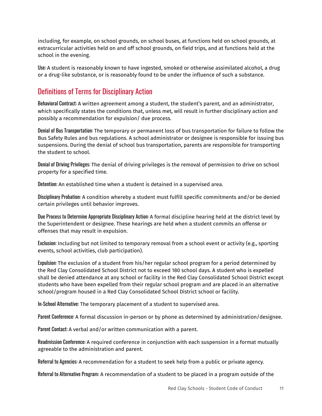including, for example, on school grounds, on school buses, at functions held on school grounds, at extracurricular activities held on and off school grounds, on field trips, and at functions held at the school in the evening.

Use: A student is reasonably known to have ingested, smoked or otherwise assimilated alcohol, a drug or a drug-like substance, or is reasonably found to be under the influence of such a substance.

# <span id="page-10-0"></span>Definitions of Terms for Disciplinary Action

Behavioral Contract: A written agreement among a student, the student's parent, and an administrator, which specifically states the conditions that, unless met, will result in further disciplinary action and possibly a recommendation for expulsion/ due process.

Denial of Bus Transportation: The temporary or permanent loss of bus transportation for failure to follow the Bus Safety Rules and bus regulations. A school administrator or designee is responsible for issuing bus suspensions. During the denial of school bus transportation, parents are responsible for transporting the student to school.

Denial of Driving Privileges: The denial of driving privileges is the removal of permission to drive on school property for a specified time.

Detention: An established time when a student is detained in a supervised area.

Disciplinary Probation: A condition whereby a student must fulfill specific commitments and/or be denied certain privileges until behavior improves.

Due Process to Determine Appropriate Disciplinary Action: A formal discipline hearing held at the district level by the Superintendent or designee. These hearings are held when a student commits an offense or offenses that may result in expulsion.

Exclusion: Including but not limited to temporary removal from a school event or activity (e.g., sporting events, school activities, club participation).

Expulsion: The exclusion of a student from his/her regular school program for a period determined by the Red Clay Consolidated School District not to exceed 180 school days. A student who is expelled shall be denied attendance at any school or facility in the Red Clay Consolidated School District except students who have been expelled from their regular school program and are placed in an alternative school/program housed in a Red Clay Consolidated School District school or facility.

In-School Alternative: The temporary placement of a student to supervised area.

Parent Conference: A formal discussion in-person or by phone as determined by administration/designee.

Parent Contact: A verbal and/or written communication with a parent.

Readmission Conference: A required conference in conjunction with each suspension in a format mutually agreeable to the administration and parent.

Referral to Agencies: A recommendation for a student to seek help from a public or private agency.

Referral to Alternative Program: A recommendation of a student to be placed in a program outside of the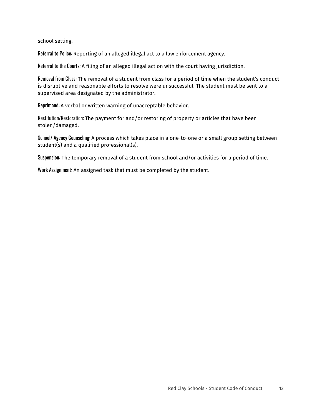school setting.

Referral to Police: Reporting of an alleged illegal act to a law enforcement agency.

Referral to the Courts: A filing of an alleged illegal action with the court having jurisdiction.

Removal from Class: The removal of a student from class for a period of time when the student's conduct is disruptive and reasonable efforts to resolve were unsuccessful. The student must be sent to a supervised area designated by the administrator.

Reprimand: A verbal or written warning of unacceptable behavior.

Restitution/Restoration: The payment for and/or restoring of property or articles that have been stolen/damaged.

School/ Agency Counseling: A process which takes place in a one-to-one or a small group setting between student(s) and a qualified professional(s).

Suspension: The temporary removal of a student from school and/or activities for a period of time.

Work Assignment: An assigned task that must be completed by the student.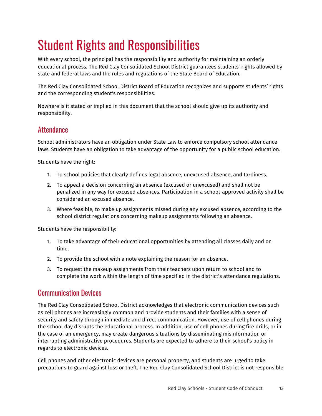# <span id="page-12-0"></span>Student Rights and Responsibilities

With every school, the principal has the responsibility and authority for maintaining an orderly educational process. The Red Clay Consolidated School District guarantees students' rights allowed by state and federal laws and the rules and regulations of the State Board of Education.

The Red Clay Consolidated School District Board of Education recognizes and supports students' rights and the corresponding student's responsibilities.

Nowhere is it stated or implied in this document that the school should give up its authority and responsibility.

## <span id="page-12-1"></span>**Attendance**

School administrators have an obligation under State Law to enforce compulsory school attendance laws. Students have an obligation to take advantage of the opportunity for a public school education.

Students have the right:

- 1. To school policies that clearly defines legal absence, unexcused absence, and tardiness.
- 2. To appeal a decision concerning an absence (excused or unexcused) and shall not be penalized in any way for excused absences. Participation in a school-approved activity shall be considered an excused absence.
- 3. Where feasible, to make up assignments missed during any excused absence, according to the school district regulations concerning makeup assignments following an absence.

Students have the responsibility:

- 1. To take advantage of their educational opportunities by attending all classes daily and on time.
- 2. To provide the school with a note explaining the reason for an absence.
- 3. To request the makeup assignments from their teachers upon return to school and to complete the work within the length of time specified in the district's attendance regulations.

### <span id="page-12-2"></span>Communication Devices

The Red Clay Consolidated School District acknowledges that electronic communication devices such as cell phones are increasingly common and provide students and their families with a sense of security and safety through immediate and direct communication. However, use of cell phones during the school day disrupts the educational process. In addition, use of cell phones during fire drills, or in the case of an emergency, may create dangerous situations by disseminating misinformation or interrupting administrative procedures. Students are expected to adhere to their school's policy in regards to electronic devices.

Cell phones and other electronic devices are personal property, and students are urged to take precautions to guard against loss or theft. The Red Clay Consolidated School District is not responsible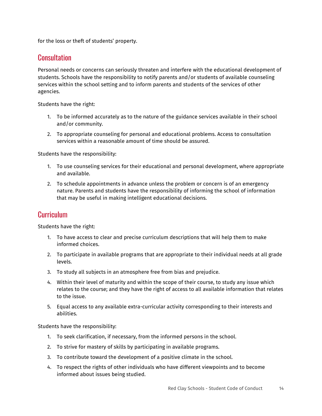for the loss or theft of students' property.

### <span id="page-13-0"></span>**Consultation**

Personal needs or concerns can seriously threaten and interfere with the educational development of students. Schools have the responsibility to notify parents and/or students of available counseling services within the school setting and to inform parents and students of the services of other agencies.

Students have the right:

- 1. To be informed accurately as to the nature of the guidance services available in their school and/or community.
- 2. To appropriate counseling for personal and educational problems. Access to consultation services within a reasonable amount of time should be assured.

Students have the responsibility:

- 1. To use counseling services for their educational and personal development, where appropriate and available.
- 2. To schedule appointments in advance unless the problem or concern is of an emergency nature. Parents and students have the responsibility of informing the school of information that may be useful in making intelligent educational decisions.

### <span id="page-13-1"></span>Curriculum

Students have the right:

- 1. To have access to clear and precise curriculum descriptions that will help them to make informed choices.
- 2. To participate in available programs that are appropriate to their individual needs at all grade levels.
- 3. To study all subjects in an atmosphere free from bias and prejudice.
- 4. Within their level of maturity and within the scope of their course, to study any issue which relates to the course; and they have the right of access to all available information that relates to the issue.
- 5. Equal access to any available extra-curricular activity corresponding to their interests and abilities.

Students have the responsibility:

- 1. To seek clarification, if necessary, from the informed persons in the school.
- 2. To strive for mastery of skills by participating in available programs.
- 3. To contribute toward the development of a positive climate in the school.
- 4. To respect the rights of other individuals who have different viewpoints and to become informed about issues being studied.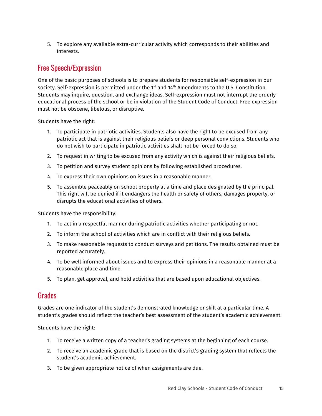5. To explore any available extra-curricular activity which corresponds to their abilities and interests.

# <span id="page-14-0"></span>Free Speech/Expression

One of the basic purposes of schools is to prepare students for responsible self-expression in our society. Self-expression is permitted under the 1 $^{\rm st}$  and 14 $^{\rm th}$  Amendments to the U.S. Constitution. Students may inquire, question, and exchange ideas. Self-expression must not interrupt the orderly educational process of the school or be in violation of the Student Code of Conduct. Free expression must not be obscene, libelous, or disruptive.

Students have the right:

- 1. To participate in patriotic activities. Students also have the right to be excused from any patriotic act that is against their religious beliefs or deep personal convictions. Students who do not wish to participate in patriotic activities shall not be forced to do so.
- 2. To request in writing to be excused from any activity which is against their religious beliefs.
- 3. To petition and survey student opinions by following established procedures.
- 4. To express their own opinions on issues in a reasonable manner.
- 5. To assemble peaceably on school property at a time and place designated by the principal. This right will be denied if it endangers the health or safety of others, damages property, or disrupts the educational activities of others.

Students have the responsibility:

- 1. To act in a respectful manner during patriotic activities whether participating or not.
- 2. To inform the school of activities which are in conflict with their religious beliefs.
- 3. To make reasonable requests to conduct surveys and petitions. The results obtained must be reported accurately.
- 4. To be well informed about issues and to express their opinions in a reasonable manner at a reasonable place and time.
- 5. To plan, get approval, and hold activities that are based upon educational objectives.

### <span id="page-14-1"></span>**Grades**

Grades are one indicator of the student's demonstrated knowledge or skill at a particular time. A student's grades should reflect the teacher's best assessment of the student's academic achievement.

Students have the right:

- 1. To receive a written copy of a teacher's grading systems at the beginning of each course.
- 2. To receive an academic grade that is based on the district's grading system that reflects the student's academic achievement.
- 3. To be given appropriate notice of when assignments are due.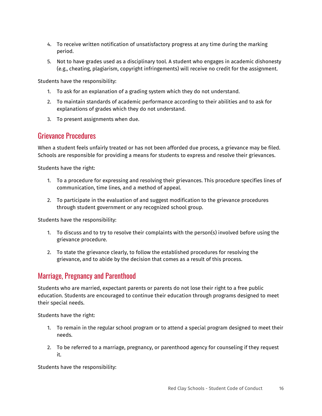- 4. To receive written notification of unsatisfactory progress at any time during the marking period.
- 5. Not to have grades used as a disciplinary tool. A student who engages in academic dishonesty (e.g., cheating, plagiarism, copyright infringements) will receive no credit for the assignment.

Students have the responsibility:

- 1. To ask for an explanation of a grading system which they do not understand.
- 2. To maintain standards of academic performance according to their abilities and to ask for explanations of grades which they do not understand.
- 3. To present assignments when due.

### <span id="page-15-0"></span>Grievance Procedures

When a student feels unfairly treated or has not been afforded due process, a grievance may be filed. Schools are responsible for providing a means for students to express and resolve their grievances.

Students have the right:

- 1. To a procedure for expressing and resolving their grievances. This procedure specifies lines of communication, time lines, and a method of appeal.
- 2. To participate in the evaluation of and suggest modification to the grievance procedures through student government or any recognized school group.

Students have the responsibility:

- 1. To discuss and to try to resolve their complaints with the person(s) involved before using the grievance procedure.
- 2. To state the grievance clearly, to follow the established procedures for resolving the grievance, and to abide by the decision that comes as a result of this process.

# <span id="page-15-1"></span>Marriage, Pregnancy and Parenthood

Students who are married, expectant parents or parents do not lose their right to a free public education. Students are encouraged to continue their education through programs designed to meet their special needs.

Students have the right:

- 1. To remain in the regular school program or to attend a special program designed to meet their needs.
- 2. To be referred to a marriage, pregnancy, or parenthood agency for counseling if they request it.

Students have the responsibility: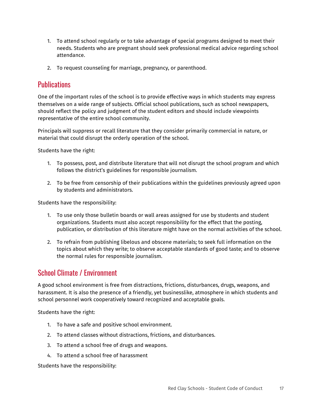- 1. To attend school regularly or to take advantage of special programs designed to meet their needs. Students who are pregnant should seek professional medical advice regarding school attendance.
- 2. To request counseling for marriage, pregnancy, or parenthood.

## <span id="page-16-0"></span>**Publications**

One of the important rules of the school is to provide effective ways in which students may express themselves on a wide range of subjects. Official school publications, such as school newspapers, should reflect the policy and judgment of the student editors and should include viewpoints representative of the entire school community.

Principals will suppress or recall literature that they consider primarily commercial in nature, or material that could disrupt the orderly operation of the school.

Students have the right:

- 1. To possess, post, and distribute literature that will not disrupt the school program and which follows the district's guidelines for responsible journalism.
- 2. To be free from censorship of their publications within the guidelines previously agreed upon by students and administrators.

Students have the responsibility:

- 1. To use only those bulletin boards or wall areas assigned for use by students and student organizations. Students must also accept responsibility for the effect that the posting, publication, or distribution of this literature might have on the normal activities of the school.
- 2. To refrain from publishing libelous and obscene materials; to seek full information on the topics about which they write; to observe acceptable standards of good taste; and to observe the normal rules for responsible journalism.

## <span id="page-16-1"></span>School Climate / Environment

A good school environment is free from distractions, frictions, disturbances, drugs, weapons, and harassment. It is also the presence of a friendly, yet businesslike, atmosphere in which students and school personnel work cooperatively toward recognized and acceptable goals.

Students have the right:

- 1. To have a safe and positive school environment.
- 2. To attend classes without distractions, frictions, and disturbances.
- 3. To attend a school free of drugs and weapons.
- 4. To attend a school free of harassment

Students have the responsibility: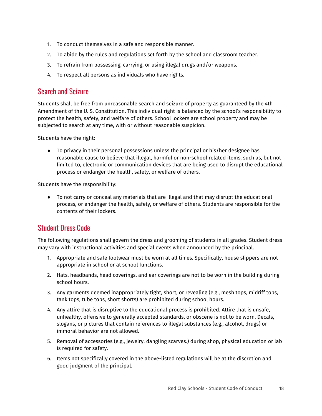- 1. To conduct themselves in a safe and responsible manner.
- 2. To abide by the rules and regulations set forth by the school and classroom teacher.
- 3. To refrain from possessing, carrying, or using illegal drugs and/or weapons.
- 4. To respect all persons as individuals who have rights.

### <span id="page-17-0"></span>Search and Seizure

Students shall be free from unreasonable search and seizure of property as guaranteed by the 4th Amendment of the U. S. Constitution. This individual right is balanced by the school's responsibility to protect the health, safety, and welfare of others. School lockers are school property and may be subjected to search at any time, with or without reasonable suspicion.

Students have the right:

● To privacy in their personal possessions unless the principal or his/her designee has reasonable cause to believe that illegal, harmful or non-school related items, such as, but not limited to, electronic or communication devices that are being used to disrupt the educational process or endanger the health, safety, or welfare of others.

Students have the responsibility:

● To not carry or conceal any materials that are illegal and that may disrupt the educational process, or endanger the health, safety, or welfare of others. Students are responsible for the contents of their lockers.

## <span id="page-17-1"></span>Student Dress Code

The following regulations shall govern the dress and grooming of students in all grades. Student dress may vary with instructional activities and special events when announced by the principal.

- 1. Appropriate and safe footwear must be worn at all times. Specifically, house slippers are not appropriate in school or at school functions.
- 2. Hats, headbands, head coverings, and ear coverings are not to be worn in the building during school hours.
- 3. Any garments deemed inappropriately tight, short, or revealing (e.g., mesh tops, midriff tops, tank tops, tube tops, short shorts) are prohibited during school hours.
- 4. Any attire that is disruptive to the educational process is prohibited. Attire that is unsafe, unhealthy, offensive to generally accepted standards, or obscene is not to be worn. Decals, slogans, or pictures that contain references to illegal substances (e.g., alcohol, drugs) or immoral behavior are not allowed.
- 5. Removal of accessories (e.g., jewelry, dangling scarves.) during shop, physical education or lab is required for safety.
- 6. Items not specifically covered in the above-listed regulations will be at the discretion and good judgment of the principal.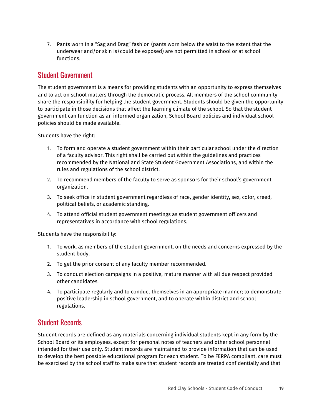7. Pants worn in a "Sag and Drag" fashion (pants worn below the waist to the extent that the underwear and/or skin is/could be exposed) are not permitted in school or at school functions.

### <span id="page-18-0"></span>Student Government

The student government is a means for providing students with an opportunity to express themselves and to act on school matters through the democratic process. All members of the school community share the responsibility for helping the student government. Students should be given the opportunity to participate in those decisions that affect the learning climate of the school. So that the student government can function as an informed organization, School Board policies and individual school policies should be made available.

Students have the right:

- 1. To form and operate a student government within their particular school under the direction of a faculty advisor. This right shall be carried out within the guidelines and practices recommended by the National and State Student Government Associations, and within the rules and regulations of the school district.
- 2. To recommend members of the faculty to serve as sponsors for their school's government organization.
- 3. To seek office in student government regardless of race, gender identity, sex, color, creed, political beliefs, or academic standing.
- 4. To attend official student government meetings as student government officers and representatives in accordance with school regulations.

Students have the responsibility:

- 1. To work, as members of the student government, on the needs and concerns expressed by the student body.
- 2. To get the prior consent of any faculty member recommended.
- 3. To conduct election campaigns in a positive, mature manner with all due respect provided other candidates.
- 4. To participate regularly and to conduct themselves in an appropriate manner; to demonstrate positive leadership in school government, and to operate within district and school regulations.

### <span id="page-18-1"></span>Student Records

Student records are defined as any materials concerning individual students kept in any form by the School Board or its employees, except for personal notes of teachers and other school personnel intended for their use only. Student records are maintained to provide information that can be used to develop the best possible educational program for each student. To be FERPA compliant, care must be exercised by the school staff to make sure that student records are treated confidentially and that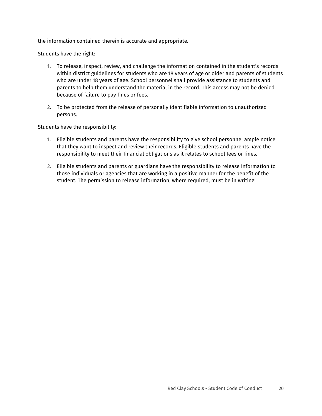the information contained therein is accurate and appropriate.

Students have the right:

- 1. To release, inspect, review, and challenge the information contained in the student's records within district guidelines for students who are 18 years of age or older and parents of students who are under 18 years of age. School personnel shall provide assistance to students and parents to help them understand the material in the record. This access may not be denied because of failure to pay fines or fees.
- 2. To be protected from the release of personally identifiable information to unauthorized persons.

Students have the responsibility:

- 1. Eligible students and parents have the responsibility to give school personnel ample notice that they want to inspect and review their records. Eligible students and parents have the responsibility to meet their financial obligations as it relates to school fees or fines.
- 2. Eligible students and parents or guardians have the responsibility to release information to those individuals or agencies that are working in a positive manner for the benefit of the student. The permission to release information, where required, must be in writing.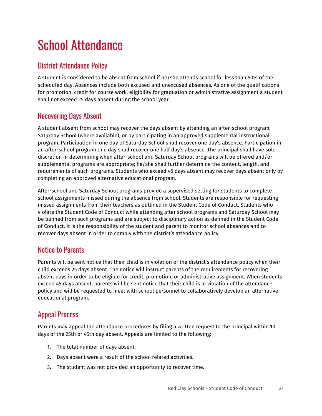# <span id="page-20-0"></span>School Attendance

# <span id="page-20-1"></span>District Attendance Policy

A student is considered to be absent from school if he/she attends school for less than 50% of the scheduled day. Absences include both excused and unexcused absences. As one of the qualifications for promotion, credit for course work, eligibility for graduation or administrative assignment a student shall not exceed 25 days absent during the school year.

# <span id="page-20-2"></span>Recovering Days Absent

A student absent from school may recover the days absent by attending an after-school program, Saturday School (where available), or by participating in an approved supplemental instructional program. Participation in one day of Saturday School shall recover one day's absence. Participation in an after-school program one day shall recover one half day's absence. The principal shall have sole discretion in determining when after-school and Saturday School programs will be offered and/or supplemental programs are appropriate; he/she shall further determine the content, length, and requirements of such programs. Students who exceed 45 days absent may recover days absent only by completing an approved alternative educational program.

After-school and Saturday School programs provide a supervised setting for students to complete school assignments missed during the absence from school. Students are responsible for requesting missed assignments from their teachers as outlined in the Student Code of Conduct. Students who violate the Student Code of Conduct while attending after school programs and Saturday School may be banned from such programs and are subject to disciplinary action as defined in the Student Code of Conduct. It is the responsibility of the student and parent to monitor school absences and to recover days absent in order to comply with the district's attendance policy.

## <span id="page-20-3"></span>Notice to Parents

Parents will be sent notice that their child is in violation of the district's attendance policy when their child exceeds 25 days absent. The notice will instruct parents of the requirements for recovering absent days in order to be eligible for credit, promotion, or administrative assignment. When students exceed 45 days absent, parents will be sent notice that their child is in violation of the attendance policy and will be requested to meet with school personnel to collaboratively develop an alternative educational program.

## <span id="page-20-4"></span>Appeal Process

Parents may appeal the attendance procedures by filing a written request to the principal within 10 days of the 25th or 45th day absent. Appeals are limited to the following:

- 1. The total number of days absent.
- 2. Days absent were a result of the school related activities.
- 3. The student was not provided an opportunity to recover time.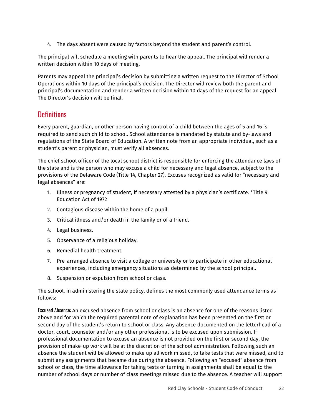4. The days absent were caused by factors beyond the student and parent's control.

The principal will schedule a meeting with parents to hear the appeal. The principal will render a written decision within 10 days of meeting.

Parents may appeal the principal's decision by submitting a written request to the Director of School Operations within 10 days of the principal's decision. The Director will review both the parent and principal's documentation and render a written decision within 10 days of the request for an appeal. The Director's decision will be final.

## <span id="page-21-0"></span>**Definitions**

Every parent, guardian, or other person having control of a child between the ages of 5 and 16 is required to send such child to school. School attendance is mandated by statute and by-laws and regulations of the State Board of Education. A written note from an appropriate individual, such as a student's parent or physician, must verify all absences.

The chief school officer of the local school district is responsible for enforcing the attendance laws of the state and is the person who may excuse a child for necessary and legal absence, subject to the provisions of the Delaware Code (Title 14, Chapter 27). Excuses recognized as valid for "necessary and legal absences" are:

- 1. Illness or pregnancy of student, if necessary attested by a physician's certificate. \*Title 9 Education Act of 1972
- 2. Contagious disease within the home of a pupil.
- 3. Critical illness and/or death in the family or of a friend.
- 4. Legal business.
- 5. Observance of a religious holiday.
- 6. Remedial health treatment.
- 7. Pre-arranged absence to visit a college or university or to participate in other educational experiences, including emergency situations as determined by the school principal.
- 8. Suspension or expulsion from school or class.

The school, in administering the state policy, defines the most commonly used attendance terms as follows:

Excused Absence: An excused absence from school or class is an absence for one of the reasons listed above and for which the required parental note of explanation has been presented on the first or second day of the student's return to school or class. Any absence documented on the letterhead of a doctor, court, counselor and/or any other professional is to be excused upon submission. If professional documentation to excuse an absence is not provided on the first or second day, the provision of make-up work will be at the discretion of the school administration. Following such an absence the student will be allowed to make up all work missed, to take tests that were missed, and to submit any assignments that became due during the absence. Following an "excused" absence from school or class, the time allowance for taking tests or turning in assignments shall be equal to the number of school days or number of class meetings missed due to the absence. A teacher will support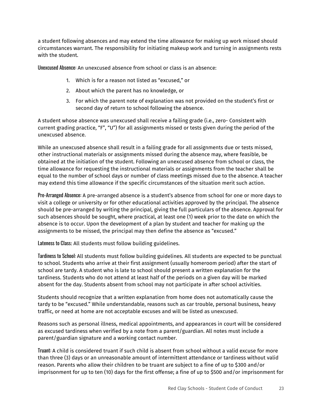a student following absences and may extend the time allowance for making up work missed should circumstances warrant. The responsibility for initiating makeup work and turning in assignments rests with the student.

Unexcused Absence: An unexcused absence from school or class is an absence:

- 1. Which is for a reason not listed as "excused," or
- 2. About which the parent has no knowledge, or
- 3. For which the parent note of explanation was not provided on the student's first or second day of return to school following the absence.

A student whose absence was unexcused shall receive a failing grade (i.e., zero- Consistent with current grading practice, "F", "U") for all assignments missed or tests given during the period of the unexcused absence.

While an unexcused absence shall result in a failing grade for all assignments due or tests missed, other instructional materials or assignments missed during the absence may, where feasible, be obtained at the initiation of the student. Following an unexcused absence from school or class, the time allowance for requesting the instructional materials or assignments from the teacher shall be equal to the number of school days or number of class meetings missed due to the absence. A teacher may extend this time allowance if the specific circumstances of the situation merit such action.

Pre-Arranged Absence: A pre-arranged absence is a student's absence from school for one or more days to visit a college or university or for other educational activities approved by the principal. The absence should be pre-arranged by writing the principal, giving the full particulars of the absence. Approval for such absences should be sought, where practical, at least one (1) week prior to the date on which the absence is to occur. Upon the development of a plan by student and teacher for making up the assignments to be missed, the principal may then define the absence as "excused."

Lateness to Class: All students must follow building guidelines.

Tardiness to School: All students must follow building guidelines. All students are expected to be punctual to school. Students who arrive at their first assignment (usually homeroom period) after the start of school are tardy. A student who is late to school should present a written explanation for the tardiness. Students who do not attend at least half of the periods on a given day will be marked absent for the day. Students absent from school may not participate in after school activities.

Students should recognize that a written explanation from home does not automatically cause the tardy to be "excused." While understandable, reasons such as car trouble, personal business, heavy traffic, or need at home are not acceptable excuses and will be listed as unexcused.

Reasons such as personal illness, medical appointments, and appearances in court will be considered as excused tardiness when verified by a note from a parent/guardian. All notes must include a parent/guardian signature and a working contact number.

Truant: A child is considered truant if such child is absent from school without a valid excuse for more than three (3) days or an unreasonable amount of intermittent attendance or tardiness without valid reason. Parents who allow their children to be truant are subject to a fine of up to \$300 and/or imprisonment for up to ten (10) days for the first offense; a fine of up to \$500 and/or imprisonment for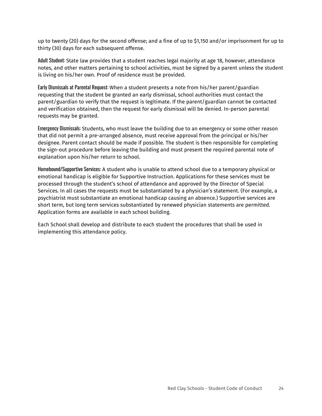up to twenty (20) days for the second offense; and a fine of up to \$1,150 and/or imprisonment for up to thirty (30) days for each subsequent offense.

Adult Student: State law provides that a student reaches legal majority at age 18, however, attendance notes, and other matters pertaining to school activities, must be signed by a parent unless the student is living on his/her own. Proof of residence must be provided.

Early Dismissals at Parental Request: When a student presents a note from his/her parent/guardian requesting that the student be granted an early dismissal, school authorities must contact the parent/guardian to verify that the request is legitimate. If the parent/guardian cannot be contacted and verification obtained, then the request for early dismissal will be denied. In-person parental requests may be granted.

Emergency Dismissals: Students, who must leave the building due to an emergency or some other reason that did not permit a pre-arranged absence, must receive approval from the principal or his/her designee. Parent contact should be made if possible. The student is then responsible for completing the sign-out procedure before leaving the building and must present the required parental note of explanation upon his/her return to school.

Homebound/Supportive Services: A student who is unable to attend school due to a temporary physical or emotional handicap is eligible for Supportive Instruction. Applications for these services must be processed through the student's school of attendance and approved by the Director of Special Services. In all cases the requests must be substantiated by a physician's statement. (For example, a psychiatrist must substantiate an emotional handicap causing an absence.) Supportive services are short term, but long term services substantiated by renewed physician statements are permitted. Application forms are available in each school building.

Each School shall develop and distribute to each student the procedures that shall be used in implementing this attendance policy.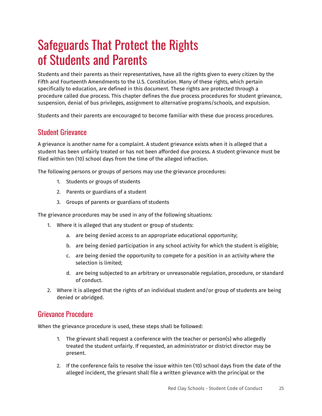# <span id="page-24-0"></span>Safeguards That Protect the Rights of Students and Parents

Students and their parents as their representatives, have all the rights given to every citizen by the Fifth and Fourteenth Amendments to the U.S. Constitution. Many of these rights, which pertain specifically to education, are defined in this document. These rights are protected through a procedure called due process. This chapter defines the due process procedures for student grievance, suspension, denial of bus privileges, assignment to alternative programs/schools, and expulsion.

Students and their parents are encouraged to become familiar with these due process procedures.

### <span id="page-24-1"></span>Student Grievance

A grievance is another name for a complaint. A student grievance exists when it is alleged that a student has been unfairly treated or has not been afforded due process. A student grievance must be filed within ten (10) school days from the time of the alleged infraction.

The following persons or groups of persons may use the grievance procedures:

- 1. Students or groups of students
- 2. Parents or guardians of a student
- 3. Groups of parents or guardians of students

The grievance procedures may be used in any of the following situations:

- 1. Where it is alleged that any student or group of students:
	- a. are being denied access to an appropriate educational opportunity;
	- b. are being denied participation in any school activity for which the student is eligible;
	- c. are being denied the opportunity to compete for a position in an activity where the selection is limited;
	- d. are being subjected to an arbitrary or unreasonable regulation, procedure, or standard of conduct.
- 2. Where it is alleged that the rights of an individual student and/or group of students are being denied or abridged.

### <span id="page-24-2"></span>Grievance Procedure

When the grievance procedure is used, these steps shall be followed:

- 1. The grievant shall request a conference with the teacher or person(s) who allegedly treated the student unfairly. If requested, an administrator or district director may be present.
- 2. If the conference fails to resolve the issue within ten (10) school days from the date of the alleged incident, the grievant shall file a written grievance with the principal or the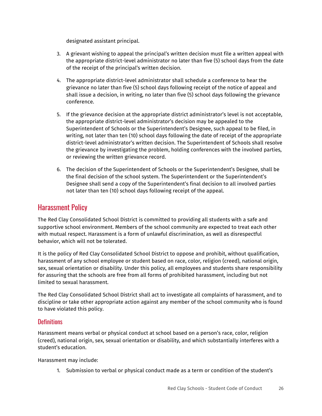designated assistant principal.

- 3. A grievant wishing to appeal the principal's written decision must file a written appeal with the appropriate district-level administrator no later than five (5) school days from the date of the receipt of the principal's written decision.
- 4. The appropriate district-level administrator shall schedule a conference to hear the grievance no later than five (5) school days following receipt of the notice of appeal and shall issue a decision, in writing, no later than five (5) school days following the grievance conference.
- 5. If the grievance decision at the appropriate district administrator's level is not acceptable, the appropriate district-level administrator's decision may be appealed to the Superintendent of Schools or the Superintendent's Designee, such appeal to be filed, in writing, not later than ten (10) school days following the date of receipt of the appropriate district-level administrator's written decision. The Superintendent of Schools shall resolve the grievance by investigating the problem, holding conferences with the involved parties, or reviewing the written grievance record.
- 6. The decision of the Superintendent of Schools or the Superintendent's Designee, shall be the final decision of the school system. The Superintendent or the Superintendent's Designee shall send a copy of the Superintendent's final decision to all involved parties not later than ten (10) school days following receipt of the appeal.

### <span id="page-25-0"></span>Harassment Policy

The Red Clay Consolidated School District is committed to providing all students with a safe and supportive school environment. Members of the school community are expected to treat each other with mutual respect. Harassment is a form of unlawful discrimination, as well as disrespectful behavior, which will not be tolerated.

It is the policy of Red Clay Consolidated School District to oppose and prohibit, without qualification, harassment of any school employee or student based on race, color, religion (creed), national origin, sex, sexual orientation or disability. Under this policy, all employees and students share responsibility for assuring that the schools are free from all forms of prohibited harassment, including but not limited to sexual harassment.

The Red Clay Consolidated School District shall act to investigate all complaints of harassment, and to discipline or take other appropriate action against any member of the school community who is found to have violated this policy.

### <span id="page-25-1"></span>**Definitions**

Harassment means verbal or physical conduct at school based on a person's race, color, religion (creed), national origin, sex, sexual orientation or disability, and which substantially interferes with a student's education.

Harassment may include:

1. Submission to verbal or physical conduct made as a term or condition of the student's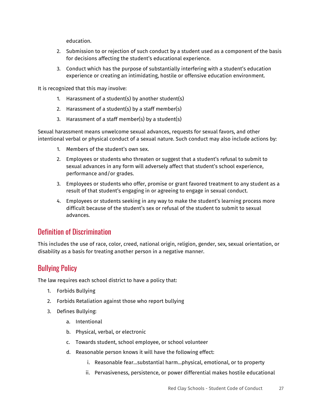education.

- 2. Submission to or rejection of such conduct by a student used as a component of the basis for decisions affecting the student's educational experience.
- 3. Conduct which has the purpose of substantially interfering with a student's education experience or creating an intimidating, hostile or offensive education environment.

It is recognized that this may involve:

- 1. Harassment of a student(s) by another student(s)
- 2. Harassment of a student(s) by a staff member(s)
- 3. Harassment of a staff member(s) by a student(s)

Sexual harassment means unwelcome sexual advances, requests for sexual favors, and other intentional verbal or physical conduct of a sexual nature. Such conduct may also include actions by:

- 1. Members of the student's own sex.
- 2. Employees or students who threaten or suggest that a student's refusal to submit to sexual advances in any form will adversely affect that student's school experience, performance and/or grades.
- 3. Employees or students who offer, promise or grant favored treatment to any student as a result of that student's engaging in or agreeing to engage in sexual conduct.
- 4. Employees or students seeking in any way to make the student's learning process more difficult because of the student's sex or refusal of the student to submit to sexual advances.

### <span id="page-26-0"></span>Definition of Discrimination

This includes the use of race, color, creed, national origin, religion, gender, sex, sexual orientation, or disability as a basis for treating another person in a negative manner.

## <span id="page-26-1"></span>Bullying Policy

The law requires each school district to have a policy that:

- 1. Forbids Bullying
- 2. Forbids Retaliation against those who report bullying
- 3. Defines Bullying:
	- a. Intentional
	- b. Physical, verbal, or electronic
	- c. Towards student, school employee, or school volunteer
	- d. Reasonable person knows it will have the following effect:
		- i. Reasonable fear…substantial harm…physical, emotional, or to property
		- ii. Pervasiveness, persistence, or power differential makes hostile educational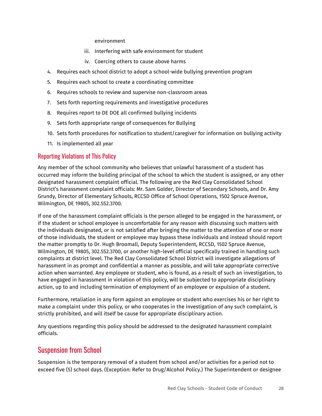#### environment

- iii. Interfering with safe environment for student
- iv. Coercing others to cause above harms
- 4. Requires each school district to adopt a school-wide bullying prevention program
- 5. Requires each school to create a coordinating committee
- 6. Requires schools to review and supervise non-classroom areas
- 7. Sets forth reporting requirements and investigative procedures
- 8. Requires report to DE DOE all confirmed bullying incidents
- 9. Sets forth appropriate range of consequences for Bullying
- 10. Sets forth procedures for notification to student/caregiver for information on bullying activity
- 11. Is implemented all year

#### <span id="page-27-0"></span>Reporting Violations of This Policy

Any member of the school community who believes that unlawful harassment of a student has occurred may inform the building principal of the school to which the student is assigned, or any other designated harassment complaint official. The following are the Red Clay Consolidated School District's harassment complaint officials: Mr. Sam Golder, Director of Secondary Schools, and Dr. Amy Grundy, Director of Elementary Schools, RCCSD Office of School Operations, 1502 Spruce Avenue, Wilmington, DE 19805, 302.552.3700.

If one of the harassment complaint officials is the person alleged to be engaged in the harassment, or if the student or school employee is uncomfortable for any reason with discussing such matters with the individuals designated, or is not satisfied after bringing the matter to the attention of one or more of those individuals, the student or employee may bypass these individuals and instead should report the matter promptly to Dr. Hugh Broomall, Deputy Superintendent, RCCSD, 1502 Spruce Avenue, Wilmington, DE 19805, 302.552.3700, or another high-level official specifically trained in handling such complaints at district level. The Red Clay Consolidated School District will investigate allegations of harassment in as prompt and confidential a manner as possible, and will take appropriate corrective action when warranted. Any employee or student, who is found, as a result of such an investigation, to have engaged in harassment in violation of this policy, will be subjected to appropriate disciplinary action, up to and including termination of employment of an employee or expulsion of a student.

Furthermore, retaliation in any form against an employee or student who exercises his or her right to make a complaint under this policy, or who cooperates in the investigation of any such complaint, is strictly prohibited, and will itself be cause for appropriate disciplinary action.

Any questions regarding this policy should be addressed to the designated harassment complaint officials.

### <span id="page-27-1"></span>Suspension from School

Suspension is the temporary removal of a student from school and/or activities for a period not to exceed five (5) school days. (Exception: Refer to Drug/Alcohol Policy.) The Superintendent or designee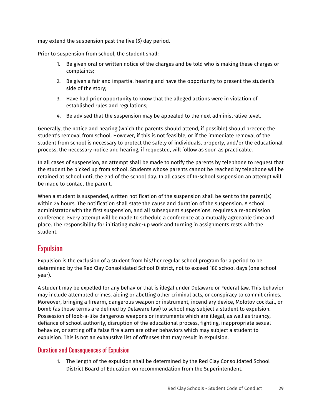may extend the suspension past the five (5) day period.

Prior to suspension from school, the student shall:

- 1. Be given oral or written notice of the charges and be told who is making these charges or complaints;
- 2. Be given a fair and impartial hearing and have the opportunity to present the student's side of the story;
- 3. Have had prior opportunity to know that the alleged actions were in violation of established rules and regulations;
- 4. Be advised that the suspension may be appealed to the next administrative level.

Generally, the notice and hearing (which the parents should attend, if possible) should precede the student's removal from school. However, if this is not feasible, or if the immediate removal of the student from school is necessary to protect the safety of individuals, property, and/or the educational process, the necessary notice and hearing, if requested, will follow as soon as practicable.

In all cases of suspension, an attempt shall be made to notify the parents by telephone to request that the student be picked up from school. Students whose parents cannot be reached by telephone will be retained at school until the end of the school day. In all cases of In-school suspension an attempt will be made to contact the parent.

When a student is suspended, written notification of the suspension shall be sent to the parent(s) within 24 hours. The notification shall state the cause and duration of the suspension. A school administrator with the first suspension, and all subsequent suspensions, requires a re-admission conference. Every attempt will be made to schedule a conference at a mutually agreeable time and place. The responsibility for initiating make-up work and turning in assignments rests with the student.

# <span id="page-28-0"></span>**Expulsion**

Expulsion is the exclusion of a student from his/her regular school program for a period to be determined by the Red Clay Consolidated School District, not to exceed 180 school days (one school year).

A student may be expelled for any behavior that is illegal under Delaware or Federal law. This behavior may include attempted crimes, aiding or abetting other criminal acts, or conspiracy to commit crimes. Moreover, bringing a firearm, dangerous weapon or instrument, incendiary device, Molotov cocktail, or bomb (as those terms are defined by Delaware law) to school may subject a student to expulsion. Possession of look-a-like dangerous weapons or instruments which are illegal, as well as truancy, defiance of school authority, disruption of the educational process, fighting, inappropriate sexual behavior, or setting off a false fire alarm are other behaviors which may subject a student to expulsion. This is not an exhaustive list of offenses that may result in expulsion.

### <span id="page-28-1"></span>Duration and Consequences of Expulsion

1. The length of the expulsion shall be determined by the Red Clay Consolidated School District Board of Education on recommendation from the Superintendent.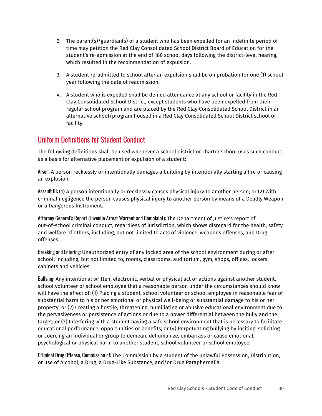- 2. The parent(s)/guardian(s) of a student who has been expelled for an indefinite period of time may petition the Red Clay Consolidated School District Board of Education for the student's re-admission at the end of 180 school days following the district-level hearing, which resulted in the recommendation of expulsion.
- 3. A student re-admitted to school after an expulsion shall be on probation for one (1) school year following the date of readmission.
- 4. A student who is expelled shall be denied attendance at any school or facility in the Red Clay Consolidated School District, except students who have been expelled from their regular school program and are placed by the Red Clay Consolidated School District in an alternative school/program housed in a Red Clay Consolidated School District school or facility.

### <span id="page-29-0"></span>Uniform Definitions for Student Conduct

The following definitions shall be used whenever a school district or charter school uses such conduct as a basis for alternative placement or expulsion of a student:

Arson: A person recklessly or intentionally damages a building by intentionally starting a fire or causing an explosion.

Assault III: (1) A person intentionally or recklessly causes physical injury to another person; or (2) With criminal negligence the person causes physical injury to another person by means of a Deadly Weapon or a Dangerous Instrument.

Attorney General's Report (Juvenile Arrest Warrant and Complaint): The Department of Justice's report of out-of-school criminal conduct, regardless of jurisdiction, which shows disregard for the health, safety and welfare of others, including, but not limited to acts of violence, weapons offenses, and Drug offenses.

Breaking and Entering: Unauthorized entry of any locked area of the school environment during or after school; including, but not limited to, rooms, classrooms, auditorium, gym, shops, offices, lockers, cabinets and vehicles.

Bullying: Any intentional written, electronic, verbal or physical act or actions against another student, school volunteer or school employee that a reasonable person under the circumstances should know will have the effect of: (1) Placing a student, school volunteer or school employee in reasonable fear of substantial harm to his or her emotional or physical well-being or substantial damage to his or her property; or (2) Creating a hostile, threatening, humiliating or abusive educational environment due to the pervasiveness or persistence of actions or due to a power differential between the bully and the target; or (3) Interfering with a student having a safe school environment that is necessary to facilitate educational performance, opportunities or benefits; or (4) Perpetuating bullying by inciting, soliciting or coercing an individual or group to demean, dehumanize, embarrass or cause emotional, psychological or physical harm to another student, school volunteer or school employee.

Criminal Drug Offense, Commission of: The Commission by a student of the unlawful Possession, Distribution, or use of Alcohol, a Drug, a Drug-Like Substance, and/or Drug Paraphernalia.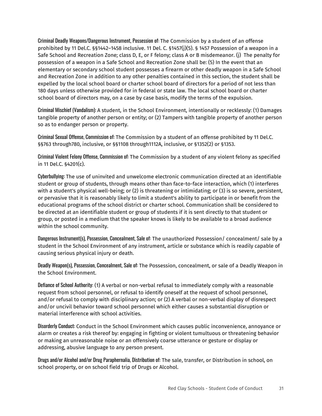Criminal Deadly Weapons/Dangerous Instrument, Possession of: The Commission by a student of an offense prohibited by 11 Del.C. §§1442–1458 inclusive. 11 Del. C. §1457(j)(5). § 1457 Possession of a weapon in a Safe School and Recreation Zone; class D, E, or F felony; class A or B misdemeanor. (j) The penalty for possession of a weapon in a Safe School and Recreation Zone shall be: (5) In the event that an elementary or secondary school student possesses a firearm or other deadly weapon in a Safe School and Recreation Zone in addition to any other penalties contained in this section, the student shall be expelled by the local school board or charter school board of directors for a period of not less than 180 days unless otherwise provided for in federal or state law. The local school board or charter school board of directors may, on a case by case basis, modify the terms of the expulsion.

Criminal Mischief (Vandalism): A student, in the School Environment, intentionally or recklessly: (1) Damages tangible property of another person or entity; or (2) Tampers with tangible property of another person so as to endanger person or property.

Criminal Sexual Offense, Commission of: The Commission by a student of an offense prohibited by 11 Del.C. §§763 through780, inclusive, or §§1108 through1112A, inclusive, or §1352(2) or §1353.

Criminal Violent Felony Offense, Commission of: The Commission by a student of any violent felony as specified in 11 Del.C. §4201(c).

Cyberbullying: The use of uninvited and unwelcome electronic communication directed at an identifiable student or group of students, through means other than face-to-face interaction, which (1) interferes with a student's physical well-being; or (2) is threatening or intimidating; or (3) is so severe, persistent, or pervasive that it is reasonably likely to limit a student's ability to participate in or benefit from the educational programs of the school district or charter school. Communication shall be considered to be directed at an identifiable student or group of students if it is sent directly to that student or group, or posted in a medium that the speaker knows is likely to be available to a broad audience within the school community.

Dangerous Instrument(s), Possession, Concealment, Sale of: The unauthorized Possession/ concealment/ sale by a student in the School Environment of any instrument, article or substance which is readily capable of causing serious physical injury or death.

Deadly Weapon(s), Possession, Concealment, Sale of: The Possession, concealment, or sale of a Deadly Weapon in the School Environment.

Defiance of School Authority: (1) A verbal or non-verbal refusal to immediately comply with a reasonable request from school personnel, or refusal to identify oneself at the request of school personnel, and/or refusal to comply with disciplinary action; or (2) A verbal or non-verbal display of disrespect and/or uncivil behavior toward school personnel which either causes a substantial disruption or material interference with school activities.

Disorderly Conduct: Conduct in the School Environment which causes public inconvenience, annoyance or alarm or creates a risk thereof by: engaging in fighting or violent tumultuous or threatening behavior or making an unreasonable noise or an offensively coarse utterance or gesture or display or addressing, abusive language to any person present.

Drugs and/or Alcohol and/or Drug Paraphernalia, Distribution of: The sale, transfer, or Distribution in school, on school property, or on school field trip of Drugs or Alcohol.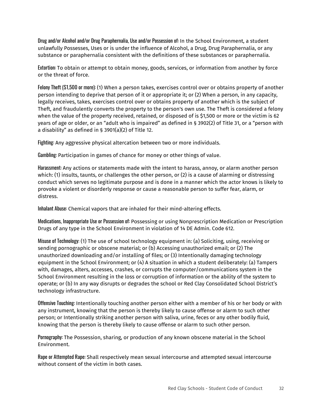Drug and/or Alcohol and/or Drug Paraphernalia, Use and/or Possession of: In the School Environment, a student unlawfully Possesses, Uses or is under the influence of Alcohol, a Drug, Drug Paraphernalia, or any substance or paraphernalia consistent with the definitions of these substances or paraphernalia.

Extortion: To obtain or attempt to obtain money, goods, services, or information from another by force or the threat of force.

Felony Theft (\$1,500 or more): (1) When a person takes, exercises control over or obtains property of another person intending to deprive that person of it or appropriate it; or (2) When a person, in any capacity, legally receives, takes, exercises control over or obtains property of another which is the subject of Theft, and fraudulently converts the property to the person's own use. The Theft is considered a felony when the value of the property received, retained, or disposed of is \$1,500 or more or the victim is 62 years of age or older, or an "adult who is impaired" as defined in § 3902(2) of Title 31, or a "person with a disability" as defined in § 3901(a)(2) of Title 12.

Fighting: Any aggressive physical altercation between two or more individuals.

Gambling: Participation in games of chance for money or other things of value.

Harassment: Any actions or statements made with the intent to harass, annoy, or alarm another person which: (1) insults, taunts, or challenges the other person, or (2) is a cause of alarming or distressing conduct which serves no legitimate purpose and is done in a manner which the actor knows is likely to provoke a violent or disorderly response or cause a reasonable person to suffer fear, alarm, or distress.

Inhalant Abuse: Chemical vapors that are inhaled for their mind-altering effects.

Medications, Inappropriate Use or Possession of: Possessing or using Nonprescription Medication or Prescription Drugs of any type in the School Environment in violation of 14 DE Admin. Code 612.

Misuse of Technology: (1) The use of school technology equipment in: (a) Soliciting, using, receiving or sending pornographic or obscene material; or (b) Accessing unauthorized email; or (2) The unauthorized downloading and/or installing of files; or (3) Intentionally damaging technology equipment in the School Environment; or (4) A situation in which a student deliberately: (a) Tampers with, damages, alters, accesses, crashes, or corrupts the computer/communications system in the School Environment resulting in the loss or corruption of information or the ability of the system to operate; or (b) In any way disrupts or degrades the school or Red Clay Consolidated School District's technology infrastructure.

Offensive Touching: Intentionally touching another person either with a member of his or her body or with any instrument, knowing that the person is thereby likely to cause offense or alarm to such other person; or Intentionally striking another person with saliva, urine, feces or any other bodily fluid, knowing that the person is thereby likely to cause offense or alarm to such other person.

Pornography: The Possession, sharing, or production of any known obscene material in the School Environment.

Rape or Attempted Rape: Shall respectively mean sexual intercourse and attempted sexual intercourse without consent of the victim in both cases.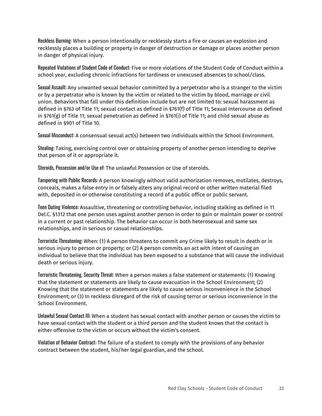Reckless Burning: When a person intentionally or recklessly starts a fire or causes an explosion and recklessly places a building or property in danger of destruction or damage or places another person in danger of physical injury.

Repeated Violations of Student Code of Conduct: Five or more violations of the Student Code of Conduct within a school year, excluding chronic infractions for tardiness or unexcused absences to school/class.

Sexual Assault: Any unwanted sexual behavior committed by a perpetrator who is a stranger to the victim or by a perpetrator who is known by the victim or related to the victim by blood, marriage or civil union. Behaviors that fall under this definition include but are not limited to: sexual harassment as defined in §763 of Title 11; sexual contact as defined in §761(f) of Title 11; Sexual Intercourse as defined in §761(g) of Title 11; sexual penetration as defined in §761(i) of Title 11; and child sexual abuse as defined in §901 of Title 10.

Sexual Misconduct: A consensual sexual act(s) between two individuals within the School Environment.

Stealing: Taking, exercising control over or obtaining property of another person intending to deprive that person of it or appropriate it.

Steroids, Possession and/or Use of: The unlawful Possession or Use of steroids.

Tampering with Public Records: A person knowingly without valid authorization removes, mutilates, destroys, conceals, makes a false entry in or falsely alters any original record or other written material filed with, deposited in or otherwise constituting a record of a public office or public servant.

Teen Dating Violence: Assaultive, threatening or controlling behavior, including stalking as defined in 11 Del.C. §1312 that one person uses against another person in order to gain or maintain power or control in a current or past relationship. The behavior can occur in both heterosexual and same sex relationships, and in serious or casual relationships.

Terroristic Threatening: When: (1) A person threatens to commit any Crime likely to result in death or in serious injury to person or property; or (2) A person commits an act with intent of causing an individual to believe that the individual has been exposed to a substance that will cause the individual death or serious injury.

Terroristic Threatening, Security Threat: When a person makes a false statement or statements: (1) Knowing that the statement or statements are likely to cause evacuation in the School Environment; (2) Knowing that the statement or statements are likely to cause serious inconvenience in the School Environment; or (3) In reckless disregard of the risk of causing terror or serious inconvenience in the School Environment.

Unlawful Sexual Contact III: When a student has sexual contact with another person or causes the victim to have sexual contact with the student or a third person and the student knows that the contact is either offensive to the victim or occurs without the victim's consent.

Violation of Behavior Contract: The failure of a student to comply with the provisions of any behavior contract between the student, his/her legal guardian, and the school.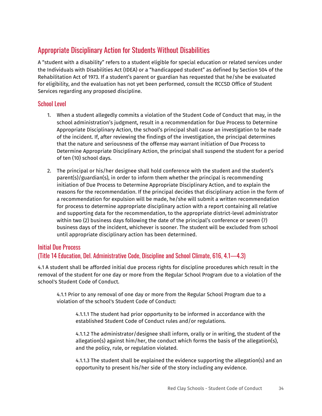# <span id="page-33-0"></span>Appropriate Disciplinary Action for Students Without Disabilities

A "student with a disability" refers to a student eligible for special education or related services under the Individuals with Disabilities Act (IDEA) or a "handicapped student" as defined by Section 504 of the Rehabilitation Act of 1973. If a student's parent or guardian has requested that he/she be evaluated for eligibility, and the evaluation has not yet been performed, consult the RCCSD Office of Student Services regarding any proposed discipline.

### <span id="page-33-1"></span>School Level

- 1. When a student allegedly commits a violation of the Student Code of Conduct that may, in the school administration's judgment, result in a recommendation for Due Process to Determine Appropriate Disciplinary Action, the school's principal shall cause an investigation to be made of the incident. If, after reviewing the findings of the investigation, the principal determines that the nature and seriousness of the offense may warrant initiation of Due Process to Determine Appropriate Disciplinary Action, the principal shall suspend the student for a period of ten (10) school days.
- 2. The principal or his/her designee shall hold conference with the student and the student's parent(s)/guardian(s), in order to inform them whether the principal is recommending initiation of Due Process to Determine Appropriate Disciplinary Action, and to explain the reasons for the recommendation. If the principal decides that disciplinary action in the form of a recommendation for expulsion will be made, he/she will submit a written recommendation for process to determine appropriate disciplinary action with a report containing all relative and supporting data for the recommendation, to the appropriate district-level administrator within two (2) business days following the date of the principal's conference or seven (7) business days of the incident, whichever is sooner. The student will be excluded from school until appropriate disciplinary action has been determined.

### <span id="page-33-2"></span>Initial Due Process

### (Title 14 Education, Del. Administrative Code, Discipline and School Climate, 616, 4.1—4.3)

4.1 A student shall be afforded initial due process rights for discipline procedures which result in the removal of the student for one day or more from the Regular School Program due to a violation of the school's Student Code of Conduct.

4.1.1 Prior to any removal of one day or more from the Regular School Program due to a violation of the school's Student Code of Conduct:

4.1.1.1 The student had prior opportunity to be informed in accordance with the established Student Code of Conduct rules and/or regulations.

4.1.1.2 The administrator/designee shall inform, orally or in writing, the student of the allegation(s) against him/her, the conduct which forms the basis of the allegation(s), and the policy, rule, or regulation violated.

4.1.1.3 The student shall be explained the evidence supporting the allegation(s) and an opportunity to present his/her side of the story including any evidence.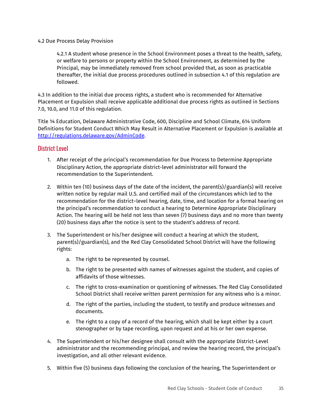#### 4.2 Due Process Delay Provision

4.2.1 A student whose presence in the School Environment poses a threat to the health, safety, or welfare to persons or property within the School Environment, as determined by the Principal, may be immediately removed from school provided that, as soon as practicable thereafter, the initial due process procedures outlined in subsection 4.1 of this regulation are followed.

4.3 In addition to the initial due process rights, a student who is recommended for Alternative Placement or Expulsion shall receive applicable additional due process rights as outlined in Sections 7.0, 10.0, and 11.0 of this regulation.

Title 14 Education, Delaware Administrative Code, 600, Discipline and School Climate, 614 Uniform Definitions for Student Conduct Which May Result in Alternative Placement or Expulsion is available at [http://regulations.delaware.gov/AdminCode](http://regulations.delaware.gov/AdminCode/title14/600/614).

### <span id="page-34-0"></span>District Level

- 1. After receipt of the principal's recommendation for Due Process to Determine Appropriate Disciplinary Action, the appropriate district-level administrator will forward the recommendation to the Superintendent.
- 2. Within ten (10) business days of the date of the incident, the parent(s)/guardian(s) will receive written notice by regular mail U.S. and certified mail of the circumstances which led to the recommendation for the district–level hearing, date, time, and location for a formal hearing on the principal's recommendation to conduct a hearing to Determine Appropriate Disciplinary Action. The hearing will be held not less than seven (7) business days and no more than twenty (20) business days after the notice is sent to the student's address of record.
- 3. The Superintendent or his/her designee will conduct a hearing at which the student, parent(s)/guardian(s), and the Red Clay Consolidated School District will have the following rights:
	- a. The right to be represented by counsel.
	- b. The right to be presented with names of witnesses against the student, and copies of affidavits of those witnesses.
	- c. The right to cross-examination or questioning of witnesses. The Red Clay Consolidated School District shall receive written parent permission for any witness who is a minor.
	- d. The right of the parties, including the student, to testify and produce witnesses and documents.
	- e. The right to a copy of a record of the hearing, which shall be kept either by a court stenographer or by tape recording, upon request and at his or her own expense.
- 4. The Superintendent or his/her designee shall consult with the appropriate District-Level administrator and the recommending principal, and review the hearing record, the principal's investigation, and all other relevant evidence.
- 5. Within five (5) business days following the conclusion of the hearing, The Superintendent or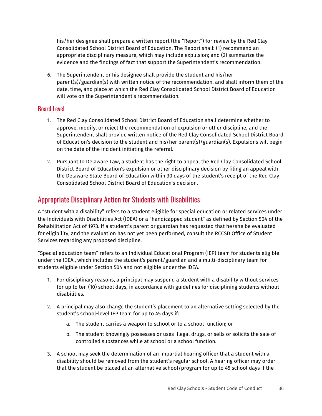his/her designee shall prepare a written report (the "Report") for review by the Red Clay Consolidated School District Board of Education. The Report shall: (1) recommend an appropriate disciplinary measure, which may include expulsion; and (2) summarize the evidence and the findings of fact that support the Superintendent's recommendation.

6. The Superintendent or his designee shall provide the student and his/her parent(s)/guardian(s) with written notice of the recommendation, and shall inform them of the date, time, and place at which the Red Clay Consolidated School District Board of Education will vote on the Superintendent's recommendation.

### <span id="page-35-0"></span>Board Level

- 1. The Red Clay Consolidated School District Board of Education shall determine whether to approve, modify, or reject the recommendation of expulsion or other discipline, and the Superintendent shall provide written notice of the Red Clay Consolidated School District Board of Education's decision to the student and his/her parent(s)/guardian(s). Expulsions will begin on the date of the incident initiating the referral.
- 2. Pursuant to Delaware Law, a student has the right to appeal the Red Clay Consolidated School District Board of Education's expulsion or other disciplinary decision by filing an appeal with the Delaware State Board of Education within 30 days of the student's receipt of the Red Clay Consolidated School District Board of Education's decision.

## <span id="page-35-1"></span>Appropriate Disciplinary Action for Students with Disabilities

A "student with a disability" refers to a student eligible for special education or related services under the Individuals with Disabilities Act (IDEA) or a "handicapped student" as defined by Section 504 of the Rehabilitation Act of 1973. If a student's parent or guardian has requested that he/she be evaluated for eligibility, and the evaluation has not yet been performed, consult the RCCSD Office of Student Services regarding any proposed discipline.

"Special education team" refers to an Individual Educational Program (IEP) team for students eligible under the IDEA., which includes the student's parent/guardian and a multi-disciplinary team for students eligible under Section 504 and not eligible under the IDEA.

- 1. For disciplinary reasons, a principal may suspend a student with a disability without services for up to ten (10) school days, in accordance with guidelines for disciplining students without disabilities.
- 2. A principal may also change the student's placement to an alternative setting selected by the student's school-level IEP team for up to 45 days if:
	- a. The student carries a weapon to school or to a school function; or
	- b. The student knowingly possesses or uses illegal drugs, or sells or solicits the sale of controlled substances while at school or a school function.
- 3. A school may seek the determination of an impartial hearing officer that a student with a disability should be removed from the student's regular school. A hearing officer may order that the student be placed at an alternative school/program for up to 45 school days if the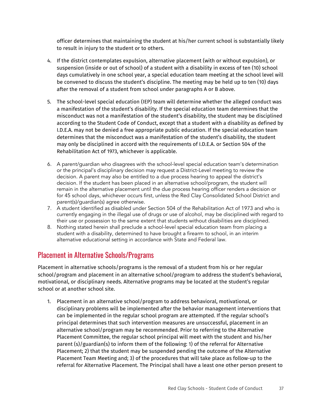officer determines that maintaining the student at his/her current school is substantially likely to result in injury to the student or to others.

- 4. If the district contemplates expulsion, alternative placement (with or without expulsion), or suspension (inside or out of school) of a student with a disability in excess of ten (10) school days cumulatively in one school year, a special education team meeting at the school level will be convened to discuss the student's discipline. The meeting may be held up to ten (10) days after the removal of a student from school under paragraphs A or B above.
- 5. The school-level special education (IEP) team will determine whether the alleged conduct was a manifestation of the student's disability. If the special education team determines that the misconduct was not a manifestation of the student's disability, the student may be disciplined according to the Student Code of Conduct, except that a student with a disability as defined by I.D.E.A. may not be denied a free appropriate public education. If the special education team determines that the misconduct was a manifestation of the student's disability, the student may only be disciplined in accord with the requirements of I.D.E.A. or Section 504 of the Rehabilitation Act of 1973, whichever is applicable.
- 6. A parent/guardian who disagrees with the school-level special education team's determination or the principal's disciplinary decision may request a District-Level meeting to review the decision. A parent may also be entitled to a due process hearing to appeal the district's decision. If the student has been placed in an alternative school/program, the student will remain in the alternative placement until the due process hearing officer renders a decision or for 45 school days, whichever occurs first, unless the Red Clay Consolidated School District and parent(s)/guardian(s) agree otherwise.
- 7. A student identified as disabled under Section 504 of the Rehabilitation Act of 1973 and who is currently engaging in the illegal use of drugs or use of alcohol, may be disciplined with regard to their use or possession to the same extent that students without disabilities are disciplined.
- 8. Nothing stated herein shall preclude a school-level special education team from placing a student with a disability, determined to have brought a firearm to school, in an interim alternative educational setting in accordance with State and Federal law.

## Placement in Alternative Schools/Programs

Placement in alternative schools/programs is the removal of a student from his or her regular school/program and placement in an alternative school/program to address the student's behavioral, motivational, or disciplinary needs. Alternative programs may be located at the student's regular school or at another school site.

1. Placement in an alternative school/program to address behavioral, motivational, or disciplinary problems will be implemented after the behavior management interventions that can be implemented in the regular school program are attempted. If the regular school's principal determines that such intervention measures are unsuccessful, placement in an alternative school/program may be recommended. Prior to referring to the Alternative Placement Committee, the regular school principal will meet with the student and his/her parent (s)/guardian(s) to inform them of the following: 1) of the referral for Alternative Placement; 2) that the student may be suspended pending the outcome of the Alternative Placement Team Meeting and; 3) of the procedures that will take place as follow-up to the referral for Alternative Placement. The Principal shall have a least one other person present to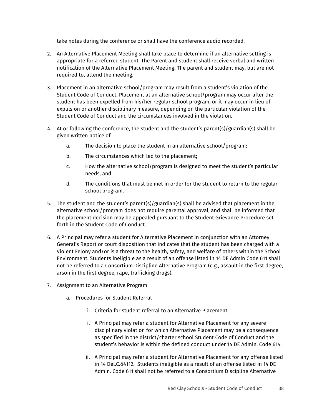take notes during the conference or shall have the conference audio recorded.

- 2. An Alternative Placement Meeting shall take place to determine if an alternative setting is appropriate for a referred student. The Parent and student shall receive verbal and written notification of the Alternative Placement Meeting. The parent and student may, but are not required to, attend the meeting.
- 3. Placement in an alternative school/program may result from a student's violation of the Student Code of Conduct. Placement at an alternative school/program may occur after the student has been expelled from his/her regular school program, or it may occur in lieu of expulsion or another disciplinary measure, depending on the particular violation of the Student Code of Conduct and the circumstances involved in the violation.
- 4. At or following the conference, the student and the student's parent(s)/guardian(s) shall be given written notice of:
	- a. The decision to place the student in an alternative school/program;
	- b. The circumstances which led to the placement;
	- c. How the alternative school/program is designed to meet the student's particular needs; and
	- d. The conditions that must be met in order for the student to return to the regular school program.
- 5. The student and the student's parent(s)/guardian(s) shall be advised that placement in the alternative school/program does not require parental approval, and shall be informed that the placement decision may be appealed pursuant to the Student Grievance Procedure set forth in the Student Code of Conduct.
- 6. A Principal may refer a student for Alternative Placement in conjunction with an Attorney General's Report or court disposition that indicates that the student has been charged with a Violent Felony and/or is a threat to the health, safety, and welfare of others within the School Environment. Students ineligible as a result of an offense listed in 14 DE Admin Code 611 shall not be referred to a Consortium Discipline Alternative Program (e.g., assault in the first degree, arson in the first degree, rape, trafficking drugs).
- 7. Assignment to an Alternative Program
	- a. Procedures for Student Referral
		- i. Criteria for student referral to an Alternative Placement
		- i. A Principal may refer a student for Alternative Placement for any severe disciplinary violation for which Alternative Placement may be a consequence as specified in the district/charter school Student Code of Conduct and the student's behavior is within the defined conduct under 14 DE Admin. Code 614.
		- ii. A Principal may refer a student for Alternative Placement for any offense listed in 14 Del.C.δ4112. Students ineligible as a result of an offense listed in 14 DE Admin. Code 611 shall not be referred to a Consortium Discipline Alternative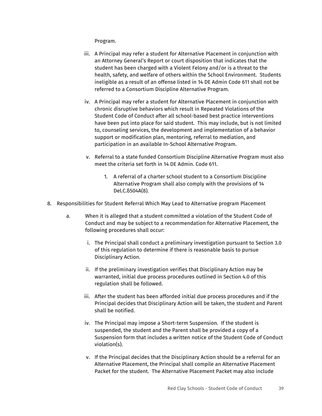Program.

- iii. A Principal may refer a student for Alternative Placement in conjunction with an Attorney General's Report or court disposition that indicates that the student has been charged with a Violent Felony and/or is a threat to the health, safety, and welfare of others within the School Environment. Students ineligible as a result of an offense listed in 14 DE Admin Code 611 shall not be referred to a Consortium Discipline Alternative Program.
- iv. A Principal may refer a student for Alternative Placement in conjunction with chronic disruptive behaviors which result in Repeated Violations of the Student Code of Conduct after all school-based best practice interventions have been put into place for said student. This may include, but is not limited to, counseling services, the development and implementation of a behavior support or modification plan, mentoring, referral to mediation, and participation in an available In-School Alternative Program.
- v. Referral to a state funded Consortium Discipline Alternative Program must also meet the criteria set forth in 14 DE Admin. Code 611.
	- 1. A referral of a charter school student to a Consortium Discipline Alternative Program shall also comply with the provisions of 14 Del.C.δ504A(8).
- 8. Responsibilities for Student Referral Which May Lead to Alternative program Placement
	- a. When it is alleged that a student committed a violation of the Student Code of Conduct and may be subject to a recommendation for Alternative Placement, the following procedures shall occur:
		- i. The Principal shall conduct a preliminary investigation pursuant to Section 3.0 of this regulation to determine if there is reasonable basis to pursue Disciplinary Action.
		- ii. If the preliminary investigation verifies that Disciplinary Action may be warranted, initial due process procedures outlined in Section 4.0 of this regulation shall be followed.
		- iii. After the student has been afforded initial due process procedures and if the Principal decides that Disciplinary Action will be taken, the student and Parent shall be notified.
		- iv. The Principal may impose a Short-term Suspension. If the student is suspended, the student and the Parent shall be provided a copy of a Suspension form that includes a written notice of the Student Code of Conduct violation(s).
		- v. If the Principal decides that the Disciplinary Action should be a referral for an Alternative Placement, the Principal shall compile an Alternative Placement Packet for the student. The Alternative Placement Packet may also include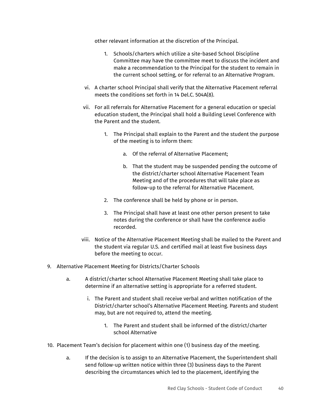other relevant information at the discretion of the Principal.

- 1. Schools/charters which utilize a site-based School Discipline Committee may have the committee meet to discuss the incident and make a recommendation to the Principal for the student to remain in the current school setting, or for referral to an Alternative Program.
- vi. A charter school Principal shall verify that the Alternative Placement referral meets the conditions set forth in 14 Del.C. 504A(8).
- vii. For all referrals for Alternative Placement for a general education or special education student, the Principal shall hold a Building Level Conference with the Parent and the student.
	- 1. The Principal shall explain to the Parent and the student the purpose of the meeting is to inform them:
		- a. Of the referral of Alternative Placement;
		- b. That the student may be suspended pending the outcome of the district/charter school Alternative Placement Team Meeting and of the procedures that will take place as follow-up to the referral for Alternative Placement.
	- 2. The conference shall be held by phone or in person.
	- 3. The Principal shall have at least one other person present to take notes during the conference or shall have the conference audio recorded.
- viii. Notice of the Alternative Placement Meeting shall be mailed to the Parent and the student via regular U.S. and certified mail at least five business days before the meeting to occur.
- 9. Alternative Placement Meeting for Districts/Charter Schools
	- a. A district/charter school Alternative Placement Meeting shall take place to determine if an alternative setting is appropriate for a referred student.
		- i. The Parent and student shall receive verbal and written notification of the District/charter school's Alternative Placement Meeting. Parents and student may, but are not required to, attend the meeting.
			- 1. The Parent and student shall be informed of the district/charter school Alternative
- 10. Placement Team's decision for placement within one (1) business day of the meeting.
	- a. If the decision is to assign to an Alternative Placement, the Superintendent shall send follow-up written notice within three (3) business days to the Parent describing the circumstances which led to the placement, identifying the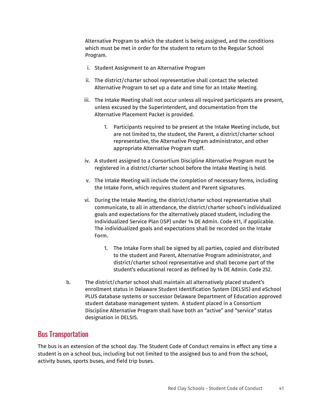Alternative Program to which the student is being assigned, and the conditions which must be met in order for the student to return to the Regular School Program.

- i. Student Assignment to an Alternative Program
- ii. The district/charter school representative shall contact the selected Alternative Program to set up a date and time for an Intake Meeting.
- iii. The Intake Meeting shall not occur unless all required participants are present, unless excused by the Superintendent, and documentation from the Alternative Placement Packet is provided.
	- 1. Participants required to be present at the Intake Meeting include, but are not limited to, the student, the Parent, a district/charter school representative, the Alternative Program administrator, and other appropriate Alternative Program staff.
- iv. A student assigned to a Consortium Discipline Alternative Program must be registered in a district/charter school before the Intake Meeting is held.
- v. The Intake Meeting will include the completion of necessary forms, including the Intake Form, which requires student and Parent signatures.
- vi. During the Intake Meeting, the district/charter school representative shall communicate, to all in attendance, the district/charter school's individualized goals and expectations for the alternatively placed student, including the Individualized Service Plan (ISP) under 14 DE Admin. Code 611, if applicable. The individualized goals and expectations shall be recorded on the Intake Form.
	- 1. The Intake Form shall be signed by all parties, copied and distributed to the student and Parent, Alternative Program administrator, and district/charter school representative and shall become part of the student's educational record as defined by 14 DE Admin. Code 252.
- b. The district/charter school shall maintain all alternatively placed student's enrollment status in Delaware Student Identification System (DELSIS) and eSchool PLUS database systems or successor Delaware Department of Education approved student database management system. A student placed in a Consortium Discipline Alternative Program shall have both an "active" and "service" status designation in DELSIS.

## Bus Transportation

The bus is an extension of the school day. The Student Code of Conduct remains in effect any time a student is on a school bus, including but not limited to the assigned bus to and from the school, activity buses, sports buses, and field trip buses.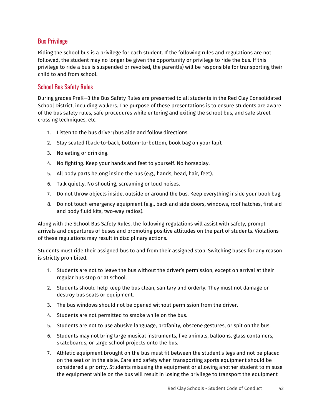## Bus Privilege

Riding the school bus is a privilege for each student. If the following rules and regulations are not followed, the student may no longer be given the opportunity or privilege to ride the bus. If this privilege to ride a bus is suspended or revoked, the parent(s) will be responsible for transporting their child to and from school.

### School Bus Safety Rules

During grades PreK—3 the Bus Safety Rules are presented to all students in the Red Clay Consolidated School District, including walkers. The purpose of these presentations is to ensure students are aware of the bus safety rules, safe procedures while entering and exiting the school bus, and safe street crossing techniques, etc.

- 1. Listen to the bus driver/bus aide and follow directions.
- 2. Stay seated (back-to-back, bottom-to-bottom, book bag on your lap).
- 3. No eating or drinking.
- 4. No fighting. Keep your hands and feet to yourself. No horseplay.
- 5. All body parts belong inside the bus (e.g., hands, head, hair, feet).
- 6. Talk quietly. No shouting, screaming or loud noises.
- 7. Do not throw objects inside, outside or around the bus. Keep everything inside your book bag.
- 8. Do not touch emergency equipment (e.g., back and side doors, windows, roof hatches, first aid and body fluid kits, two-way radios).

Along with the School Bus Safety Rules, the following regulations will assist with safety, prompt arrivals and departures of buses and promoting positive attitudes on the part of students. Violations of these regulations may result in disciplinary actions.

Students must ride their assigned bus to and from their assigned stop. Switching buses for any reason is strictly prohibited.

- 1. Students are not to leave the bus without the driver's permission, except on arrival at their regular bus stop or at school.
- 2. Students should help keep the bus clean, sanitary and orderly. They must not damage or destroy bus seats or equipment.
- 3. The bus windows should not be opened without permission from the driver.
- 4. Students are not permitted to smoke while on the bus.
- 5. Students are not to use abusive language, profanity, obscene gestures, or spit on the bus.
- 6. Students may not bring large musical instruments, live animals, balloons, glass containers, skateboards, or large school projects onto the bus.
- 7. Athletic equipment brought on the bus must fit between the student's legs and not be placed on the seat or in the aisle. Care and safety when transporting sports equipment should be considered a priority. Students misusing the equipment or allowing another student to misuse the equipment while on the bus will result in losing the privilege to transport the equipment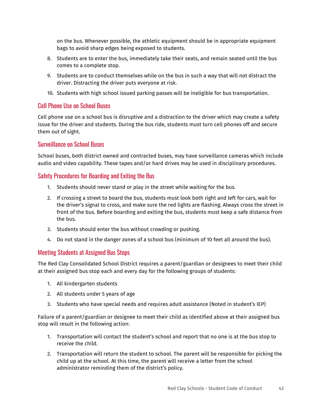on the bus. Whenever possible, the athletic equipment should be in appropriate equipment bags to avoid sharp edges being exposed to students.

- 8. Students are to enter the bus, immediately take their seats, and remain seated until the bus comes to a complete stop.
- 9. Students are to conduct themselves while on the bus in such a way that will not distract the driver. Distracting the driver puts everyone at risk.
- 10. Students with high school issued parking passes will be ineligible for bus transportation.

#### Cell Phone Use on School Buses

Cell phone use on a school bus is disruptive and a distraction to the driver which may create a safety issue for the driver and students. During the bus ride, students must turn cell phones off and secure them out of sight.

#### Surveillance on School Buses

School buses, both district owned and contracted buses, may have surveillance cameras which include audio and video capability. These tapes and/or hard drives may be used in disciplinary procedures.

### Safety Procedures for Boarding and Exiting the Bus

- 1. Students should never stand or play in the street while waiting for the bus.
- 2. If crossing a street to board the bus, students must look both right and left for cars, wait for the driver's signal to cross, and make sure the red lights are flashing. Always cross the street in front of the bus. Before boarding and exiting the bus, students must keep a safe distance from the bus.
- 3. Students should enter the bus without crowding or pushing.
- 4. Do not stand in the danger zones of a school bus (minimum of 10 feet all around the bus).

## Meeting Students at Assigned Bus Stops

The Red Clay Consolidated School District requires a parent/guardian or designees to meet their child at their assigned bus stop each and every day for the following groups of students:

- 1. All kindergarten students
- 2. All students under 5 years of age
- 3. Students who have special needs and requires adult assistance (Noted in student's IEP)

Failure of a parent/guardian or designee to meet their child as identified above at their assigned bus stop will result in the following action:

- 1. Transportation will contact the student's school and report that no one is at the bus stop to receive the child.
- 2. Transportation will return the student to school. The parent will be responsible for picking the child up at the school. At this time, the parent will receive a letter from the school administrator reminding them of the district's policy.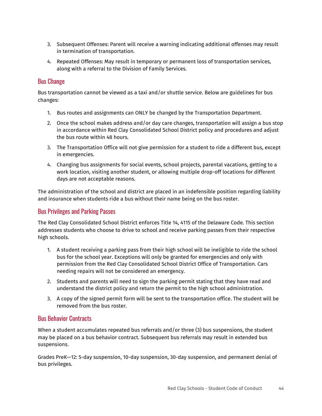- 3. Subsequent Offenses: Parent will receive a warning indicating additional offenses may result in termination of transportation.
- 4. Repeated Offenses: May result in temporary or permanent loss of transportation services, along with a referral to the Division of Family Services.

### Bus Change

Bus transportation cannot be viewed as a taxi and/or shuttle service. Below are guidelines for bus changes:

- 1. Bus routes and assignments can ONLY be changed by the Transportation Department.
- 2. Once the school makes address and/or day care changes, transportation will assign a bus stop in accordance within Red Clay Consolidated School District policy and procedures and adjust the bus route within 48 hours.
- 3. The Transportation Office will not give permission for a student to ride a different bus, except in emergencies.
- 4. Changing bus assignments for social events, school projects, parental vacations, getting to a work location, visiting another student, or allowing multiple drop-off locations for different days are not acceptable reasons.

The administration of the school and district are placed in an indefensible position regarding liability and insurance when students ride a bus without their name being on the bus roster.

## Bus Privileges and Parking Passes

The Red Clay Consolidated School District enforces Title 14, 4115 of the Delaware Code. This section addresses students who choose to drive to school and receive parking passes from their respective high schools.

- 1. A student receiving a parking pass from their high school will be ineligible to ride the school bus for the school year. Exceptions will only be granted for emergencies and only with permission from the Red Clay Consolidated School District Office of Transportation. Cars needing repairs will not be considered an emergency.
- 2. Students and parents will need to sign the parking permit stating that they have read and understand the district policy and return the permit to the high school administration.
- 3. A copy of the signed permit form will be sent to the transportation office. The student will be removed from the bus roster.

## Bus Behavior Contracts

When a student accumulates repeated bus referrals and/or three (3) bus suspensions, the student may be placed on a bus behavior contract. Subsequent bus referrals may result in extended bus suspensions.

Grades PreK—12: 5-day suspension, 10-day suspension, 30-day suspension, and permanent denial of bus privileges.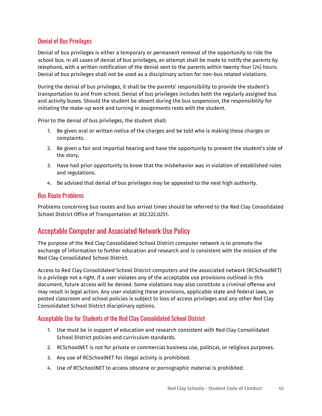## Denial of Bus Privileges

Denial of bus privileges is either a temporary or permanent removal of the opportunity to ride the school bus. In all cases of denial of bus privileges, an attempt shall be made to notify the parents by telephone, with a written notification of the denial sent to the parents within twenty-four (24) hours. Denial of bus privileges shall not be used as a disciplinary action for non-bus related violations.

During the denial of bus privileges, it shall be the parents' responsibility to provide the student's transportation to and from school. Denial of bus privileges includes both the regularly assigned bus and activity buses. Should the student be absent during the bus suspension, the responsibility for initiating the make-up work and turning in assignments rests with the student.

Prior to the denial of bus privileges, the student shall:

- 1. Be given oral or written notice of the charges and be told who is making these charges or complaints.
- 2. Be given a fair and impartial hearing and have the opportunity to present the student's side of the story.
- 3. Have had prior opportunity to know that the misbehavior was in violation of established rules and regulations.
- 4. Be advised that denial of bus privileges may be appealed to the next high authority.

#### Bus Route Problems

Problems concerning bus routes and bus arrival times should be referred to the Red Clay Consolidated School District Office of Transportation at 302.322.0251.

## Acceptable Computer and Associated Network Use Policy

The purpose of the Red Clay Consolidated School District computer network is to promote the exchange of information to further education and research and is consistent with the mission of the Red Clay Consolidated School District.

Access to Red Clay Consolidated School District computers and the associated network (RCSchoolNET) is a privilege not a right. If a user violates any of the acceptable use provisions outlined in this document, future access will be denied. Some violations may also constitute a criminal offense and may result in legal action. Any user violating these provisions, applicable state and federal laws, or posted classroom and school policies is subject to loss of access privileges and any other Red Clay Consolidated School District disciplinary options.

## Acceptable Use for Students of the Red Clay Consolidated School District

- 1. Use must be in support of education and research consistent with Red Clay Consolidated School District policies and curriculum standards.
- 2. RCSchoolNET is not for private or commercial business use, political, or religious purposes.
- 3. Any use of RCSchoolNET for illegal activity is prohibited.
- 4. Use of RCSchoolNET to access obscene or pornographic material is prohibited.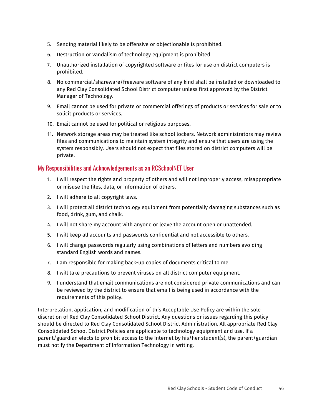- 5. Sending material likely to be offensive or objectionable is prohibited.
- 6. Destruction or vandalism of technology equipment is prohibited.
- 7. Unauthorized installation of copyrighted software or files for use on district computers is prohibited.
- 8. No commercial/shareware/freeware software of any kind shall be installed or downloaded to any Red Clay Consolidated School District computer unless first approved by the District Manager of Technology.
- 9. Email cannot be used for private or commercial offerings of products or services for sale or to solicit products or services.
- 10. Email cannot be used for political or religious purposes.
- 11. Network storage areas may be treated like school lockers. Network administrators may review files and communications to maintain system integrity and ensure that users are using the system responsibly. Users should not expect that files stored on district computers will be private.

#### My Responsibilities and Acknowledgements as an RCSchoolNET User

- 1. I will respect the rights and property of others and will not improperly access, misappropriate or misuse the files, data, or information of others.
- 2. I will adhere to all copyright laws.
- 3. I will protect all district technology equipment from potentially damaging substances such as food, drink, gum, and chalk.
- 4. I will not share my account with anyone or leave the account open or unattended.
- 5. I will keep all accounts and passwords confidential and not accessible to others.
- 6. I will change passwords regularly using combinations of letters and numbers avoiding standard English words and names.
- 7. I am responsible for making back-up copies of documents critical to me.
- 8. I will take precautions to prevent viruses on all district computer equipment.
- 9. I understand that email communications are not considered private communications and can be reviewed by the district to ensure that email is being used in accordance with the requirements of this policy.

Interpretation, application, and modification of this Acceptable Use Policy are within the sole discretion of Red Clay Consolidated School District. Any questions or issues regarding this policy should be directed to Red Clay Consolidated School District Administration. All appropriate Red Clay Consolidated School District Policies are applicable to technology equipment and use. If a parent/guardian elects to prohibit access to the Internet by his/her student(s), the parent/guardian must notify the Department of Information Technology in writing.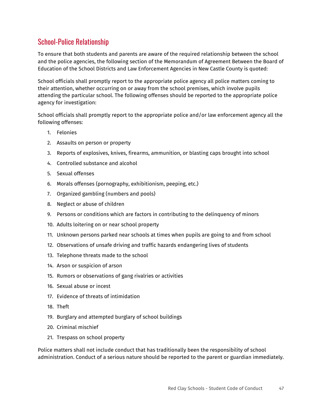## School-Police Relationship

To ensure that both students and parents are aware of the required relationship between the school and the police agencies, the following section of the Memorandum of Agreement Between the Board of Education of the School Districts and Law Enforcement Agencies in New Castle County is quoted:

School officials shall promptly report to the appropriate police agency all police matters coming to their attention, whether occurring on or away from the school premises, which involve pupils attending the particular school. The following offenses should be reported to the appropriate police agency for investigation:

School officials shall promptly report to the appropriate police and/or law enforcement agency all the following offenses:

- 1. Felonies
- 2. Assaults on person or property
- 3. Reports of explosives, knives, firearms, ammunition, or blasting caps brought into school
- 4. Controlled substance and alcohol
- 5. Sexual offenses
- 6. Morals offenses (pornography, exhibitionism, peeping, etc.)
- 7. Organized gambling (numbers and pools)
- 8. Neglect or abuse of children
- 9. Persons or conditions which are factors in contributing to the delinquency of minors
- 10. Adults loitering on or near school property
- 11. Unknown persons parked near schools at times when pupils are going to and from school
- 12. Observations of unsafe driving and traffic hazards endangering lives of students
- 13. Telephone threats made to the school
- 14. Arson or suspicion of arson
- 15. Rumors or observations of gang rivalries or activities
- 16. Sexual abuse or incest
- 17. Evidence of threats of intimidation
- 18. Theft
- 19. Burglary and attempted burglary of school buildings
- 20. Criminal mischief
- 21. Trespass on school property

Police matters shall not include conduct that has traditionally been the responsibility of school administration. Conduct of a serious nature should be reported to the parent or guardian immediately.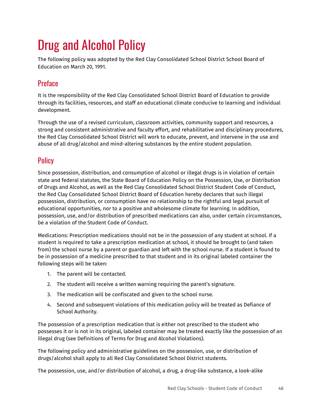# Drug and Alcohol Policy

The following policy was adopted by the Red Clay Consolidated School District School Board of Education on March 20, 1991.

## **Preface**

It is the responsibility of the Red Clay Consolidated School District Board of Education to provide through its facilities, resources, and staff an educational climate conducive to learning and individual development.

Through the use of a revised curriculum, classroom activities, community support and resources, a strong and consistent administrative and faculty effort, and rehabilitative and disciplinary procedures, the Red Clay Consolidated School District will work to educate, prevent, and intervene in the use and abuse of all drug/alcohol and mind-altering substances by the entire student population.

## **Policy**

Since possession, distribution, and consumption of alcohol or illegal drugs is in violation of certain state and federal statutes, the State Board of Education Policy on the Possession, Use, or Distribution of Drugs and Alcohol, as well as the Red Clay Consolidated School District Student Code of Conduct, the Red Clay Consolidated School District Board of Education hereby declares that such illegal possession, distribution, or consumption have no relationship to the rightful and legal pursuit of educational opportunities, nor to a positive and wholesome climate for learning. In addition, possession, use, and/or distribution of prescribed medications can also, under certain circumstances, be a violation of the Student Code of Conduct.

Medications: Prescription medications should not be in the possession of any student at school. If a student is required to take a prescription medication at school, it should be brought to (and taken from) the school nurse by a parent or guardian and left with the school nurse. If a student is found to be in possession of a medicine prescribed to that student and in its original labeled container the following steps will be taken:

- 1. The parent will be contacted.
- 2. The student will receive a written warning requiring the parent's signature.
- 3. The medication will be confiscated and given to the school nurse.
- 4. Second and subsequent violations of this medication policy will be treated as Defiance of School Authority.

The possession of a prescription medication that is either not prescribed to the student who possesses it or is not in its original, labeled container may be treated exactly like the possession of an illegal drug (see Definitions of Terms for Drug and Alcohol Violations).

The following policy and administrative guidelines on the possession, use, or distribution of drugs/alcohol shall apply to all Red Clay Consolidated School District students.

The possession, use, and/or distribution of alcohol, a drug, a drug-like substance, a look-alike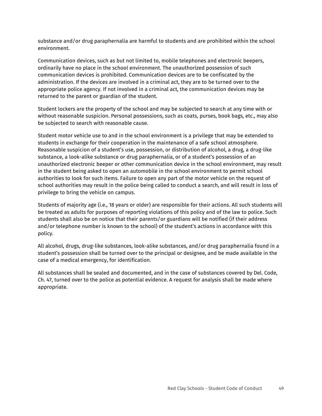substance and/or drug paraphernalia are harmful to students and are prohibited within the school environment.

Communication devices, such as but not limited to, mobile telephones and electronic beepers, ordinarily have no place in the school environment. The unauthorized possession of such communication devices is prohibited. Communication devices are to be confiscated by the administration. If the devices are involved in a criminal act, they are to be turned over to the appropriate police agency. If not involved in a criminal act, the communication devices may be returned to the parent or guardian of the student.

Student lockers are the property of the school and may be subjected to search at any time with or without reasonable suspicion. Personal possessions, such as coats, purses, book bags, etc., may also be subjected to search with reasonable cause.

Student motor vehicle use to and in the school environment is a privilege that may be extended to students in exchange for their cooperation in the maintenance of a safe school atmosphere. Reasonable suspicion of a student's use, possession, or distribution of alcohol, a drug, a drug-like substance, a look-alike substance or drug paraphernalia, or of a student's possession of an unauthorized electronic beeper or other communication device in the school environment, may result in the student being asked to open an automobile in the school environment to permit school authorities to look for such items. Failure to open any part of the motor vehicle on the request of school authorities may result in the police being called to conduct a search, and will result in loss of privilege to bring the vehicle on campus.

Students of majority age (i.e., 18 years or older) are responsible for their actions. All such students will be treated as adults for purposes of reporting violations of this policy and of the law to police. Such students shall also be on notice that their parents/or guardians will be notified (if their address and/or telephone number is known to the school) of the student's actions in accordance with this policy.

All alcohol, drugs, drug-like substances, look-alike substances, and/or drug paraphernalia found in a student's possession shall be turned over to the principal or designee, and be made available in the case of a medical emergency, for identification.

All substances shall be sealed and documented, and in the case of substances covered by Del. Code, Ch. 47, turned over to the police as potential evidence. A request for analysis shall be made where appropriate.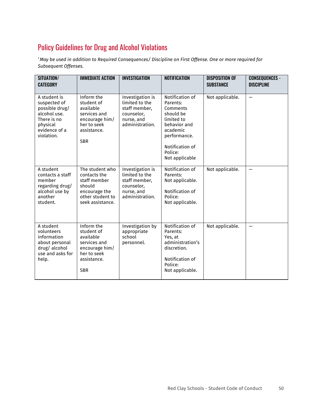# Policy Guidelines for Drug and Alcohol Violations

<sup>1</sup> May be used in addition to Required Consequences/ Discipline on First Offense. One or more required for *Subsequent Offenses.*

| SITUATION/<br><b>CATEGORY</b>                                                                                            | <b>IMMEDIATE ACTION</b>                                                                                             | <b>INVESTIGATION</b>                                                                               | <b>NOTIFICATION</b>                                                                                                                                            | <b>DISPOSITION OF</b><br><b>SUBSTANCE</b> | <b>CONSEQUENCES -</b><br><b>DISCIPLINE</b> |
|--------------------------------------------------------------------------------------------------------------------------|---------------------------------------------------------------------------------------------------------------------|----------------------------------------------------------------------------------------------------|----------------------------------------------------------------------------------------------------------------------------------------------------------------|-------------------------------------------|--------------------------------------------|
| A student is<br>suspected of<br>possible drug/<br>alcohol use.<br>There is no<br>physical<br>evidence of a<br>violation. | Inform the<br>student of<br>available<br>services and<br>encourage him/<br>her to seek<br>assistance.<br><b>SBR</b> | Investigation is<br>limited to the<br>staff member,<br>counselor,<br>nurse, and<br>administration. | Notification of<br>Parents:<br>Comments<br>should be<br>limited to<br>behavior and<br>academic<br>performance.<br>Notification of<br>Police:<br>Not applicable | Not applicable.                           |                                            |
| A student<br>contacts a staff<br>member<br>regarding drug/<br>alcohol use by<br>another<br>student.                      | The student who<br>contacts the<br>staff member<br>should<br>encourage the<br>other student to<br>seek assistance.  | Investigation is<br>limited to the<br>staff member,<br>counselor,<br>nurse, and<br>administration. | Notification of<br>Parents:<br>Not applicable.<br>Notification of<br>Police:<br>Not applicable.                                                                | Not applicable.                           |                                            |
| A student<br>volunteers<br>information<br>about personal<br>drug/alcohol<br>use and asks for<br>help.                    | Inform the<br>student of<br>available<br>services and<br>encourage him/<br>her to seek<br>assistance.<br><b>SBR</b> | Investigation by<br>appropriate<br>school<br>personnel.                                            | Notification of<br>Parents:<br>Yes, at<br>administration's<br>discretion.<br>Notification of<br>Police:<br>Not applicable.                                     | Not applicable.                           |                                            |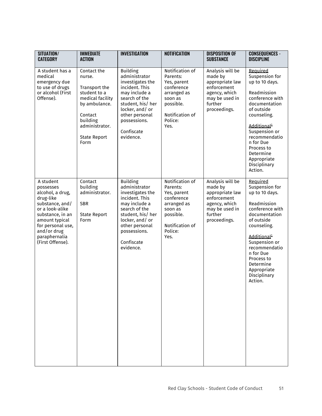| SITUATION/<br><b>CATEGORY</b>                                                                                                                                                                                | <b>IMMEDIATE</b><br><b>ACTION</b>                                                                                                                                   | <b>INVESTIGATION</b>                                                                                                                                                                                         | <b>NOTIFICATION</b>                                                                                                                   | <b>DISPOSITION OF</b><br><b>SUBSTANCE</b>                                                                                   | <b>CONSEQUENCES -</b><br><b>DISCIPLINE</b>                                                                                                                                                                                                                                  |
|--------------------------------------------------------------------------------------------------------------------------------------------------------------------------------------------------------------|---------------------------------------------------------------------------------------------------------------------------------------------------------------------|--------------------------------------------------------------------------------------------------------------------------------------------------------------------------------------------------------------|---------------------------------------------------------------------------------------------------------------------------------------|-----------------------------------------------------------------------------------------------------------------------------|-----------------------------------------------------------------------------------------------------------------------------------------------------------------------------------------------------------------------------------------------------------------------------|
| A student has a<br>medical<br>emergency due<br>to use of drugs<br>or alcohol (First<br>Offense).                                                                                                             | Contact the<br>nurse.<br>Transport the<br>student to a<br>medical facility<br>by ambulance.<br>Contact<br>building<br>administrator.<br><b>State Report</b><br>Form | <b>Building</b><br>administrator<br>investigates the<br>incident. This<br>may include a<br>search of the<br>student, his/ her<br>locker, and/or<br>other personal<br>possessions.<br>Confiscate<br>evidence. | Notification of<br>Parents:<br>Yes, parent<br>conference<br>arranged as<br>soon as<br>possible.<br>Notification of<br>Police:<br>Yes. | Analysis will be<br>made by<br>appropriate law<br>enforcement<br>agency, which<br>may be used in<br>further<br>proceedings. | Required<br>Suspension for<br>up to 10 days.<br>Readmission<br>conference with<br>documentation<br>of outside<br>counseling.<br>Additional <sup>1</sup><br>Suspension or<br>recommendatio<br>n for Due<br>Process to<br>Determine<br>Appropriate<br>Disciplinary<br>Action. |
| A student<br>possesses<br>alcohol, a drug,<br>drug-like<br>substance, and/<br>or a look-alike<br>substance, in an<br>amount typical<br>for personal use,<br>and/or drug<br>paraphernalia<br>(First Offense). | Contact<br>building<br>administrator.<br><b>SBR</b><br><b>State Report</b><br>Form                                                                                  | <b>Building</b><br>administrator<br>investigates the<br>incident. This<br>may include a<br>search of the<br>student, his/ her<br>locker, and/or<br>other personal<br>possessions.<br>Confiscate<br>evidence. | Notification of<br>Parents:<br>Yes, parent<br>conference<br>arranged as<br>soon as<br>possible.<br>Notification of<br>Police:<br>Yes. | Analysis will be<br>made by<br>appropriate law<br>enforcement<br>agency, which<br>may be used in<br>further<br>proceedings. | Required<br>Suspension for<br>up to 10 days.<br>Readmission<br>conference with<br>documentation<br>of outside<br>counseling.<br>Additional <sup>1</sup><br>Suspension or<br>recommendatio<br>n for Due<br>Process to<br>Determine<br>Appropriate<br>Disciplinary<br>Action. |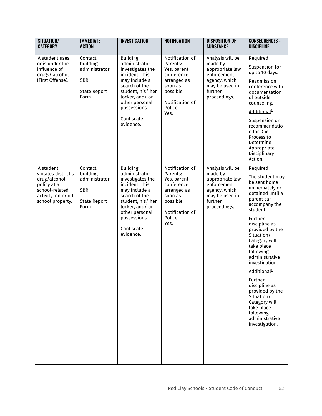| SITUATION/<br><b>CATEGORY</b>                                                                                                | <b>IMMEDIATE</b><br><b>ACTION</b>                                                  | <b>INVESTIGATION</b>                                                                                                                                                                                         | <b>NOTIFICATION</b>                                                                                                                   | <b>DISPOSITION OF</b><br><b>SUBSTANCE</b>                                                                                   | <b>CONSEQUENCES -</b><br><b>DISCIPLINE</b>                                                                                                                                                                                                                                                                                                                                                                                                        |
|------------------------------------------------------------------------------------------------------------------------------|------------------------------------------------------------------------------------|--------------------------------------------------------------------------------------------------------------------------------------------------------------------------------------------------------------|---------------------------------------------------------------------------------------------------------------------------------------|-----------------------------------------------------------------------------------------------------------------------------|---------------------------------------------------------------------------------------------------------------------------------------------------------------------------------------------------------------------------------------------------------------------------------------------------------------------------------------------------------------------------------------------------------------------------------------------------|
| A student uses<br>or is under the<br>influence of<br>drugs/alcohol<br>(First Offense).                                       | Contact<br>building<br>administrator.<br><b>SBR</b><br><b>State Report</b><br>Form | <b>Building</b><br>administrator<br>investigates the<br>incident. This<br>may include a<br>search of the<br>student, his/ her<br>locker, and/or<br>other personal<br>possessions.<br>Confiscate<br>evidence. | Notification of<br>Parents:<br>Yes, parent<br>conference<br>arranged as<br>soon as<br>possible.<br>Notification of<br>Police:<br>Yes. | Analysis will be<br>made by<br>appropriate law<br>enforcement<br>agency, which<br>may be used in<br>further<br>proceedings. | Required<br>Suspension for<br>up to 10 days.<br>Readmission<br>conference with<br>documentation<br>of outside<br>counseling.<br>Additional <sup>1</sup><br>Suspension or<br>recommendatio<br>n for Due<br>Process to<br>Determine<br>Appropriate<br>Disciplinary<br>Action.                                                                                                                                                                       |
| A student<br>violates district's<br>drug/alcohol<br>policy at a<br>school-related<br>activity, on or off<br>school property. | Contact<br>building<br>administrator.<br><b>SBR</b><br><b>State Report</b><br>Form | <b>Building</b><br>administrator<br>investigates the<br>incident. This<br>may include a<br>search of the<br>student, his/ her<br>locker, and/or<br>other personal<br>possessions.<br>Confiscate<br>evidence. | Notification of<br>Parents:<br>Yes, parent<br>conference<br>arranged as<br>soon as<br>possible.<br>Notification of<br>Police:<br>Yes. | Analysis will be<br>made by<br>appropriate law<br>enforcement<br>agency, which<br>may be used in<br>further<br>proceedings. | Required<br>The student may<br>be sent home<br>immediately or<br>detained until a<br>parent can<br>accompany the<br>student.<br>Further<br>discipline as<br>provided by the<br>Situation/<br>Category will<br>take place<br>following<br>administrative<br>investigation.<br>Additional <sup>1</sup><br>Further<br>discipline as<br>provided by the<br>Situation/<br>Category will<br>take place<br>following<br>administrative<br>investigation. |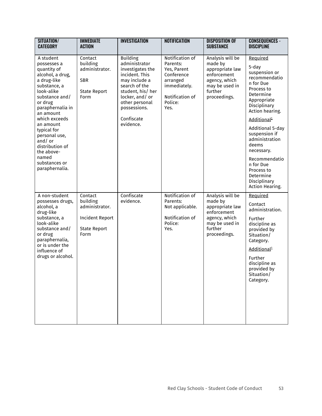| SITUATION/<br><b>CATEGORY</b>                                                                                                                                                                     | <b>IMMEDIATE</b><br><b>ACTION</b>                                                              | <b>INVESTIGATION</b>                                                                                                                                                              | <b>NOTIFICATION</b>                                                                                                        | <b>DISPOSITION OF</b><br><b>SUBSTANCE</b>                                                                                   | <b>CONSEQUENCES -</b><br><b>DISCIPLINE</b>                                                                                                                                                                    |
|---------------------------------------------------------------------------------------------------------------------------------------------------------------------------------------------------|------------------------------------------------------------------------------------------------|-----------------------------------------------------------------------------------------------------------------------------------------------------------------------------------|----------------------------------------------------------------------------------------------------------------------------|-----------------------------------------------------------------------------------------------------------------------------|---------------------------------------------------------------------------------------------------------------------------------------------------------------------------------------------------------------|
| A student<br>possesses a<br>quantity of<br>alcohol, a drug,<br>a drug-like<br>substance, a<br>look-alike<br>substance and/<br>or drug<br>paraphernalia in<br>an amount                            | Contact<br>building<br>administrator.<br><b>SBR</b><br><b>State Report</b><br>Form             | <b>Building</b><br>administrator<br>investigates the<br>incident. This<br>may include a<br>search of the<br>student, his/ her<br>locker, and/or<br>other personal<br>possessions. | Notification of<br>Parents:<br>Yes, Parent<br>Conference<br>arranged<br>immediately.<br>Notification of<br>Police:<br>Yes. | Analysis will be<br>made by<br>appropriate law<br>enforcement<br>agency, which<br>may be used in<br>further<br>proceedings. | Required<br>5-day<br>suspension or<br>recommendatio<br>n for Due<br>Process to<br>Determine<br>Appropriate<br>Disciplinary<br>Action hearing.                                                                 |
| which exceeds<br>an amount<br>typical for<br>personal use,<br>and/or<br>distribution of<br>the above-<br>named<br>substances or<br>paraphernalia.                                                 |                                                                                                | Confiscate<br>evidence.                                                                                                                                                           |                                                                                                                            |                                                                                                                             | Additional <sup>1</sup><br>Additional 5-day<br>suspension if<br>administration<br>deems<br>necessary.<br>Recommendatio<br>n for Due<br>Process to<br>Determine<br>Disciplinary<br>Action Hearing.             |
| A non-student<br>possesses drugs,<br>alcohol, a<br>drug-like<br>substance, a<br>look-alike<br>substance and/<br>or drug<br>paraphernalia,<br>or is under the<br>influence of<br>drugs or alcohol. | Contact<br>building<br>administrator.<br><b>Incident Report</b><br><b>State Report</b><br>Form | Confiscate<br>evidence.                                                                                                                                                           | Notification of<br>Parents:<br>Not applicable.<br>Notification of<br>Police:<br>Yes.                                       | Analysis will be<br>made by<br>appropriate law<br>enforcement<br>agency, which<br>may be used in<br>further<br>proceedings. | Required<br>Contact<br>administration.<br>Further<br>discipline as<br>provided by<br>Situation/<br>Category.<br>Additional <sup>1</sup><br>Further<br>discipline as<br>provided by<br>Situation/<br>Category. |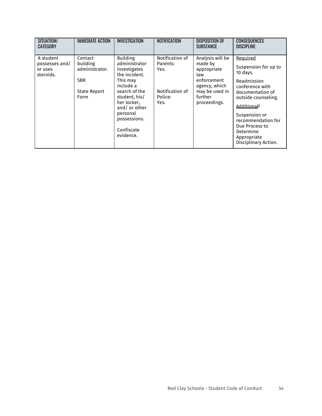| SITUATION/<br>CATEGORY                              | <b>IMMEDIATE ACTION</b>                                                            | <b>INVESTIGATION</b>                                                                                                                                                                                               | <b>NOTIFICATION</b>                                                       | <b>DISPOSITION OF</b><br><b>SUBSTANCE</b>                                                                                      | <b>CONSEQUENCES</b><br><b>DISCIPLINE</b>                                                                                                                                                                                                                          |
|-----------------------------------------------------|------------------------------------------------------------------------------------|--------------------------------------------------------------------------------------------------------------------------------------------------------------------------------------------------------------------|---------------------------------------------------------------------------|--------------------------------------------------------------------------------------------------------------------------------|-------------------------------------------------------------------------------------------------------------------------------------------------------------------------------------------------------------------------------------------------------------------|
| A student<br>possesses and/<br>or uses<br>steroids. | Contact<br>building<br>administrator.<br><b>SBR</b><br><b>State Report</b><br>Form | <b>Building</b><br>administrator<br>investigates<br>the incident.<br>This mav<br>include a<br>search of the<br>student, his/<br>her locker.<br>and/or other<br>personal<br>possessions.<br>Confiscate<br>evidence. | Notification of<br>Parents:<br>Yes.<br>Notification of<br>Police:<br>Yes. | Analysis will be<br>made by<br>appropriate<br>law<br>enforcement<br>agency, which<br>may be used in<br>further<br>proceedings. | Required<br>Suspension for up to<br>10 days.<br>Readmission<br>conference with<br>documentation of<br>outside counseling.<br>Additional <sup>1</sup><br>Suspension or<br>recommendation for<br>Due Process to<br>Determine<br>Appropriate<br>Disciplinary Action. |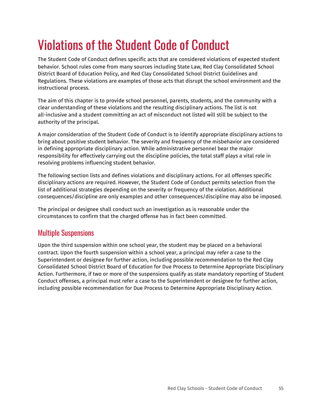# Violations of the Student Code of Conduct

The Student Code of Conduct defines specific acts that are considered violations of expected student behavior. School rules come from many sources including State Law, Red Clay Consolidated School District Board of Education Policy, and Red Clay Consolidated School District Guidelines and Regulations. These violations are examples of those acts that disrupt the school environment and the instructional process.

The aim of this chapter is to provide school personnel, parents, students, and the community with a clear understanding of these violations and the resulting disciplinary actions. The list is not all-inclusive and a student committing an act of misconduct not listed will still be subject to the authority of the principal.

A major consideration of the Student Code of Conduct is to identify appropriate disciplinary actions to bring about positive student behavior. The severity and frequency of the misbehavior are considered in defining appropriate disciplinary action. While administrative personnel bear the major responsibility for effectively carrying out the discipline policies, the total staff plays a vital role in resolving problems influencing student behavior.

The following section lists and defines violations and disciplinary actions. For all offenses specific disciplinary actions are required. However, the Student Code of Conduct permits selection from the list of additional strategies depending on the severity or frequency of the violation. Additional consequences/discipline are only examples and other consequences/discipline may also be imposed.

The principal or designee shall conduct such an investigation as is reasonable under the circumstances to confirm that the charged offense has in fact been committed.

## Multiple Suspensions

Upon the third suspension within one school year, the student may be placed on a behavioral contract. Upon the fourth suspension within a school year, a principal may refer a case to the Superintendent or designee for further action, including possible recommendation to the Red Clay Consolidated School District Board of Education for Due Process to Determine Appropriate Disciplinary Action. Furthermore, if two or more of the suspensions qualify as state mandatory reporting of Student Conduct offenses, a principal must refer a case to the Superintendent or designee for further action, including possible recommendation for Due Process to Determine Appropriate Disciplinary Action.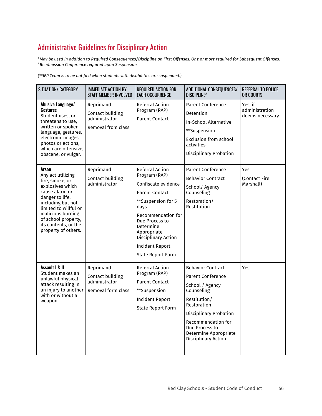# Administrative Guidelines for Disciplinary Action

<sup>2</sup> May be used in addition to Required Consequences/Discipline on First Offenses. One or more required for Subsequent Offenses. *<sup>3</sup> Readmission Conference required upon Suspension*

*(\*\*IEP Team is to be notified when students with disabilities are suspended.)*

| SITUATION/ CATEGORY                                                                                                                                                                                                                             | <b>IMMEDIATE ACTION BY</b><br>STAFF MEMBER INVOLVED                  | <b>REQUIRED ACTION FOR</b><br><b>EACH OCCURRENCE</b>                                                                                                                                                                                                            | ADDITIONAL CONSEQUENCES/<br><b>DISCIPLINE<sup>2</sup></b>                                                                                                                                                                                            | <b>REFERRAL TO POLICE</b><br>OR COURTS       |
|-------------------------------------------------------------------------------------------------------------------------------------------------------------------------------------------------------------------------------------------------|----------------------------------------------------------------------|-----------------------------------------------------------------------------------------------------------------------------------------------------------------------------------------------------------------------------------------------------------------|------------------------------------------------------------------------------------------------------------------------------------------------------------------------------------------------------------------------------------------------------|----------------------------------------------|
| Abusive Language/<br><b>Gestures</b><br>Student uses, or<br>threatens to use,<br>written or spoken<br>language, gestures,<br>electronic images,<br>photos or actions,<br>which are offensive,<br>obscene, or vulgar.                            | Reprimand<br>Contact building<br>administrator<br>Removal from class | Referral Action<br>Program (RAP)<br><b>Parent Contact</b>                                                                                                                                                                                                       | <b>Parent Conference</b><br>Detention<br><b>In-School Alternative</b><br>**Suspension<br><b>Exclusion from school</b><br>activities<br><b>Disciplinary Probation</b>                                                                                 | Yes, if<br>administration<br>deems necessary |
| Arson<br>Any act utilizing<br>fire, smoke, or<br>explosives which<br>cause alarm or<br>danger to life;<br>including but not<br>limited to willful or<br>malicious burning<br>of school property,<br>its contents, or the<br>property of others. | Reprimand<br>Contact building<br>administrator                       | Referral Action<br>Program (RAP)<br>Confiscate evidence<br><b>Parent Contact</b><br>**Suspension for 5<br>days<br>Recommendation for<br>Due Process to<br>Determine<br>Appropriate<br>Disciplinary Action<br><b>Incident Report</b><br><b>State Report Form</b> | <b>Parent Conference</b><br><b>Behavior Contract</b><br>School/ Agency<br>Counseling<br>Restoration/<br>Restitution                                                                                                                                  | Yes<br>(Contact Fire<br>Marshall)            |
| Assault   & II<br>Student makes an<br>unlawful physical<br>attack resulting in<br>an injury to another<br>with or without a<br>weapon.                                                                                                          | Reprimand<br>Contact building<br>administrator<br>Removal form class | <b>Referral Action</b><br>Program (RAP)<br><b>Parent Contact</b><br>**Suspension<br><b>Incident Report</b><br><b>State Report Form</b>                                                                                                                          | <b>Behavior Contract</b><br><b>Parent Conference</b><br>School / Agency<br>Counseling<br>Restitution/<br>Restoration<br><b>Disciplinary Probation</b><br>Recommendation for<br>Due Process to<br>Determine Appropriate<br><b>Disciplinary Action</b> | <b>Yes</b>                                   |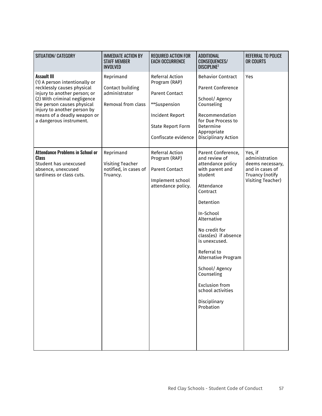| SITUATION/ CATEGORY                                                                                                                                                                                                                                                      | <b>IMMEDIATE ACTION BY</b><br><b>STAFF MEMBER</b><br><b>INVOLVED</b> | <b>REQUIRED ACTION FOR</b><br><b>EACH OCCURRENCE</b>                                                                                            | <b>ADDITIONAL</b><br>CONSEQUENCES/<br><b>DISCIPLINE2</b>                                                                                                                                                                                                                                                                                                             | <b>REFERRAL TO POLICE</b><br>OR COURTS                                                                   |
|--------------------------------------------------------------------------------------------------------------------------------------------------------------------------------------------------------------------------------------------------------------------------|----------------------------------------------------------------------|-------------------------------------------------------------------------------------------------------------------------------------------------|----------------------------------------------------------------------------------------------------------------------------------------------------------------------------------------------------------------------------------------------------------------------------------------------------------------------------------------------------------------------|----------------------------------------------------------------------------------------------------------|
| <b>Assault III</b><br>(1) A person intentionally or<br>recklessly causes physical<br>injury to another person; or<br>(2) With criminal negligence<br>the person causes physical<br>injury to another person by<br>means of a deadly weapon or<br>a dangerous instrument. | Reprimand<br>Contact building<br>administrator<br>Removal from class | Referral Action<br>Program (RAP)<br><b>Parent Contact</b><br>**Suspension<br>Incident Report<br><b>State Report Form</b><br>Confiscate evidence | <b>Behavior Contract</b><br><b>Parent Conference</b><br>School/ Agency<br>Counseling<br>Recommendation<br>for Due Process to<br>Determine<br>Appropriate<br>Disciplinary Action                                                                                                                                                                                      | Yes                                                                                                      |
| <b>Attendance Problems in School or</b><br><b>Class</b><br>Student has unexcused<br>absence, unexcused<br>tardiness or class cuts.                                                                                                                                       | Reprimand<br>Visiting Teacher<br>notified, in cases of<br>Truancy.   | Referral Action<br>Program (RAP)<br><b>Parent Contact</b><br>Implement school<br>attendance policy.                                             | Parent Conference,<br>and review of<br>attendance policy<br>with parent and<br>student<br>Attendance<br>Contract<br>Detention<br>In-School<br>Alternative<br>No credit for<br>class(es) if absence<br>is unexcused.<br>Referral to<br>Alternative Program<br>School/ Agency<br>Counseling<br><b>Exclusion from</b><br>school activities<br>Disciplinary<br>Probation | Yes, if<br>administration<br>deems necessary,<br>and in cases of<br>Truancy (notify<br>Visiting Teacher) |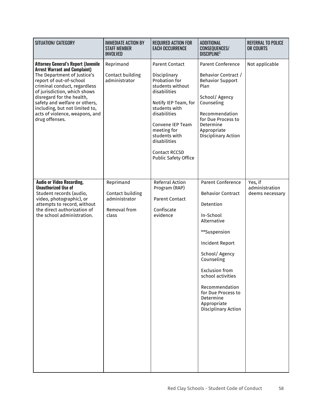| SITUATION/ CATEGORY                                                                                                                                                                                                                                                                                                                                              | <b>IMMEDIATE ACTION BY</b><br><b>STAFF MEMBER</b><br><b>INVOLVED</b>    | <b>REQUIRED ACTION FOR</b><br><b>EACH OCCURRENCE</b>                                                                                                                                                                                                                           | <b>ADDITIONAL</b><br>CONSEQUENCES/<br><b>DISCIPLINE2</b>                                                                                                                                                                                                                                                         | <b>REFERRAL TO POLICE</b><br>OR COURTS       |
|------------------------------------------------------------------------------------------------------------------------------------------------------------------------------------------------------------------------------------------------------------------------------------------------------------------------------------------------------------------|-------------------------------------------------------------------------|--------------------------------------------------------------------------------------------------------------------------------------------------------------------------------------------------------------------------------------------------------------------------------|------------------------------------------------------------------------------------------------------------------------------------------------------------------------------------------------------------------------------------------------------------------------------------------------------------------|----------------------------------------------|
| <b>Attorney General's Report (Juvenile</b><br><b>Arrest Warrant and Complaint)</b><br>The Department of Justice's<br>report of out-of-school<br>criminal conduct, regardless<br>of jurisdiction, which shows<br>disregard for the health,<br>safety and welfare or others,<br>including, but not limited to,<br>acts of violence, weapons, and<br>drug offenses. | Reprimand<br>Contact building<br>administrator                          | <b>Parent Contact</b><br>Disciplinary<br>Probation for<br>students without<br>disabilities<br>Notify IEP Team, for<br>students with<br>disabilities<br>Convene IEP Team<br>meeting for<br>students with<br>disabilities<br><b>Contact RCCSD</b><br><b>Public Safety Office</b> | <b>Parent Conference</b><br>Behavior Contract /<br><b>Behavior Support</b><br>Plan<br>School/ Agency<br>Counseling<br>Recommendation<br>for Due Process to<br>Determine<br>Appropriate<br>Disciplinary Action                                                                                                    | Not applicable                               |
| <b>Audio or Video Recording,</b><br><b>Unauthorized Use of</b><br>Student records (audio,<br>video, photographic), or<br>attempts to record, without<br>the direct authorization of<br>the school administration.                                                                                                                                                | Reprimand<br>Contact building<br>administrator<br>Removal from<br>class | <b>Referral Action</b><br>Program (RAP)<br><b>Parent Contact</b><br>Confiscate<br>evidence                                                                                                                                                                                     | <b>Parent Conference</b><br><b>Behavior Contract</b><br>Detention<br>In-School<br>Alternative<br>**Suspension<br><b>Incident Report</b><br>School/ Agency<br>Counseling<br><b>Exclusion from</b><br>school activities<br>Recommendation<br>for Due Process to<br>Determine<br>Appropriate<br>Disciplinary Action | Yes, if<br>administration<br>deems necessary |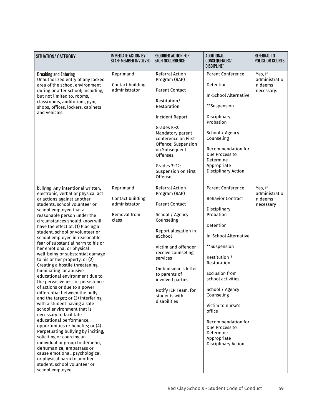| SITUATION/ CATEGORY                                                                                                                                                                                                                                                                                                                                                                                                                                                                                                                                                                                                                                                                                                                                                                                                                                                                                                                                                                                                                                                                                                                            | <b>IMMEDIATE ACTION BY</b><br><b>STAFF MEMBER INVOLVED</b>              | <b>REQUIRED ACTION FOR</b><br><b>EACH OCCURRENCE</b>                                                                                                                                                                                                                                                       | ADDITIONAL<br><b>CONSEQUENCES/</b><br><b>DISCIPLINE?</b>                                                                                                                                                                                                                                                                                                                                | <b>REFERRAL TO</b><br><b>POLICE OR COURTS</b>     |
|------------------------------------------------------------------------------------------------------------------------------------------------------------------------------------------------------------------------------------------------------------------------------------------------------------------------------------------------------------------------------------------------------------------------------------------------------------------------------------------------------------------------------------------------------------------------------------------------------------------------------------------------------------------------------------------------------------------------------------------------------------------------------------------------------------------------------------------------------------------------------------------------------------------------------------------------------------------------------------------------------------------------------------------------------------------------------------------------------------------------------------------------|-------------------------------------------------------------------------|------------------------------------------------------------------------------------------------------------------------------------------------------------------------------------------------------------------------------------------------------------------------------------------------------------|-----------------------------------------------------------------------------------------------------------------------------------------------------------------------------------------------------------------------------------------------------------------------------------------------------------------------------------------------------------------------------------------|---------------------------------------------------|
| <b>Breaking and Entering</b><br>Unauthorized entry of any locked<br>area of the school environment<br>during or after school; including,<br>but not limited to, rooms,<br>classrooms, auditorium, gym,<br>shops, offices, lockers, cabinets<br>and vehicles.                                                                                                                                                                                                                                                                                                                                                                                                                                                                                                                                                                                                                                                                                                                                                                                                                                                                                   | Reprimand<br>Contact building<br>administrator                          | Referral Action<br>Program (RAP)<br><b>Parent Contact</b><br>Restitution/<br>Restoration<br>Incident Report<br>Grades K-2:<br>Mandatory parent<br>conference on First<br>Offence; Suspension<br>on Subsequent<br>Offenses.<br>Grades $3-12$ :<br>Suspension on First<br>Offense.                           | Parent Conference<br>Detention<br><b>In-School Alternative</b><br>**Suspension<br>Disciplinary<br>Probation<br>School / Agency<br>Counseling<br>Recommendation for<br>Due Process to<br>Determine<br>Appropriate<br>Disciplinary Action                                                                                                                                                 | Yes, if<br>administratio<br>n deems<br>necessary. |
| Bullying Any intentional written,<br>electronic, verbal or physical act<br>or actions against another<br>students, school volunteer or<br>school employee that a<br>reasonable person under the<br>circumstances should know will<br>have the effect of: (1) Placing a<br>student, school or volunteer or<br>school employee in reasonable<br>fear of substantial harm to his or<br>her emotional or physical<br>well-being or substantial damage<br>to his or her property; or (2)<br>Creating a hostile threatening,<br>humiliating or abusive<br>educational environment due to<br>the pervasiveness or persistence<br>of actions or due to a power<br>differential between the bully<br>and the target; or (3) Interfering<br>with a student having a safe<br>school environment that is<br>necessary to facilitate<br>educational performance,<br>opportunities or benefits; or (4)<br>Perpetuating bullying by inciting,<br>soliciting or coercing an<br>individual or group to demean,<br>dehumanize, embarrass or<br>cause emotional, psychological<br>or physical harm to another<br>student, school volunteer or<br>school employee. | Reprimand<br>Contact building<br>administrator<br>Removal from<br>class | Referral Action<br>Program (RAP)<br><b>Parent Contact</b><br>School / Agency<br>Counseling<br>Report allegation in<br>eSchool<br>Victim and offender<br>receive counseling<br>services<br>Ombudsman's letter<br>to parents of<br>involved parties<br>Notify IEP Team, for<br>students with<br>disabilities | <b>Parent Conference</b><br><b>Behavior Contract</b><br>Disciplinary<br>Probation<br>Detention<br><b>In-School Alternative</b><br>**Suspension<br>Restitution /<br>Restoration<br><b>Exclusion from</b><br>school activities<br>School / Agency<br>Counseling<br>Victim to nurse's<br>office<br>Recommendation for<br>Due Process to<br>Determine<br>Appropriate<br>Disciplinary Action | Yes, if<br>administratio<br>n deems<br>necessary  |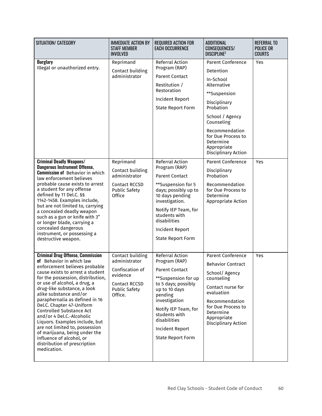| SITUATION/ CATEGORY                                                                                                                                                                                                                                                                                                                                                                                                                                                                                                                                                                    | <b>IMMEDIATE ACTION BY</b><br><b>STAFF MEMBER</b><br><b>INVOLVED</b>                                                        | <b>REQUIRED ACTION FOR</b><br><b>EACH OCCURRENCE</b>                                                                                                                                                                                                                | <b>ADDITIONAL</b><br>CONSEQUENCES/<br><b>DISCIPLINE<sup>2</sup></b>                                                                                                                                                                               | <b>REFERRAL TO</b><br><b>POLICE OR</b><br><b>COURTS</b> |
|----------------------------------------------------------------------------------------------------------------------------------------------------------------------------------------------------------------------------------------------------------------------------------------------------------------------------------------------------------------------------------------------------------------------------------------------------------------------------------------------------------------------------------------------------------------------------------------|-----------------------------------------------------------------------------------------------------------------------------|---------------------------------------------------------------------------------------------------------------------------------------------------------------------------------------------------------------------------------------------------------------------|---------------------------------------------------------------------------------------------------------------------------------------------------------------------------------------------------------------------------------------------------|---------------------------------------------------------|
| <b>Burglary</b><br>Illegal or unauthorized entry.                                                                                                                                                                                                                                                                                                                                                                                                                                                                                                                                      | Reprimand<br>Contact building<br>administrator                                                                              | Referral Action<br>Program (RAP)<br><b>Parent Contact</b><br>Restitution /<br>Restoration<br><b>Incident Report</b><br><b>State Report Form</b>                                                                                                                     | <b>Parent Conference</b><br>Detention<br>In-School<br>Alternative<br>**Suspension<br>Disciplinary<br>Probation<br>School / Agency<br>Counseling<br>Recommendation<br>for Due Process to<br>Determine<br>Appropriate<br><b>Disciplinary Action</b> | Yes                                                     |
| <b>Criminal Deadly Weapons/</b><br><b>Dangerous Instrument Offense,</b><br><b>Commission of Behavior in which</b><br>law enforcement believes<br>probable cause exists to arrest<br>a student for any offense<br>defined by 11 Del.C. §§<br>1142-1458. Examples include,<br>but are not limited to, carrying<br>a concealed deadly weapon<br>such as a gun or knife with 3"<br>or longer blade, carrying a<br>concealed dangerous<br>instrument, or possessing a<br>destructive weapon.                                                                                                | Reprimand<br>Contact building<br>administrator<br>Contact RCCSD<br><b>Public Safety</b><br>Office                           | <b>Referral Action</b><br>Program (RAP)<br><b>Parent Contact</b><br>**Suspension for 5<br>days; possibly up to<br>10 days pending<br>investigation.<br>Notify IEP Team, for<br>students with<br>disabilities<br><b>Incident Report</b><br><b>State Report Form</b>  | <b>Parent Conference</b><br>Disciplinary<br>Probation<br>Recommendation<br>for Due Process to<br>Determine<br>Appropriate Action                                                                                                                  | Yes                                                     |
| <b>Criminal Drug Offense, Commission</b><br>of Behavior in which law<br>enforcement believes probable<br>cause exists to arrest a student<br>for the possession, distribution,<br>or use of alcohol, a drug, a<br>drug-like substance, a look<br>alike substance and/or<br>paraphernalia as defined in 16<br>Del.C. Chapter 47-Uniform<br><b>Controlled Substance Act</b><br>and/or 4 Del.C.-Alcoholic<br>Liquors. Examples include, but<br>are not limited to, possession<br>of marijuana, being under the<br>influence of alcohol, or<br>distribution of prescription<br>medication. | Contact building<br>administrator<br>Confiscation of<br>evidence<br><b>Contact RCCSD</b><br><b>Public Safety</b><br>Office. | Referral Action<br>Program (RAP)<br><b>Parent Contact</b><br>**Suspension for up<br>to 5 days; possibly<br>up to 10 days<br>pending<br>investigation<br>Notify IEP Team, for<br>students with<br>disabilities<br><b>Incident Report</b><br><b>State Report Form</b> | <b>Parent Conference</b><br><b>Behavior Contract</b><br>School/ Agency<br>counseling<br>Contact nurse for<br>evaluation<br>Recommendation<br>for Due Process to<br>Determine<br>Appropriate<br>Disciplinary Action                                | Yes                                                     |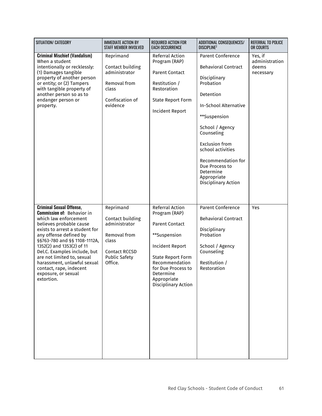| SITUATION/ CATEGORY                                                                                                                                                                                                                                                                                                                                                                                            | <b>IMMEDIATE ACTION BY</b><br><b>STAFF MEMBER INVOLVED</b>                                                                  | <b>REQUIRED ACTION FOR</b><br><b>EACH OCCURRENCE</b>                                                                                                                                                                       | ADDITIONAL CONSEQUENCES/<br><b>DISCIPLINE?</b>                                                                                                                                                                                                                                                                      | REFERRAL TO POLICE<br>OR COURTS                 |
|----------------------------------------------------------------------------------------------------------------------------------------------------------------------------------------------------------------------------------------------------------------------------------------------------------------------------------------------------------------------------------------------------------------|-----------------------------------------------------------------------------------------------------------------------------|----------------------------------------------------------------------------------------------------------------------------------------------------------------------------------------------------------------------------|---------------------------------------------------------------------------------------------------------------------------------------------------------------------------------------------------------------------------------------------------------------------------------------------------------------------|-------------------------------------------------|
| <b>Criminal Mischief (Vandalism)</b><br>When a student<br>intentionally or recklessly:<br>(1) Damages tangible<br>property of another person<br>or entity; or (2) Tampers<br>with tangible property of<br>another person so as to<br>endanger person or<br>property.                                                                                                                                           | Reprimand<br>Contact building<br>administrator<br>Removal from<br>class<br>Confiscation of<br>evidence                      | <b>Referral Action</b><br>Program (RAP)<br><b>Parent Contact</b><br>Restitution /<br>Restoration<br><b>State Report Form</b><br>Incident Report                                                                            | Parent Conference<br><b>Behavioral Contract</b><br>Disciplinary<br>Probation<br>Detention<br><b>In-School Alternative</b><br>**Suspension<br>School / Agency<br>Counseling<br><b>Exclusion from</b><br>school activities<br>Recommendation for<br>Due Process to<br>Determine<br>Appropriate<br>Disciplinary Action | Yes, if<br>administration<br>deems<br>necessary |
| <b>Criminal Sexual Offense,</b><br><b>Commission of: Behavior in</b><br>which law enforcement<br>believes probable cause<br>exists to arrest a student for<br>any offense defined by<br>§§763-780 and §§ 1108-1112A,<br>1352(2) and 1353(2) of 11<br>Del.C. Examples include, but<br>are not limited to, sexual<br>harassment, unlawful sexual<br>contact, rape, indecent<br>exposure, or sexual<br>extortion. | Reprimand<br>Contact building<br>administrator<br>Removal from<br>class<br>Contact RCCSD<br><b>Public Safety</b><br>Office. | <b>Referral Action</b><br>Program (RAP)<br><b>Parent Contact</b><br>**Suspension<br>Incident Report<br><b>State Report Form</b><br>Recommendation<br>for Due Process to<br>Determine<br>Appropriate<br>Disciplinary Action | <b>Parent Conference</b><br><b>Behavioral Contract</b><br>Disciplinary<br>Probation<br>School / Agency<br>Counseling<br>Restitution /<br>Restoration                                                                                                                                                                | Yes                                             |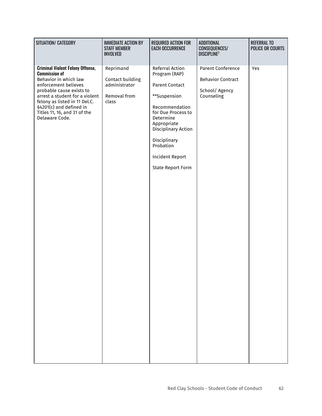| SITUATION/ CATEGORY                                                                                                                                                                                                                                                                          | <b>IMMEDIATE ACTION BY</b><br><b>STAFF MEMBER</b><br><b>INVOLVED</b>    | REQUIRED ACTION FOR<br><b>EACH OCCURRENCE</b>                                                                                                                                                                                                           | ADDITIONAL<br>CONSEQUENCES/<br><b>DISCIPLINE2</b>                                    | <b>REFERRAL TO</b><br><b>POLICE OR COURTS</b> |
|----------------------------------------------------------------------------------------------------------------------------------------------------------------------------------------------------------------------------------------------------------------------------------------------|-------------------------------------------------------------------------|---------------------------------------------------------------------------------------------------------------------------------------------------------------------------------------------------------------------------------------------------------|--------------------------------------------------------------------------------------|-----------------------------------------------|
| <b>Criminal Violent Felony Offense,</b><br><b>Commission of</b><br>Behavior in which law<br>enforcement believes<br>probable cause exists to<br>arrest a student for a violent<br>felony as listed in 11 Del.C.<br>§4201(c) and defined in<br>Titles 11, 16, and 31 of the<br>Delaware Code. | Reprimand<br>Contact building<br>administrator<br>Removal from<br>class | Referral Action<br>Program (RAP)<br><b>Parent Contact</b><br>**Suspension<br>Recommendation<br>for Due Process to<br>Determine<br>Appropriate<br>Disciplinary Action<br>Disciplinary<br>Probation<br><b>Incident Report</b><br><b>State Report Form</b> | <b>Parent Conference</b><br><b>Behavior Contract</b><br>School/ Agency<br>Counseling | Yes                                           |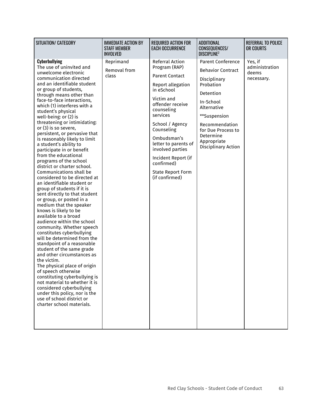| SITUATION/ CATEGORY                                                                                                                                                                                                                                                                                                                                                                                                                                                                                                                                                                                                                                                                                                                                                                                                                                                                                                                                                                                                                                                                                                                                                                                                                                                                                                  | <b>IMMEDIATE ACTION BY</b><br><b>STAFF MEMBER</b><br><b>INVOLVED</b> | <b>REQUIRED ACTION FOR</b><br><b>EACH OCCURRENCE</b>                                                                                                                                                                                                                                                                                    | <b>ADDITIONAL</b><br><b>CONSEQUENCES/</b><br><b>DISCIPLINE?</b>                                                                                                                                                                       | <b>REFERRAL TO POLICE</b><br>OR COURTS           |
|----------------------------------------------------------------------------------------------------------------------------------------------------------------------------------------------------------------------------------------------------------------------------------------------------------------------------------------------------------------------------------------------------------------------------------------------------------------------------------------------------------------------------------------------------------------------------------------------------------------------------------------------------------------------------------------------------------------------------------------------------------------------------------------------------------------------------------------------------------------------------------------------------------------------------------------------------------------------------------------------------------------------------------------------------------------------------------------------------------------------------------------------------------------------------------------------------------------------------------------------------------------------------------------------------------------------|----------------------------------------------------------------------|-----------------------------------------------------------------------------------------------------------------------------------------------------------------------------------------------------------------------------------------------------------------------------------------------------------------------------------------|---------------------------------------------------------------------------------------------------------------------------------------------------------------------------------------------------------------------------------------|--------------------------------------------------|
| <b>Cyberbullying</b><br>The use of uninvited and<br>unwelcome electronic<br>communication directed<br>and an identifiable student<br>or group of students,<br>through means other than<br>face-to-face interactions,<br>which (1) interferes with a<br>student's physical<br>well-being: $or(2)$ is<br>threatening or intimidating:<br>or (3) is so severe,<br>persistent, or pervasive that<br>is reasonably likely to limit<br>a student's ability to<br>participate in or benefit<br>from the educational<br>programs of the school<br>district or charter school.<br>Communications shall be<br>considered to be directed at<br>an identifiable student or<br>group of students if it is<br>sent directly to that student<br>or group, or posted in a<br>medium that the speaker<br>knows is likely to be<br>available to a broad<br>audience within the school<br>community. Whether speech<br>constitutes cyberbullying<br>will be determined from the<br>standpoint of a reasonable<br>student of the same grade<br>and other circumstances as<br>the victim.<br>The physical place of origin<br>of speech otherwise<br>constituting cyberbullying is<br>not material to whether it is<br>considered cyberbullying<br>under this policy, nor is the<br>use of school district or<br>charter school materials. | Reprimand<br>Removal from<br>class                                   | Referral Action<br>Program (RAP)<br><b>Parent Contact</b><br>Report allegation<br>in eSchool<br>Victim and<br>offender receive<br>counseling<br>services<br>School / Agency<br>Counseling<br>Ombudsman's<br>letter to parents of<br>involved parties<br>Incident Report (if<br>confirmed)<br><b>State Report Form</b><br>(if confirmed) | <b>Parent Conference</b><br><b>Behavior Contract</b><br>Disciplinary<br>Probation<br>Detention<br>In-School<br>Alternative<br>**Suspension<br>Recommendation<br>for Due Process to<br>Determine<br>Appropriate<br>Disciplinary Action | Yes, if<br>administration<br>deems<br>necessary. |
|                                                                                                                                                                                                                                                                                                                                                                                                                                                                                                                                                                                                                                                                                                                                                                                                                                                                                                                                                                                                                                                                                                                                                                                                                                                                                                                      |                                                                      |                                                                                                                                                                                                                                                                                                                                         |                                                                                                                                                                                                                                       |                                                  |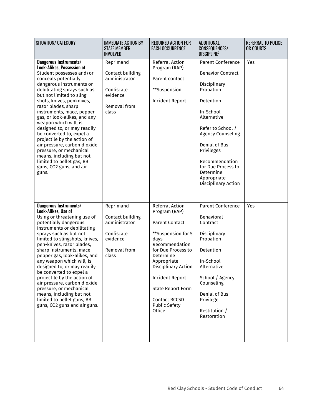| SITUATION/ CATEGORY                                                                                                                                                                                                                                                                                                                                                                                                                                                                                                                                                                                | <b>IMMEDIATE ACTION BY</b><br><b>STAFF MEMBER</b><br><b>INVOLVED</b>                              | <b>REQUIRED ACTION FOR</b><br><b>EACH OCCURRENCE</b>                                                                                                                                                                                                                                        | ADDITIONAL<br>CONSEQUENCES/<br><b>DISCIPLINE</b> <sup>2</sup>                                                                                                                                                                                                                                         | <b>REFERRAL TO POLICE</b><br>OR COURTS |
|----------------------------------------------------------------------------------------------------------------------------------------------------------------------------------------------------------------------------------------------------------------------------------------------------------------------------------------------------------------------------------------------------------------------------------------------------------------------------------------------------------------------------------------------------------------------------------------------------|---------------------------------------------------------------------------------------------------|---------------------------------------------------------------------------------------------------------------------------------------------------------------------------------------------------------------------------------------------------------------------------------------------|-------------------------------------------------------------------------------------------------------------------------------------------------------------------------------------------------------------------------------------------------------------------------------------------------------|----------------------------------------|
| Dangerous Instruments/<br><b>Look-Alikes, Possession of</b><br>Student possesses and/or<br>conceals potentially<br>dangerous instruments or<br>debilitating sprays such as<br>but not limited to sling<br>shots, knives, penknives,<br>razor blades, sharp<br>instruments, mace, pepper<br>gas, or look-alikes, and any<br>weapon which will, is<br>designed to, or may readily<br>be converted to, expel a<br>projectile by the action of<br>air pressure, carbon dioxide<br>pressure, or mechanical<br>means, including but not<br>limited to pellet gas, BB<br>guns, CO2 guns, and air<br>guns. | Reprimand<br>Contact building<br>administrator<br>Confiscate<br>evidence<br>Removal from<br>class | Referral Action<br>Program (RAP)<br>Parent contact<br>**Suspension<br>Incident Report                                                                                                                                                                                                       | <b>Parent Conference</b><br><b>Behavior Contract</b><br>Disciplinary<br>Probation<br>Detention<br>In-School<br>Alternative<br>Refer to School /<br><b>Agency Counseling</b><br>Denial of Bus<br>Privileges<br>Recommendation<br>for Due Process to<br>Determine<br>Appropriate<br>Disciplinary Action | Yes                                    |
| Dangerous Instruments/<br>Look-Alikes, Use of<br>Using or threatening use of<br>potentially dangerous<br>instruments or debilitating<br>sprays such as but not<br>limited to slingshots, knives,<br>pen-knives, razor blades,<br>sharp instruments, mace<br>pepper gas, look-alikes, and<br>any weapon which will, is<br>designed to, or may readily<br>be converted to expel a<br>projectile by the action of<br>air pressure, carbon dioxide<br>pressure, or mechanical<br>means, including but not<br>limited to pellet guns, BB<br>guns, CO2 guns and air guns.                                | Reprimand<br>Contact building<br>administrator<br>Confiscate<br>evidence<br>Removal from<br>class | Referral Action<br>Program (RAP)<br><b>Parent Contact</b><br>**Suspension for 5<br>days<br>Recommendation<br>for Due Process to<br>Determine<br>Appropriate<br>Disciplinary Action<br><b>Incident Report</b><br><b>State Report Form</b><br>Contact RCCSD<br><b>Public Safety</b><br>Office | <b>Parent Conference</b><br><b>Behavioral</b><br>Contract<br>Disciplinary<br>Probation<br>Detention<br>In-School<br>Alternative<br>School / Agency<br>Counseling<br>Denial of Bus<br>Privilege<br>Restitution /<br>Restoration                                                                        | Yes                                    |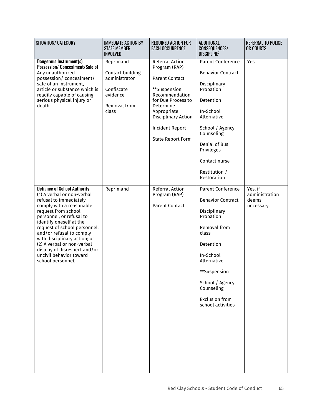| SITUATION/ CATEGORY                                                                                                                                                                                                                                                                                                                                                                                             | <b>IMMEDIATE ACTION BY</b><br><b>STAFF MEMBER</b><br><b>INVOLVED</b>                              | <b>REQUIRED ACTION FOR</b><br><b>EACH OCCURRENCE</b>                                                                                                                                                                       | <b>ADDITIONAL</b><br>CONSEQUENCES/<br><b>DISCIPLINE</b> <sup>2</sup>                                                                                                                                                                               | <b>REFERRAL TO POLICE</b><br>OR COURTS           |
|-----------------------------------------------------------------------------------------------------------------------------------------------------------------------------------------------------------------------------------------------------------------------------------------------------------------------------------------------------------------------------------------------------------------|---------------------------------------------------------------------------------------------------|----------------------------------------------------------------------------------------------------------------------------------------------------------------------------------------------------------------------------|----------------------------------------------------------------------------------------------------------------------------------------------------------------------------------------------------------------------------------------------------|--------------------------------------------------|
| Dangerous Instrument(s),<br>Possession/ Concealment/Sale of<br>Any unauthorized<br>possession/ concealment/<br>sale of an instrument,<br>article or substance which is<br>readily capable of causing<br>serious physical injury or<br>death.                                                                                                                                                                    | Reprimand<br>Contact building<br>administrator<br>Confiscate<br>evidence<br>Removal from<br>class | Referral Action<br>Program (RAP)<br><b>Parent Contact</b><br>**Suspension<br>Recommendation<br>for Due Process to<br>Determine<br>Appropriate<br>Disciplinary Action<br><b>Incident Report</b><br><b>State Report Form</b> | <b>Parent Conference</b><br><b>Behavior Contract</b><br>Disciplinary<br>Probation<br>Detention<br>In-School<br>Alternative<br>School / Agency<br>Counseling<br>Denial of Bus<br>Privileges<br>Contact nurse<br>Restitution /<br>Restoration        | Yes                                              |
| <b>Defiance of School Authority</b><br>(1) A verbal or non-verbal<br>refusal to immediately<br>comply with a reasonable<br>request from school<br>personnel, or refusal to<br>identify oneself at the<br>request of school personnel,<br>and/or refusal to comply<br>with disciplinary action; or<br>(2) A verbal or non-verbal<br>display of disrespect and/or<br>uncivil behavior toward<br>school personnel. | Reprimand                                                                                         | Referral Action<br>Program (RAP)<br><b>Parent Contact</b>                                                                                                                                                                  | <b>Parent Conference</b><br><b>Behavior Contract</b><br>Disciplinary<br>Probation<br>Removal from<br>class<br>Detention<br>In-School<br>Alternative<br>**Suspension<br>School / Agency<br>Counseling<br><b>Exclusion from</b><br>school activities | Yes, if<br>administration<br>deems<br>necessary. |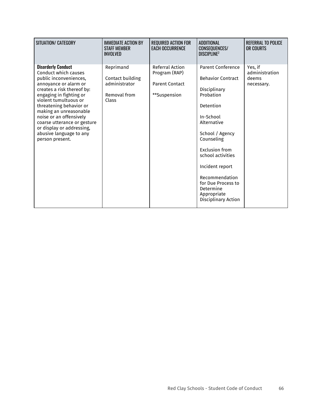| SITUATION/ CATEGORY                                                                                                                                                                                                                                                                                                                                                              | <b>IMMEDIATE ACTION BY</b><br><b><i>STAFF MEMBER</i></b><br>INVOLVED    | <b>REQUIRED ACTION FOR</b><br>FACH OCCURRFNCF                                    | <b>ADDITIONAL</b><br><b>CONSEQUENCES/</b><br>DISCIPI INF <sup>2</sup>                                                                                                                                                                                                                                            | <b>REFERRAL TO POLICE</b><br>OR COURTS           |
|----------------------------------------------------------------------------------------------------------------------------------------------------------------------------------------------------------------------------------------------------------------------------------------------------------------------------------------------------------------------------------|-------------------------------------------------------------------------|----------------------------------------------------------------------------------|------------------------------------------------------------------------------------------------------------------------------------------------------------------------------------------------------------------------------------------------------------------------------------------------------------------|--------------------------------------------------|
| <b>Disorderly Conduct</b><br>Conduct which causes<br>public inconveniences,<br>annoyance or alarm or<br>creates a risk thereof by:<br>engaging in fighting or<br>violent tumultuous or<br>threatening behavior or<br>making an unreasonable<br>noise or an offensively<br>coarse utterance or gesture<br>or display or addressing,<br>abusive language to any<br>person present. | Reprimand<br>Contact building<br>administrator<br>Removal from<br>Class | <b>Referral Action</b><br>Program (RAP)<br><b>Parent Contact</b><br>**Suspension | <b>Parent Conference</b><br><b>Behavior Contract</b><br>Disciplinary<br>Probation<br>Detention<br>In-School<br>Alternative<br>School / Agency<br>Counseling<br>Exclusion from<br>school activities<br>Incident report<br>Recommendation<br>for Due Process to<br>Determine<br>Appropriate<br>Disciplinary Action | Yes, if<br>administration<br>deems<br>necessary. |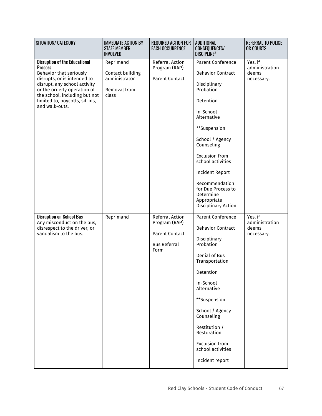| SITUATION/ CATEGORY                                                                                                                                                                                                                                                  | <b>IMMEDIATE ACTION BY</b><br><b>STAFF MEMBER</b><br><b>INVOLVED</b>    | REQUIRED ACTION FOR<br><b>EACH OCCURRENCE</b>                                            | ADDITIONAL<br>CONSEQUENCES/<br><b>DISCIPLINE</b> <sup>2</sup>                                                                                                                                                                                                                                                                           | <b>REFERRAL TO POLICE</b><br>OR COURTS           |
|----------------------------------------------------------------------------------------------------------------------------------------------------------------------------------------------------------------------------------------------------------------------|-------------------------------------------------------------------------|------------------------------------------------------------------------------------------|-----------------------------------------------------------------------------------------------------------------------------------------------------------------------------------------------------------------------------------------------------------------------------------------------------------------------------------------|--------------------------------------------------|
| <b>Disruption of the Educational</b><br><b>Process</b><br>Behavior that seriously<br>disrupts, or is intended to<br>disrupt, any school activity<br>or the orderly operation of<br>the school, including but not<br>limited to, boycotts, sit-ins,<br>and walk-outs. | Reprimand<br>Contact building<br>administrator<br>Removal from<br>class | Referral Action<br>Program (RAP)<br><b>Parent Contact</b>                                | <b>Parent Conference</b><br><b>Behavior Contract</b><br>Disciplinary<br>Probation<br>Detention<br>In-School<br>Alternative<br>**Suspension<br>School / Agency<br>Counseling<br><b>Exclusion from</b><br>school activities<br>Incident Report<br>Recommendation<br>for Due Process to<br>Determine<br>Appropriate<br>Disciplinary Action | Yes, if<br>administration<br>deems<br>necessary. |
| <b>Disruption on School Bus</b><br>Any misconduct on the bus,<br>disrespect to the driver, or<br>vandalism to the bus.                                                                                                                                               | Reprimand                                                               | Referral Action<br>Program (RAP)<br><b>Parent Contact</b><br><b>Bus Referral</b><br>Form | <b>Parent Conference</b><br><b>Behavior Contract</b><br>Disciplinary<br>Probation<br>Denial of Bus<br>Transportation<br>Detention<br>In-School<br>Alternative<br>**Suspension<br>School / Agency<br>Counseling<br>Restitution /<br>Restoration<br><b>Exclusion from</b><br>school activities<br>Incident report                         | Yes, if<br>administration<br>deems<br>necessary. |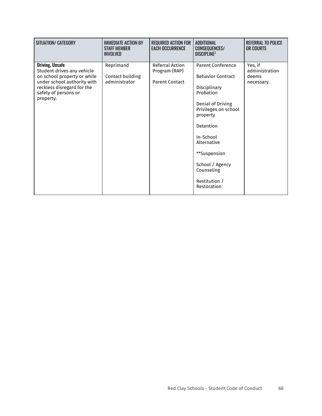| SITUATION/ CATEGORY                                                                                                                                                                   | <b>IMMEDIATE ACTION BY</b><br><b>STAFF MEMBER</b><br><b>INVOLVED</b> | <b>REQUIRED ACTION FOR</b><br><b>EACH OCCURRENCE</b>      | ADDITIONAL<br><b>CONSEQUENCES/</b><br>DISCIPLINE <sup>2</sup>                                                                                                                                                                                                        | REFERRAL TO POLICE<br>OR COURTS                  |
|---------------------------------------------------------------------------------------------------------------------------------------------------------------------------------------|----------------------------------------------------------------------|-----------------------------------------------------------|----------------------------------------------------------------------------------------------------------------------------------------------------------------------------------------------------------------------------------------------------------------------|--------------------------------------------------|
| <b>Driving, Unsafe</b><br>Student drives any vehicle<br>on school property or while<br>under school authority with<br>reckless disregard for the<br>safety of persons or<br>property. | Reprimand<br>Contact building<br>administrator                       | Referral Action<br>Program (RAP)<br><b>Parent Contact</b> | <b>Parent Conference</b><br><b>Behavior Contract</b><br>Disciplinary<br>Probation<br>Denial of Driving<br>Privileges on school<br>property<br>Detention<br>In-School<br>Alternative<br>**Suspension<br>School / Agency<br>Counseling<br>Restitution /<br>Restoration | Yes, if<br>administration<br>deems<br>necessary. |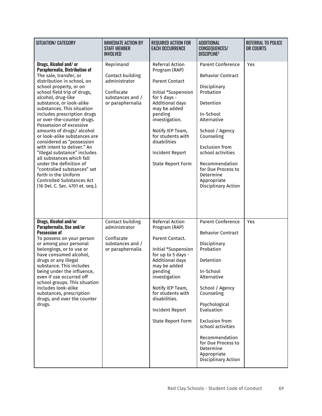| SITUATION/ CATEGORY                                                                                                                                                                                                                                                                                                                                                                                                                                                                                                                                                                                                                                                                              | <b>IMMEDIATE ACTION BY</b><br><b>STAFF MEMBER</b><br><b>INVOLVED</b>                                 | <b>REQUIRED ACTION FOR</b><br><b>EACH OCCURRENCE</b>                                                                                                                                                                                                                            | <b>ADDITIONAL</b><br>CONSEQUENCES/<br><b>DISCIPLINE?</b>                                                                                                                                                                                                                                                                            | <b>REFERRAL TO POLICE</b><br>OR COURTS |
|--------------------------------------------------------------------------------------------------------------------------------------------------------------------------------------------------------------------------------------------------------------------------------------------------------------------------------------------------------------------------------------------------------------------------------------------------------------------------------------------------------------------------------------------------------------------------------------------------------------------------------------------------------------------------------------------------|------------------------------------------------------------------------------------------------------|---------------------------------------------------------------------------------------------------------------------------------------------------------------------------------------------------------------------------------------------------------------------------------|-------------------------------------------------------------------------------------------------------------------------------------------------------------------------------------------------------------------------------------------------------------------------------------------------------------------------------------|----------------------------------------|
| Drugs, Alcohol and/or<br>Paraphernalia, Distribution of<br>The sale, transfer, or<br>distribution in school, on<br>school property, or on<br>school field trip of drugs,<br>alcohol, drug-like<br>substance, or look-alike<br>substances. This situation<br>includes prescription drugs<br>or over-the-counter drugs.<br>Possession of excessive<br>amounts of drugs/ alcohol<br>or look-alike substances are<br>considered as "possession<br>with intent to deliver." An<br>"illegal substance" includes<br>all substances which fall<br>under the definition of<br>"controlled substances" set<br>forth in the Uniform<br><b>Controlled Substances Act</b><br>(16 Del. C. Sec. 4701 et. seq.). | Reprimand<br>Contact building<br>administrator<br>Confiscate<br>substances and /<br>or paraphernalia | Referral Action<br>Program (RAP)<br><b>Parent Contact</b><br>Initial *Suspension<br>for 5 days -<br>Additional days<br>may be added<br>pending<br>investigation.<br>Notify IEP Team,<br>for students with<br>disabilities<br><b>Incident Report</b><br><b>State Report Form</b> | <b>Parent Conference</b><br><b>Behavior Contract</b><br>Disciplinary<br>Probation<br>Detention<br>In-School<br>Alternative<br>School / Agency<br>Counseling<br><b>Exclusion from</b><br>school activities<br>Recommendation<br>for Due Process to<br>Determine<br>Appropriate<br>Disciplinary Action                                | Yes                                    |
| Drugs, Alcohol and/or<br>Paraphernalia, Use and/or<br><b>Possession of</b><br>To possess on your person<br>or among your personal<br>belongings, or to use or<br>have consumed alcohol,<br>drugs or any illegal<br>substance. This includes<br>being under the influence,<br>even if use occurred off<br>school groups. This situation<br>includes look-alike<br>substances, prescription<br>drugs, and over the counter<br>drugs.                                                                                                                                                                                                                                                               | Contact building<br>administrator<br>Confiscate<br>substances and /<br>or paraphernalia              | Referral Action<br>Program (RAP)<br>Parent Contact.<br>Initial *Suspension<br>for up to 5 days -<br><b>Additional days</b><br>may be added<br>pending<br>investigation<br>Notify IEP Team,<br>for students with<br>disabilities.<br>Incident Report<br><b>State Report Form</b> | <b>Parent Conference</b><br><b>Behavior Contract</b><br>Disciplinary<br>Probation<br>Detention<br>In-School<br>Alternative<br>School / Agency<br>Counseling<br>Psychological<br>Evaluation<br><b>Exclusion from</b><br>school activities<br>Recommendation<br>for Due Process to<br>Determine<br>Appropriate<br>Disciplinary Action | Yes                                    |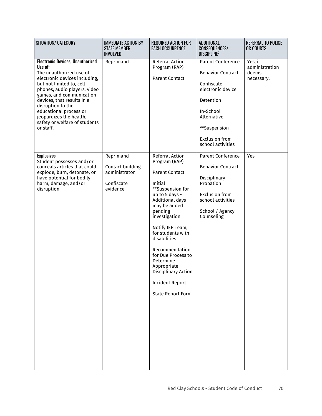| SITUATION/ CATEGORY                                                                                                                                                                                                                                                                                                                                          | <b>IMMEDIATE ACTION BY</b><br><b>STAFF MEMBER</b><br><b>INVOLVED</b>     | <b>REQUIRED ACTION FOR</b><br><b>EACH OCCURRENCE</b>                                                                                                                                                                                                                                                                                                                                 | <b>ADDITIONAL</b><br>CONSEQUENCES/<br><b>DISCIPLINE?</b>                                                                                                                                       | <b>REFERRAL TO POLICE</b><br>OR COURTS           |
|--------------------------------------------------------------------------------------------------------------------------------------------------------------------------------------------------------------------------------------------------------------------------------------------------------------------------------------------------------------|--------------------------------------------------------------------------|--------------------------------------------------------------------------------------------------------------------------------------------------------------------------------------------------------------------------------------------------------------------------------------------------------------------------------------------------------------------------------------|------------------------------------------------------------------------------------------------------------------------------------------------------------------------------------------------|--------------------------------------------------|
| <b>Electronic Devices, Unauthorized</b><br>Use of:<br>The unauthorized use of<br>electronic devices including,<br>but not limited to, cell<br>phones, audio players, video<br>games, and communication<br>devices, that results in a<br>disruption to the<br>educational process or<br>jeopardizes the health,<br>safety or welfare of students<br>or staff. | Reprimand                                                                | Referral Action<br>Program (RAP)<br><b>Parent Contact</b>                                                                                                                                                                                                                                                                                                                            | <b>Parent Conference</b><br><b>Behavior Contract</b><br>Confiscate<br>electronic device<br>Detention<br>In-School<br>Alternative<br>**Suspension<br><b>Exclusion from</b><br>school activities | Yes, if<br>administration<br>deems<br>necessary. |
| <b>Explosives</b><br>Student possesses and/or<br>conceals articles that could<br>explode, burn, detonate, or<br>have potential for bodily<br>harm, damage, and/or<br>disruption.                                                                                                                                                                             | Reprimand<br>Contact building<br>administrator<br>Confiscate<br>evidence | Referral Action<br>Program (RAP)<br><b>Parent Contact</b><br>Initial<br>**Suspension for<br>up to 5 days -<br>Additional days<br>may be added<br>pending<br>investigation.<br>Notify IEP Team,<br>for students with<br>disabilities<br>Recommendation<br>for Due Process to<br>Determine<br>Appropriate<br>Disciplinary Action<br><b>Incident Report</b><br><b>State Report Form</b> | <b>Parent Conference</b><br><b>Behavior Contract</b><br>Disciplinary<br>Probation<br><b>Exclusion from</b><br>school activities<br>School / Agency<br>Counseling                               | Yes                                              |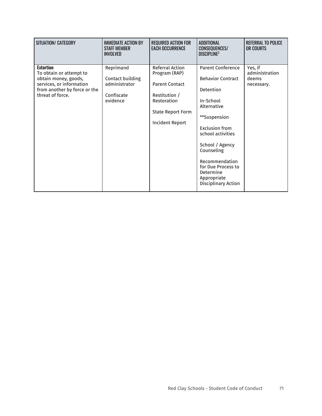| SITUATION/ CATEGORY                                                                                                                                 | <b>IMMEDIATE ACTION BY</b><br><b>STAFF MEMBER</b><br><b>INVOLVED</b>     | <b>REQUIRED ACTION FOR</b><br><b>EACH OCCURRENCE</b>                                                                                     | ADDITIONAL<br><b>CONSEQUENCES/</b><br><b>DISCIPLINE?</b>                                                                                                                                                                                                                         | REFERRAL TO POLICE<br>OR COURTS                  |
|-----------------------------------------------------------------------------------------------------------------------------------------------------|--------------------------------------------------------------------------|------------------------------------------------------------------------------------------------------------------------------------------|----------------------------------------------------------------------------------------------------------------------------------------------------------------------------------------------------------------------------------------------------------------------------------|--------------------------------------------------|
| <b>Extortion</b><br>To obtain or attempt to<br>obtain money, goods,<br>services, or information<br>from another by force or the<br>threat of force. | Reprimand<br>Contact building<br>administrator<br>Confiscate<br>evidence | Referral Action<br>Program (RAP)<br><b>Parent Contact</b><br>Restitution /<br>Restoration<br><b>State Report Form</b><br>Incident Report | <b>Parent Conference</b><br><b>Behavior Contract</b><br>Detention<br>In-School<br>Alternative<br>**Suspension<br>Exclusion from<br>school activities<br>School / Agency<br>Counseling<br>Recommendation<br>for Due Process to<br>Determine<br>Appropriate<br>Disciplinary Action | Yes, if<br>administration<br>deems<br>necessary. |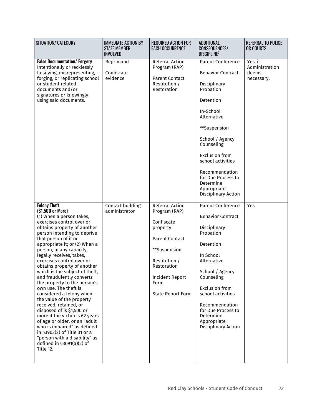| SITUATION/ CATEGORY                                                                                                                                                                                                                                                                                                                                                                                                                                                                                                                                                                                                                                                                                                                                                                               | <b>IMMEDIATE ACTION BY</b><br><b>STAFF MEMBER</b><br><b>INVOLVED</b> | <b>REQUIRED ACTION FOR</b><br><b>EACH OCCURRENCE</b>                                                                                                                                       | <b>ADDITIONAL</b><br>CONSEQUENCES/<br><b>DISCIPLINE?</b>                                                                                                                                                                                                                                                             | <b>REFERRAL TO POLICE</b><br>OR COURTS           |
|---------------------------------------------------------------------------------------------------------------------------------------------------------------------------------------------------------------------------------------------------------------------------------------------------------------------------------------------------------------------------------------------------------------------------------------------------------------------------------------------------------------------------------------------------------------------------------------------------------------------------------------------------------------------------------------------------------------------------------------------------------------------------------------------------|----------------------------------------------------------------------|--------------------------------------------------------------------------------------------------------------------------------------------------------------------------------------------|----------------------------------------------------------------------------------------------------------------------------------------------------------------------------------------------------------------------------------------------------------------------------------------------------------------------|--------------------------------------------------|
| <b>False Documentation/ Forgery</b><br>Intentionally or recklessly<br>falsifying, misrepresenting,<br>forging, or replicating school<br>or student related<br>documents and/or<br>signatures or knowingly<br>using said documents.                                                                                                                                                                                                                                                                                                                                                                                                                                                                                                                                                                | Reprimand<br>Confiscate<br>evidence                                  | Referral Action<br>Program (RAP)<br><b>Parent Contact</b><br>Restitution /<br>Restoration                                                                                                  | <b>Parent Conference</b><br><b>Behavior Contract</b><br>Disciplinary<br>Probation<br>Detention<br>In-School<br>Alternative<br>**Suspension<br>School / Agency<br>Counseling<br><b>Exclusion from</b><br>school activities<br>Recommendation<br>for Due Process to<br>Determine<br>Appropriate<br>Disciplinary Action | Yes, if<br>Administration<br>deems<br>necessary. |
| <b>Felony Theft</b><br>(\$1,500 or More)<br>(1) When a person takes,<br>exercises control over or<br>obtains property of another<br>person intending to deprive<br>that person of it or<br>appropriate it; or (2) When a<br>person, in any capacity,<br>legally receives, takes,<br>exercises control over or<br>obtains property of another<br>which is the subject of theft,<br>and fraudulently converts<br>the property to the person's<br>own use. The theft is<br>considered a felony when<br>the value of the property<br>received, retained, or<br>disposed of is \$1,500 or<br>more if the victim is 62 years<br>of age or older, or an "adult<br>who is impaired" as defined<br>in §3902(2) of Title 31 or a<br>"person with a disability" as<br>defined in §3091(a)(2) of<br>Title 12. | Contact building<br>administrator                                    | Referral Action<br>Program (RAP)<br>Confiscate<br>property<br><b>Parent Contact</b><br>**Suspension<br>Restitution /<br>Restoration<br>Incident Report<br>Form<br><b>State Report Form</b> | <b>Parent Conference</b><br><b>Behavior Contract</b><br>Disciplinary<br>Probation<br>Detention<br>In School<br>Alternative<br>School / Agency<br>Counseling<br><b>Exclusion from</b><br>school activities<br>Recommendation<br>for Due Process to<br>Determine<br>Appropriate<br>Disciplinary Action                 | Yes                                              |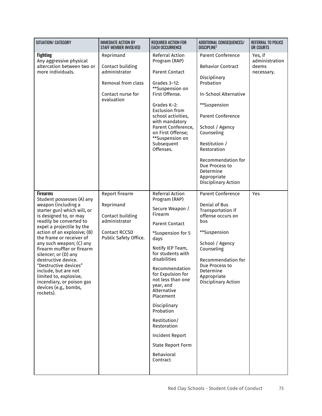| SITUATION/ CATEGORY                                                                                                                                                                                                                                                                                                                                                                                                                                                                                    | <b>IMMEDIATE ACTION BY</b><br><b>STAFF MEMBER INVOLVED</b>                                                        | <b>REQUIRED ACTION FOR</b><br><b>EACH OCCURRENCE</b>                                                                                                                                                                                                                                                                                                                                                                    | ADDITIONAL CONSEQUENCES/<br><b>DISCIPLINE2</b>                                                                                                                                                                                                                                                              | REFERRAL TO POLICE<br>OR COURTS                  |
|--------------------------------------------------------------------------------------------------------------------------------------------------------------------------------------------------------------------------------------------------------------------------------------------------------------------------------------------------------------------------------------------------------------------------------------------------------------------------------------------------------|-------------------------------------------------------------------------------------------------------------------|-------------------------------------------------------------------------------------------------------------------------------------------------------------------------------------------------------------------------------------------------------------------------------------------------------------------------------------------------------------------------------------------------------------------------|-------------------------------------------------------------------------------------------------------------------------------------------------------------------------------------------------------------------------------------------------------------------------------------------------------------|--------------------------------------------------|
| <b>Fighting</b><br>Any aggressive physical<br>altercation between two or<br>more individuals.                                                                                                                                                                                                                                                                                                                                                                                                          | Reprimand<br>Contact building<br>administrator<br>Removal from class<br>Contact nurse for<br>evaluation           | Referral Action<br>Program (RAP)<br><b>Parent Contact</b><br>Grades 3-12:<br>**Suspension on<br>First Offense.<br>Grades K-2:<br><b>Exclusion from</b><br>school activities,<br>with mandatory<br>Parent Conference,<br>on First Offense;<br>**Suspension on<br>Subsequent<br>Offenses.                                                                                                                                 | <b>Parent Conference</b><br><b>Behavior Contract</b><br>Disciplinary<br>Probation<br>In-School Alternative<br>**Suspension<br>Parent Conference<br>School / Agency<br>Counseling<br>Restitution /<br>Restoration<br>Recommendation for<br>Due Process to<br>Determine<br>Appropriate<br>Disciplinary Action | Yes, if<br>administration<br>deems<br>necessary. |
| <b>Firearms</b><br>Student possesses (A) any<br>weapon (including a<br>starter gun) which will, or<br>is designed to, or may<br>readily be converted to<br>expel a projectile by the<br>action of an explosive; (B)<br>the frame or receiver of<br>any such weapon; (C) any<br>firearm muffler or firearm<br>silencer; or (D) any<br>destructive device.<br>"Destructive devices"<br>include, but are not<br>limited to, explosive,<br>incendiary, or poison gas<br>devices (e.g., bombs,<br>rockets). | Report firearm<br>Reprimand<br>Contact building<br>administrator<br><b>Contact RCCSD</b><br>Public Safety Office. | <b>Referral Action</b><br>Program (RAP)<br>Secure Weapon /<br>Firearm<br><b>Parent Contact</b><br>*Suspension for 5<br>days<br>Notify IEP Team,<br>for students with<br>disabilities<br>Recommendation<br>for Expulsion for<br>not less than one<br>year, and<br>Alternative<br>Placement<br>Disciplinary<br>Probation<br>Restitution/<br>Restoration<br>Incident Report<br>State Report Form<br>Behavioral<br>Contract | <b>Parent Conference</b><br>Denial of Bus<br>Transportation if<br>offense occurs on<br>bus<br>**Suspension<br>School / Agency<br>Counseling<br>Recommendation for<br>Due Process to<br>Determine<br>Appropriate<br>Disciplinary Action                                                                      | Yes                                              |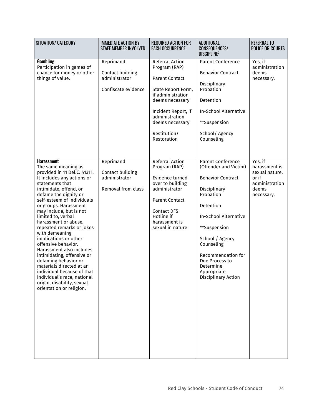| SITUATION/ CATEGORY                                                                                                                                                                                                                                                                                                                                                                                                                                                                                                                                                                                                                              | <b>IMMEDIATE ACTION BY</b><br><b>STAFF MEMBER INVOLVED</b>            | <b>REQUIRED ACTION FOR</b><br><b>EACH OCCURRENCE</b>                                                                                                                                                               | <b>ADDITIONAL</b><br>CONSEQUENCES/<br><b>DISCIPLINE</b> <sup>2</sup>                                                                                                                                                                                                                         | <b>REFERRAL TO</b><br><b>POLICE OR COURTS</b>                                                |
|--------------------------------------------------------------------------------------------------------------------------------------------------------------------------------------------------------------------------------------------------------------------------------------------------------------------------------------------------------------------------------------------------------------------------------------------------------------------------------------------------------------------------------------------------------------------------------------------------------------------------------------------------|-----------------------------------------------------------------------|--------------------------------------------------------------------------------------------------------------------------------------------------------------------------------------------------------------------|----------------------------------------------------------------------------------------------------------------------------------------------------------------------------------------------------------------------------------------------------------------------------------------------|----------------------------------------------------------------------------------------------|
| Gambling<br>Participation in games of<br>chance for money or other<br>things of value.                                                                                                                                                                                                                                                                                                                                                                                                                                                                                                                                                           | Reprimand<br>Contact building<br>administrator<br>Confiscate evidence | Referral Action<br>Program (RAP)<br><b>Parent Contact</b><br>State Report Form,<br>if administration<br>deems necessary<br>Incident Report, if<br>administration<br>deems necessary<br>Restitution/<br>Restoration | <b>Parent Conference</b><br><b>Behavior Contract</b><br>Disciplinary<br>Probation<br>Detention<br>In-School Alternative<br>**Suspension<br>School/ Agency<br>Counseling                                                                                                                      | Yes, if<br>administration<br>deems<br>necessary.                                             |
| <b>Harassment</b><br>The same meaning as<br>provided in 11 Del.C. §1311.<br>It includes any actions or<br>statements that<br>intimidate, offend, or<br>defame the dignity or<br>self-esteem of individuals<br>or groups. Harassment<br>may include, but is not<br>limited to, verbal<br>harassment or abuse,<br>repeated remarks or jokes<br>with demeaning<br>implications or other<br>offensive behavior.<br>Harassment also includes<br>intimidating, offensive or<br>defaming behavior or<br>materials directed at an<br>individual because of that<br>individual's race, national<br>origin, disability, sexual<br>orientation or religion. | Reprimand<br>Contact building<br>administrator<br>Removal from class  | Referral Action<br>Program (RAP)<br>Evidence turned<br>over to building<br>administrator<br><b>Parent Contact</b><br><b>Contact DFS</b><br>Hotline if<br>harassment is<br>sexual in nature                         | Parent Conference<br>(Offender and Victim)<br><b>Behavior Contract</b><br>Disciplinary<br>Probation<br>Detention<br><b>In-School Alternative</b><br>**Suspension<br>School / Agency<br>Counseling<br>Recommendation for<br>Due Process to<br>Determine<br>Appropriate<br>Disciplinary Action | Yes, if<br>harassment is<br>sexual nature,<br>or if<br>administration<br>deems<br>necessary. |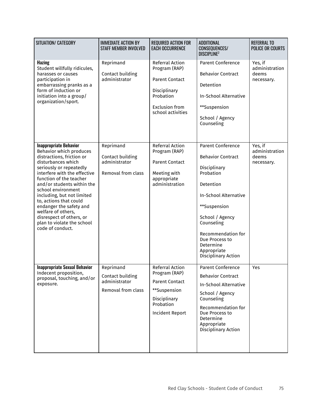| SITUATION/ CATEGORY                                                                                                                                                                                                                                                                                                                                                                                                                          | <b>IMMEDIATE ACTION BY</b><br><b>STAFF MEMBER INVOLVED</b>           | <b>REQUIRED ACTION FOR</b><br><b>EACH OCCURRENCE</b>                                                                                    | <b>ADDITIONAL</b><br>CONSEQUENCES/<br><b>DISCIPLINE<sup>2</sup></b>                                                                                                                                                                                                        | <b>REFERRAL TO</b><br><b>POLICE OR COURTS</b>    |
|----------------------------------------------------------------------------------------------------------------------------------------------------------------------------------------------------------------------------------------------------------------------------------------------------------------------------------------------------------------------------------------------------------------------------------------------|----------------------------------------------------------------------|-----------------------------------------------------------------------------------------------------------------------------------------|----------------------------------------------------------------------------------------------------------------------------------------------------------------------------------------------------------------------------------------------------------------------------|--------------------------------------------------|
| <b>Hazing</b><br>Student willfully ridicules,<br>harasses or causes<br>participation in<br>embarrassing pranks as a<br>form of induction or<br>initiation into a group/<br>organization/sport.                                                                                                                                                                                                                                               | Reprimand<br>Contact building<br>administrator                       | Referral Action<br>Program (RAP)<br><b>Parent Contact</b><br>Disciplinary<br>Probation<br><b>Exclusion from</b><br>school activities    | <b>Parent Conference</b><br><b>Behavior Contract</b><br>Detention<br><b>In-School Alternative</b><br>**Suspension<br>School / Agency<br>Counseling                                                                                                                         | Yes, if<br>administration<br>deems<br>necessary. |
| <b>Inappropriate Behavior</b><br>Behavior which produces<br>distractions, friction or<br>disturbances which<br>seriously or repeatedly<br>interfere with the effective<br>function of the teacher<br>and/or students within the<br>school environment<br>including, but not limited<br>to, actions that could<br>endanger the safety and<br>welfare of others,<br>disrespect of others, or<br>plan to violate the school<br>code of conduct. | Reprimand<br>Contact building<br>administrator<br>Removal from class | Referral Action<br>Program (RAP)<br><b>Parent Contact</b><br>Meeting with<br>appropriate<br>administration                              | <b>Parent Conference</b><br><b>Behavior Contract</b><br>Disciplinary<br>Probation<br>Detention<br><b>In-School Alternative</b><br>**Suspension<br>School / Agency<br>Counseling<br>Recommendation for<br>Due Process to<br>Determine<br>Appropriate<br>Disciplinary Action | Yes, if<br>administration<br>deems<br>necessary. |
| <b>Inappropriate Sexual Behavior</b><br>Indecent proposition,<br>proposal, touching, and/or<br>exposure.                                                                                                                                                                                                                                                                                                                                     | Reprimand<br>Contact building<br>administrator<br>Removal from class | <b>Referral Action</b><br>Program (RAP)<br><b>Parent Contact</b><br>**Suspension<br>Disciplinary<br>Probation<br><b>Incident Report</b> | <b>Parent Conference</b><br><b>Behavior Contract</b><br>In-School Alternative<br>School / Agency<br>Counseling<br>Recommendation for<br>Due Process to<br>Determine<br>Appropriate<br>Disciplinary Action                                                                  | Yes                                              |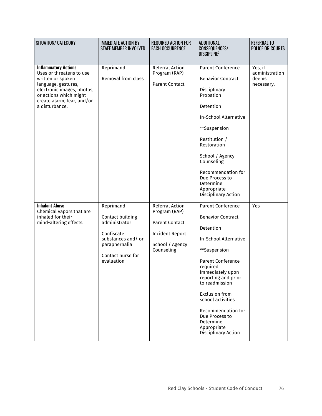| SITUATION/ CATEGORY                                                                                                                                                                                         | <b>IMMEDIATE ACTION BY</b><br><b>STAFF MEMBER INVOLVED</b>                                                                            | <b>REQUIRED ACTION FOR</b><br><b>EACH OCCURRENCE</b>                                                          | <b>ADDITIONAL</b><br>CONSEQUENCES/<br><b>DISCIPLINE<sup>2</sup></b>                                                                                                                                                                                                                                                                               | <b>REFERRAL TO</b><br><b>POLICE OR COURTS</b>    |
|-------------------------------------------------------------------------------------------------------------------------------------------------------------------------------------------------------------|---------------------------------------------------------------------------------------------------------------------------------------|---------------------------------------------------------------------------------------------------------------|---------------------------------------------------------------------------------------------------------------------------------------------------------------------------------------------------------------------------------------------------------------------------------------------------------------------------------------------------|--------------------------------------------------|
| <b>Inflammatory Actions</b><br>Uses or threatens to use<br>written or spoken<br>language, gestures,<br>electronic images, photos,<br>or actions which might<br>create alarm, fear, and/or<br>a disturbance. | Reprimand<br>Removal from class                                                                                                       | Referral Action<br>Program (RAP)<br><b>Parent Contact</b>                                                     | <b>Parent Conference</b><br><b>Behavior Contract</b><br>Disciplinary<br>Probation<br>Detention<br>In-School Alternative<br>**Suspension<br>Restitution /<br>Restoration<br>School / Agency<br>Counseling<br>Recommendation for<br>Due Process to<br>Determine<br>Appropriate<br>Disciplinary Action                                               | Yes, if<br>administration<br>deems<br>necessary. |
| <b>Inhalant Abuse</b><br>Chemical vapors that are<br>inhaled for their<br>mind-altering effects.                                                                                                            | Reprimand<br>Contact building<br>administrator<br>Confiscate<br>substances and/or<br>paraphernalia<br>Contact nurse for<br>evaluation | Referral Action<br>Program (RAP)<br><b>Parent Contact</b><br>Incident Report<br>School / Agency<br>Counseling | <b>Parent Conference</b><br><b>Behavior Contract</b><br>Detention<br>In-School Alternative<br>**Suspension<br>Parent Conference<br>required<br>immediately upon<br>reporting and prior<br>to readmission<br><b>Exclusion from</b><br>school activities<br>Recommendation for<br>Due Process to<br>Determine<br>Appropriate<br>Disciplinary Action | Yes                                              |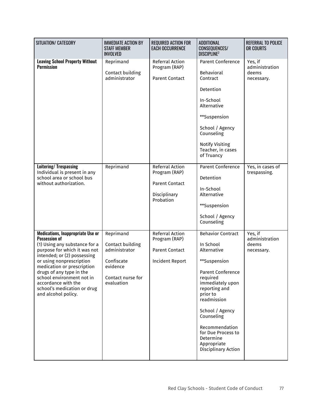| SITUATION/ CATEGORY                                                                                                                                                                                                                                                                                                                                              | <b>IMMEDIATE ACTION BY</b><br><b>STAFF MEMBER</b><br><b>INVOLVED</b>                                        | <b>REQUIRED ACTION FOR</b><br><b>EACH OCCURRENCE</b>                                   | <b>ADDITIONAL</b><br>CONSEQUENCES/<br><b>DISCIPLINE</b> <sup>2</sup>                                                                                                                                                                                                                                     | <b>REFERRAL TO POLICE</b><br>OR COURTS           |
|------------------------------------------------------------------------------------------------------------------------------------------------------------------------------------------------------------------------------------------------------------------------------------------------------------------------------------------------------------------|-------------------------------------------------------------------------------------------------------------|----------------------------------------------------------------------------------------|----------------------------------------------------------------------------------------------------------------------------------------------------------------------------------------------------------------------------------------------------------------------------------------------------------|--------------------------------------------------|
| <b>Leaving School Property Without</b><br><b>Permission</b>                                                                                                                                                                                                                                                                                                      | Reprimand<br>Contact building<br>administrator                                                              | Referral Action<br>Program (RAP)<br><b>Parent Contact</b>                              | <b>Parent Conference</b><br>Behavioral<br>Contract<br>Detention<br>In-School<br>Alternative<br>**Suspension<br>School / Agency<br>Counseling<br><b>Notify Visiting</b><br>Teacher, in cases<br>of Truancy                                                                                                | Yes, if<br>administration<br>deems<br>necessary. |
| Loitering/ Trespassing<br>Individual is present in any<br>school area or school bus<br>without authorization.                                                                                                                                                                                                                                                    | Reprimand                                                                                                   | Referral Action<br>Program (RAP)<br><b>Parent Contact</b><br>Disciplinary<br>Probation | <b>Parent Conference</b><br>Detention<br>In-School<br>Alternative<br>**Suspension<br>School / Agency<br>Counseling                                                                                                                                                                                       | Yes, in cases of<br>trespassing.                 |
| <b>Medications, Inappropriate Use or</b><br><b>Possession of</b><br>(1) Using any substance for a<br>purpose for which it was not<br>intended; or (2) possessing<br>or using nonprescription<br>medication or prescription<br>drugs of any type in the<br>school environment not in<br>accordance with the<br>school's medication or drug<br>and alcohol policy. | Reprimand<br>Contact building<br>administrator<br>Confiscate<br>evidence<br>Contact nurse for<br>evaluation | Referral Action<br>Program (RAP)<br><b>Parent Contact</b><br><b>Incident Report</b>    | <b>Behavior Contract</b><br>In School<br>Alternative<br>**Suspension<br><b>Parent Conference</b><br>required<br>immediately upon<br>reporting and<br>prior to<br>readmission<br>School / Agency<br>Counseling<br>Recommendation<br>for Due Process to<br>Determine<br>Appropriate<br>Disciplinary Action | Yes, if<br>administration<br>deems<br>necessary. |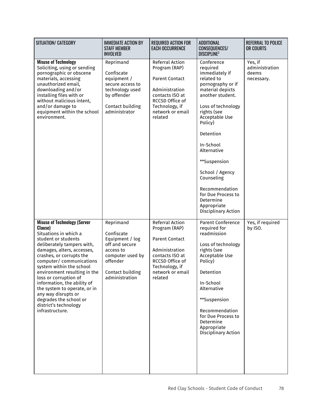| SITUATION/ CATEGORY                                                                                                                                                                                                                                                                                                                                                                                                                                                 | <b>IMMEDIATE ACTION BY</b><br><b>STAFF MEMBER</b><br><b>INVOLVED</b>                                                                            | <b>REQUIRED ACTION FOR</b><br><b>EACH OCCURRENCE</b>                                                                                                               | <b>ADDITIONAL</b><br><b>CONSEQUENCES/</b><br>DISCIPLINE <sup>2</sup>                                                                                                                                                                                                                                                                                                       | <b>REFERRAL TO POLICE</b><br>OR COURTS           |
|---------------------------------------------------------------------------------------------------------------------------------------------------------------------------------------------------------------------------------------------------------------------------------------------------------------------------------------------------------------------------------------------------------------------------------------------------------------------|-------------------------------------------------------------------------------------------------------------------------------------------------|--------------------------------------------------------------------------------------------------------------------------------------------------------------------|----------------------------------------------------------------------------------------------------------------------------------------------------------------------------------------------------------------------------------------------------------------------------------------------------------------------------------------------------------------------------|--------------------------------------------------|
| <b>Misuse of Technology</b><br>Soliciting, using or sending<br>pornographic or obscene<br>materials, accessing<br>unauthorized email,<br>downloading and/or<br>installing files with or<br>without malicious intent,<br>and/or damage to<br>equipment within the school<br>environment.                                                                                                                                                                             | Reprimand<br>Confiscate<br>equipment /<br>secure access to<br>technology used<br>by offender<br>Contact building<br>administrator               | Referral Action<br>Program (RAP)<br><b>Parent Contact</b><br>Administration<br>contacts ISO at<br>RCCSD Office of<br>Technology, if<br>network or email<br>related | Conference<br>required<br>immediately if<br>related to<br>pornography or if<br>material depicts<br>another student.<br>Loss of technology<br>rights (see<br>Acceptable Use<br>Policy)<br>Detention<br>In-School<br>Alternative<br>**Suspension<br>School / Agency<br>Counseling<br>Recommendation<br>for Due Process to<br>Determine<br>Appropriate<br>Disciplinary Action | Yes, if<br>administration<br>deems<br>necessary. |
| <b>Misuse of Technology (Server</b><br>Clause)<br>Situations in which a<br>student or students<br>deliberately tampers with,<br>damages, alters, accesses,<br>crashes, or corrupts the<br>computer/ communications<br>system within the school<br>environment resulting in the<br>loss or corruption of<br>information, the ability of<br>the system to operate, or in<br>any way disrupts or<br>degrades the school or<br>district's technology<br>infrastructure. | Reprimand<br>Confiscate<br>Equipment / log<br>off and secure<br>access to<br>computer used by<br>offender<br>Contact building<br>administration | Referral Action<br>Program (RAP)<br><b>Parent Contact</b><br>Administration<br>contacts ISO at<br>RCCSD Office of<br>Technology, if<br>network or email<br>related | <b>Parent Conference</b><br>required for<br>readmission<br>Loss of technology<br>rights (see<br>Acceptable Use<br>Policy)<br>Detention<br>In-School<br>Alternative<br>**Suspension<br>Recommendation<br>for Due Process to<br>Determine<br>Appropriate<br>Disciplinary Action                                                                                              | Yes, if required<br>by ISO.                      |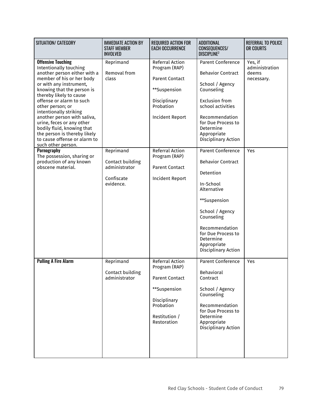| SITUATION/ CATEGORY                                                                                                                                                                                                                                                                                                                                                                                                                                                                                                                                         | <b>IMMEDIATE ACTION BY</b><br><b>STAFF MEMBER</b><br><b>INVOLVED</b>                                            | <b>REQUIRED ACTION FOR</b><br><b>EACH OCCURRENCE</b>                                                                                                                                                                    | <b>ADDITIONAL</b><br><b>CONSEQUENCES/</b><br><b>DISCIPLINE2</b>                                                                                                                                                                                                                                                                 | <b>REFERRAL TO POLICE</b><br>OR COURTS                  |
|-------------------------------------------------------------------------------------------------------------------------------------------------------------------------------------------------------------------------------------------------------------------------------------------------------------------------------------------------------------------------------------------------------------------------------------------------------------------------------------------------------------------------------------------------------------|-----------------------------------------------------------------------------------------------------------------|-------------------------------------------------------------------------------------------------------------------------------------------------------------------------------------------------------------------------|---------------------------------------------------------------------------------------------------------------------------------------------------------------------------------------------------------------------------------------------------------------------------------------------------------------------------------|---------------------------------------------------------|
| <b>Offensive Touching</b><br>Intentionally touching<br>another person either with a<br>member of his or her body<br>or with any instrument,<br>knowing that the person is<br>thereby likely to cause<br>offense or alarm to such<br>other person; or<br>intentionally striking<br>another person with saliva,<br>urine, feces or any other<br>bodily fluid, knowing that<br>the person is thereby likely<br>to cause offense or alarm to<br>such other person.<br>Pornography<br>The possession, sharing or<br>production of any known<br>obscene material. | Reprimand<br>Removal from<br>class<br>Reprimand<br>Contact building<br>administrator<br>Confiscate<br>evidence. | Referral Action<br>Program (RAP)<br><b>Parent Contact</b><br>**Suspension<br>Disciplinary<br>Probation<br>Incident Report<br><b>Referral Action</b><br>Program (RAP)<br><b>Parent Contact</b><br><b>Incident Report</b> | <b>Parent Conference</b><br><b>Behavior Contract</b><br>School / Agency<br>Counseling<br><b>Exclusion from</b><br>school activities<br>Recommendation<br>for Due Process to<br>Determine<br>Appropriate<br>Disciplinary Action<br><b>Parent Conference</b><br><b>Behavior Contract</b><br>Detention<br>In-School<br>Alternative | Yes, if<br>administration<br>deems<br>necessary.<br>Yes |
|                                                                                                                                                                                                                                                                                                                                                                                                                                                                                                                                                             |                                                                                                                 |                                                                                                                                                                                                                         | **Suspension<br>School / Agency<br>Counseling<br>Recommendation<br>for Due Process to<br>Determine<br>Appropriate<br>Disciplinary Action                                                                                                                                                                                        |                                                         |
| <b>Pulling A Fire Alarm</b>                                                                                                                                                                                                                                                                                                                                                                                                                                                                                                                                 | Reprimand<br>Contact building<br>administrator                                                                  | <b>Referral Action</b><br>Program (RAP)<br><b>Parent Contact</b><br>**Suspension<br>Disciplinary<br>Probation<br>Restitution /<br>Restoration                                                                           | <b>Parent Conference</b><br>Behavioral<br>Contract<br>School / Agency<br>Counseling<br>Recommendation<br>for Due Process to<br>Determine<br>Appropriate<br>Disciplinary Action                                                                                                                                                  | Yes                                                     |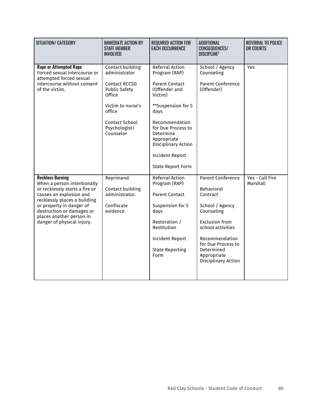| SITUATION/ CATEGORY                                                                                                                                                                                                                                                    | <b>IMMEDIATE ACTION BY</b><br><b>STAFF MEMBER</b><br><b>INVOLVED</b>                                                                                                       | <b>REQUIRED ACTION FOR</b><br><b>EACH OCCURRENCE</b>                                                                                                                                                                                                                        | <b>ADDITIONAL</b><br>CONSEQUENCES/<br><b>DISCIPLINE2</b>                                                                                                                                                                      | <b>REFERRAL TO POLICE</b><br>OR COURTS |
|------------------------------------------------------------------------------------------------------------------------------------------------------------------------------------------------------------------------------------------------------------------------|----------------------------------------------------------------------------------------------------------------------------------------------------------------------------|-----------------------------------------------------------------------------------------------------------------------------------------------------------------------------------------------------------------------------------------------------------------------------|-------------------------------------------------------------------------------------------------------------------------------------------------------------------------------------------------------------------------------|----------------------------------------|
| <b>Rape or Attempted Rape</b><br>Forced sexual intercourse or<br>attempted forced sexual<br>intercourse without consent<br>of the victim.                                                                                                                              | Contact building<br>administrator<br><b>Contact RCCSD</b><br><b>Public Safety</b><br>Office<br>Victim to nurse's<br>office<br>Contact School<br>Psychologist/<br>Counselor | <b>Referral Action</b><br>Program (RAP)<br><b>Parent Contact</b><br>(Offender and<br>Victim)<br>**Suspension for 5<br>days<br>Recommendation<br>for Due Process to<br>Determine<br>Appropriate<br>Disciplinary Action<br><b>Incident Report</b><br><b>State Report Form</b> | School / Agency<br>Counseling<br><b>Parent Conference</b><br>(Offender)                                                                                                                                                       | Yes                                    |
| <b>Reckless Burning</b><br>When a person intentionally<br>or recklessly starts a fire or<br>causes an explosion and<br>recklessly places a building<br>or property in danger of<br>destruction or damages or<br>places another person in<br>danger of physical injury. | Reprimand<br>Contact building<br>administrator.<br>Confiscate<br>evidence                                                                                                  | <b>Referral Action</b><br>Program (RAP)<br><b>Parent Contact</b><br>Suspension for 5<br>days<br>Restoration /<br>Restitution<br><b>Incident Report</b><br><b>State Reporting</b><br>Form                                                                                    | <b>Parent Conference</b><br>Behavioral<br>Contract<br>School / Agency<br>Counseling<br><b>Exclusion from</b><br>school activities<br>Recommendation<br>for Due Process to<br>Determined<br>Appropriate<br>Disciplinary Action | Yes - Call Fire<br>Marshall            |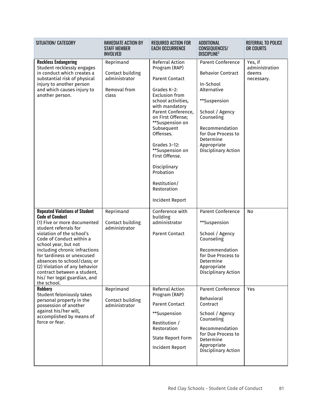| SITUATION/ CATEGORY                                                                                                                                                                                                                                                                                                                                                                                                                                                                                                                                                                                      | <b>IMMEDIATE ACTION BY</b><br><b>STAFF MEMBER</b><br><b>INVOLVED</b>                             | <b>REQUIRED ACTION FOR</b><br><b>EACH OCCURRENCE</b>                                                                                                                                                                                                                                                                                                                   | ADDITIONAL<br>CONSEQUENCES/<br><b>DISCIPLINE?</b>                                                                                                                                                                                                                                                                | REFERRAL TO POLICE<br>OR COURTS                  |
|----------------------------------------------------------------------------------------------------------------------------------------------------------------------------------------------------------------------------------------------------------------------------------------------------------------------------------------------------------------------------------------------------------------------------------------------------------------------------------------------------------------------------------------------------------------------------------------------------------|--------------------------------------------------------------------------------------------------|------------------------------------------------------------------------------------------------------------------------------------------------------------------------------------------------------------------------------------------------------------------------------------------------------------------------------------------------------------------------|------------------------------------------------------------------------------------------------------------------------------------------------------------------------------------------------------------------------------------------------------------------------------------------------------------------|--------------------------------------------------|
| <b>Reckless Endangering</b><br>Student recklessly engages<br>in conduct which creates a<br>substantial risk of physical<br>injury to another person<br>and which causes injury to<br>another person.                                                                                                                                                                                                                                                                                                                                                                                                     | Reprimand<br>Contact building<br>administrator<br>Removal from<br>class                          | Referral Action<br>Program (RAP)<br><b>Parent Contact</b><br>Grades K-2:<br><b>Exclusion from</b><br>school activities,<br>with mandatory<br>Parent Conference,<br>on First Offense;<br>**Suspension on<br>Subsequent<br>Offenses.<br>Grades 3-12:<br>**Suspension on<br>First Offense.<br>Disciplinary<br>Probation<br>Restitution/<br>Restoration<br>Incident Report | <b>Parent Conference</b><br><b>Behavior Contract</b><br>In-School<br>Alternative<br>**Suspension<br>School / Agency<br>Counseling<br>Recommendation<br>for Due Process to<br>Determine<br>Appropriate<br>Disciplinary Action                                                                                     | Yes, if<br>administration<br>deems<br>necessary. |
| <b>Repeated Violations of Student</b><br><b>Code of Conduct</b><br>(1) Five or more documented<br>student referrals for<br>violation of the school's<br>Code of Conduct within a<br>school year, but not<br>including chronic infractions<br>for tardiness or unexcused<br>absences to school/class; or<br>(2) Violation of any behavior<br>contract between a student,<br>his/ her legal guardian, and<br>the school.<br><b>Robbery</b><br><b>Student feloniously takes</b><br>personal property in the<br>possession of another<br>against his/her will,<br>accomplished by means of<br>force or fear. | Reprimand<br>Contact building<br>administrator<br>Reprimand<br>Contact building<br>administrator | Conference with<br>building<br>administrator<br><b>Parent Contact</b><br>Referral Action<br>Program (RAP)<br><b>Parent Contact</b><br>**Suspension<br>Restitution /<br>Restoration<br><b>State Report Form</b>                                                                                                                                                         | <b>Parent Conference</b><br>**Suspension<br>School / Agency<br>Counseling<br>Recommendation<br>for Due Process to<br>Determine<br>Appropriate<br>Disciplinary Action<br><b>Parent Conference</b><br>Behavioral<br>Contract<br>School / Agency<br>Counseling<br>Recommendation<br>for Due Process to<br>Determine | No<br>Yes                                        |
|                                                                                                                                                                                                                                                                                                                                                                                                                                                                                                                                                                                                          |                                                                                                  | <b>Incident Report</b>                                                                                                                                                                                                                                                                                                                                                 | Appropriate<br>Disciplinary Action                                                                                                                                                                                                                                                                               |                                                  |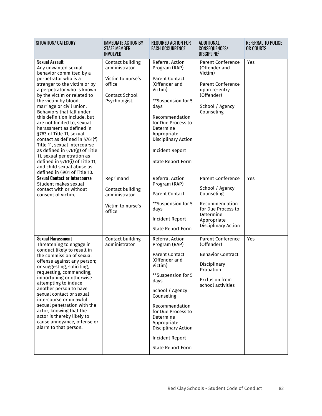| SITUATION/ CATEGORY                                                                                                                                                                                                                                                                                                                                                                                                                                                                                                                                                                                                                 | <b>IMMEDIATE ACTION BY</b><br><b>STAFF MEMBER</b><br><b>INVOLVED</b>                                       | <b>REQUIRED ACTION FOR</b><br><b>EACH OCCURRENCE</b>                                                                                                                                                                                                                                                         | ADDITIONAL<br><b>CONSEQUENCES/</b><br><b>DISCIPLINE</b> <sup>2</sup>                                                                                 | REFERRAL TO POLICE<br>OR COURTS |
|-------------------------------------------------------------------------------------------------------------------------------------------------------------------------------------------------------------------------------------------------------------------------------------------------------------------------------------------------------------------------------------------------------------------------------------------------------------------------------------------------------------------------------------------------------------------------------------------------------------------------------------|------------------------------------------------------------------------------------------------------------|--------------------------------------------------------------------------------------------------------------------------------------------------------------------------------------------------------------------------------------------------------------------------------------------------------------|------------------------------------------------------------------------------------------------------------------------------------------------------|---------------------------------|
| <b>Sexual Assault</b><br>Any unwanted sexual<br>behavior committed by a<br>perpetrator who is a<br>stranger to the victim or by<br>a perpetrator who is known<br>by the victim or related to<br>the victim by blood,<br>marriage or civil union.<br>Behaviors that fall under<br>this definition include, but<br>are not limited to, sexual<br>harassment as defined in<br>§763 of Title 11, sexual<br>contact as defined in §761(f)<br>Title 11, sexual intercourse<br>as defined in §761(g) of Title<br>11, sexual penetration as<br>defined in §761(i) of Title 11,<br>and child sexual abuse as<br>defined in §901 of Title 10. | Contact building<br>administrator<br>Victim to nurse's<br>office<br><b>Contact School</b><br>Psychologist. | Referral Action<br>Program (RAP)<br><b>Parent Contact</b><br>(Offender and<br>Victim)<br>**Suspension for 5<br>days<br>Recommendation<br>for Due Process to<br>Determine<br>Appropriate<br>Disciplinary Action<br>Incident Report<br><b>State Report Form</b>                                                | <b>Parent Conference</b><br>(Offender and<br>Victim)<br><b>Parent Conference</b><br>upon re-entry<br>(Offender)<br>School / Agency<br>Counseling     | Yes                             |
| <b>Sexual Contact or Intercourse</b><br>Student makes sexual<br>contact with or without<br>consent of victim.                                                                                                                                                                                                                                                                                                                                                                                                                                                                                                                       | Reprimand<br>Contact building<br>administrator<br>Victim to nurse's<br>office                              | Referral Action<br>Program (RAP)<br><b>Parent Contact</b><br>**Suspension for 5<br>days<br><b>Incident Report</b><br><b>State Report Form</b>                                                                                                                                                                | <b>Parent Conference</b><br>School / Agency<br>Counseling<br>Recommendation<br>for Due Process to<br>Determine<br>Appropriate<br>Disciplinary Action | Yes                             |
| <b>Sexual Harassment</b><br>Threatening to engage in<br>conduct likely to result in<br>the commission of sexual<br>offense against any person;<br>or suggesting, soliciting,<br>requesting, commanding,<br>importuning or otherwise<br>attempting to induce<br>another person to have<br>sexual contact or sexual<br>intercourse or unlawful<br>sexual penetration with the<br>actor, knowing that the<br>actor is thereby likely to<br>cause annoyance, offense or<br>alarm to that person.                                                                                                                                        | Contact building<br>administrator                                                                          | <b>Referral Action</b><br>Program (RAP)<br><b>Parent Contact</b><br>(Offender and<br>Victim)<br>**Suspension for 5<br>days<br>School / Agency<br>Counseling<br>Recommendation<br>for Due Process to<br>Determine<br>Appropriate<br>Disciplinary Action<br><b>Incident Report</b><br><b>State Report Form</b> | <b>Parent Conference</b><br>(Offender)<br><b>Behavior Contract</b><br>Disciplinary<br>Probation<br><b>Exclusion from</b><br>school activities        | Yes                             |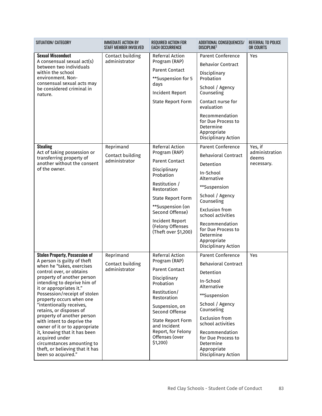| SITUATION/ CATEGORY                                                                                                                                                                                                                                                                                                                                                                                                                                                                                                                                                            | <b>IMMEDIATE ACTION BY</b><br><b>STAFF MEMBER INVOLVED</b> | <b>REQUIRED ACTION FOR</b><br><b>EACH OCCURRENCE</b>                                                                                                                                                                                                      | ADDITIONAL CONSEQUENCES/<br><b>DISCIPLINE2</b>                                                                                                                                                                                                                                            | <b>REFERRAL TO POLICE</b><br>OR COURTS           |
|--------------------------------------------------------------------------------------------------------------------------------------------------------------------------------------------------------------------------------------------------------------------------------------------------------------------------------------------------------------------------------------------------------------------------------------------------------------------------------------------------------------------------------------------------------------------------------|------------------------------------------------------------|-----------------------------------------------------------------------------------------------------------------------------------------------------------------------------------------------------------------------------------------------------------|-------------------------------------------------------------------------------------------------------------------------------------------------------------------------------------------------------------------------------------------------------------------------------------------|--------------------------------------------------|
| <b>Sexual Misconduct</b><br>A consensual sexual act(s)<br>between two individuals<br>within the school<br>environment. Non-<br>consensual sexual acts may<br>be considered criminal in<br>nature.                                                                                                                                                                                                                                                                                                                                                                              | Contact building<br>administrator                          | <b>Referral Action</b><br>Program (RAP)<br><b>Parent Contact</b><br>**Suspension for 5<br>days<br><b>Incident Report</b><br><b>State Report Form</b>                                                                                                      | <b>Parent Conference</b><br><b>Behavior Contract</b><br>Disciplinary<br>Probation<br>School / Agency<br>Counseling<br>Contact nurse for<br>evaluation<br>Recommendation<br>for Due Process to<br>Determine<br>Appropriate<br>Disciplinary Action                                          | Yes                                              |
| <b>Stealing</b><br>Act of taking possession or<br>transferring property of<br>another without the consent<br>of the owner.                                                                                                                                                                                                                                                                                                                                                                                                                                                     | Reprimand<br>Contact building<br>administrator             | Referral Action<br>Program (RAP)<br><b>Parent Contact</b><br>Disciplinary<br>Probation<br>Restitution /<br>Restoration<br><b>State Report Form</b><br>**Suspension (on<br>Second Offense)<br>Incident Report<br>(Felony Offenses<br>(Theft over \$1,200)  | <b>Parent Conference</b><br><b>Behavioral Contract</b><br>Detention<br>In-School<br>Alternative<br>**Suspension<br>School / Agency<br>Counseling<br><b>Exclusion from</b><br>school activities<br>Recommendation<br>for Due Process to<br>Determine<br>Appropriate<br>Disciplinary Action | Yes, if<br>administration<br>deems<br>necessary. |
| <b>Stolen Property, Possession of</b><br>A person is guilty of theft<br>when he "takes, exercises<br>control over, or obtains<br>property of another person<br>intending to deprive him of<br>it or appropriates it."<br>Possession/receipt of stolen<br>property occurs when one<br>"intentionally receives,<br>retains, or disposes of<br>property of another person<br>with intent to deprive the<br>owner of it or to appropriate<br>it, knowing that it has been<br>acquired under<br>circumstances amounting to<br>theft, or believing that it has<br>been so acquired." | Reprimand<br>Contact building<br>administrator             | Referral Action<br>Program (RAP)<br><b>Parent Contact</b><br>Disciplinary<br>Probation<br>Restitution/<br>Restoration<br>Suspension, on<br>Second Offense<br><b>State Report Form</b><br>and Incident<br>Report, for Felony<br>Offenses (over<br>\$1,200) | <b>Parent Conference</b><br><b>Behavioral Contract</b><br>Detention<br>In-School<br>Alternative<br>**Suspension<br>School / Agency<br>Counseling<br><b>Exclusion from</b><br>school activities<br>Recommendation<br>for Due Process to<br>Determine<br>Appropriate<br>Disciplinary Action | Yes                                              |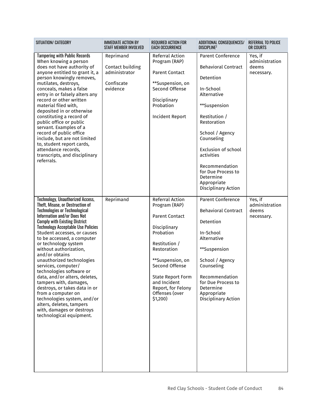| SITUATION/ CATEGORY                                                                                                                                                                                                                                                                                                                                                                                                                                                                                                                                                                                                                                                                            | <b>IMMEDIATE ACTION BY</b><br><b>STAFF MEMBER INVOLVED</b>               | <b>REQUIRED ACTION FOR</b><br><b>EACH OCCURRENCE</b>                                                                                                                                                                                                         | ADDITIONAL CONSEQUENCES/<br><b>DISCIPLINE?</b>                                                                                                                                                                                                                                                                          | <b>REFERRAL TO POLICE</b><br>OR COURTS           |
|------------------------------------------------------------------------------------------------------------------------------------------------------------------------------------------------------------------------------------------------------------------------------------------------------------------------------------------------------------------------------------------------------------------------------------------------------------------------------------------------------------------------------------------------------------------------------------------------------------------------------------------------------------------------------------------------|--------------------------------------------------------------------------|--------------------------------------------------------------------------------------------------------------------------------------------------------------------------------------------------------------------------------------------------------------|-------------------------------------------------------------------------------------------------------------------------------------------------------------------------------------------------------------------------------------------------------------------------------------------------------------------------|--------------------------------------------------|
| <b>Tampering with Public Records</b><br>When knowing a person<br>does not have authority of<br>anyone entitled to grant it, a<br>person knowingly removes,<br>mutilates, destroys,<br>conceals, makes a false<br>entry in or falsely alters any<br>record or other written<br>material filed with.<br>deposited in or otherwise<br>constituting a record of<br>public office or public<br>servant. Examples of a<br>record of public office<br>include, but are not limited<br>to, student report cards,<br>attendance records,<br>transcripts, and disciplinary<br>referrals.                                                                                                                 | Reprimand<br>Contact building<br>administrator<br>Confiscate<br>evidence | Referral Action<br>Program (RAP)<br><b>Parent Contact</b><br>**Suspension, on<br>Second Offense<br>Disciplinary<br>Probation<br>Incident Report                                                                                                              | <b>Parent Conference</b><br><b>Behavioral Contract</b><br>Detention<br>In-School<br>Alternative<br>**Suspension<br>Restitution /<br>Restoration<br>School / Agency<br>Counseling<br><b>Exclusion of school</b><br>activities<br>Recommendation<br>for Due Process to<br>Determine<br>Appropriate<br>Disciplinary Action | Yes, if<br>administration<br>deems<br>necessary. |
| <b>Technology, Unauthorized Access,</b><br>Theft, Misuse, or Destruction of<br><b>Technologies or Technological</b><br>Information and/or Does Not<br><b>Comply with Existing District</b><br><b>Technology Acceptable Use Policies</b><br>Student accesses, or causes<br>to be accessed, a computer<br>or technology system<br>without authorization,<br>and/or obtains<br>unauthorized technologies<br>services, computer/<br>technologies software or<br>data, and/or alters, deletes,<br>tampers with, damages,<br>destroys, or takes data in or<br>from a computer on<br>technologies system, and/or<br>alters, deletes, tampers<br>with, damages or destroys<br>technological equipment. | Reprimand                                                                | Referral Action<br>Program (RAP)<br><b>Parent Contact</b><br>Disciplinary<br>Probation<br>Restitution /<br>Restoration<br>**Suspension, on<br>Second Offense<br><b>State Report Form</b><br>and Incident<br>Report, for Felony<br>Offenses (over<br>\$1,200) | <b>Parent Conference</b><br><b>Behavioral Contract</b><br>Detention<br>In-School<br>Alternative<br>**Suspension<br>School / Agency<br>Counseling<br>Recommendation<br>for Due Process to<br>Determine<br>Appropriate<br>Disciplinary Action                                                                             | Yes, if<br>administration<br>deems<br>necessary. |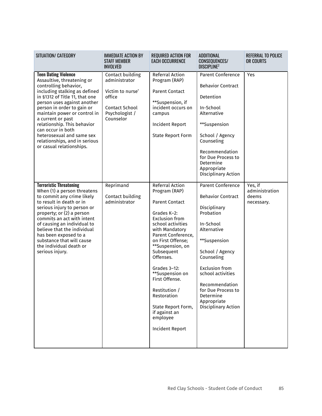| SITUATION/ CATEGORY                                                                                                                                                                                                                                                                                                                                                                                                   | <b>IMMEDIATE ACTION BY</b><br><b>STAFF MEMBER</b><br><b>INVOLVED</b>                                                    | <b>REQUIRED ACTION FOR</b><br><b>EACH OCCURRENCE</b>                                                                                                                                                                                                                                                                                                                                                        | ADDITIONAL<br><b>CONSEQUENCES/</b><br><b>DISCIPLINE?</b>                                                                                                                                                                                                                                                | REFERRAL TO POLICE<br><b>OR COURTS</b>           |
|-----------------------------------------------------------------------------------------------------------------------------------------------------------------------------------------------------------------------------------------------------------------------------------------------------------------------------------------------------------------------------------------------------------------------|-------------------------------------------------------------------------------------------------------------------------|-------------------------------------------------------------------------------------------------------------------------------------------------------------------------------------------------------------------------------------------------------------------------------------------------------------------------------------------------------------------------------------------------------------|---------------------------------------------------------------------------------------------------------------------------------------------------------------------------------------------------------------------------------------------------------------------------------------------------------|--------------------------------------------------|
| <b>Teen Dating Violence</b><br>Assaultive, threatening or<br>controlling behavior,<br>including stalking as defined<br>in §1312 of Title 11, that one<br>person uses against another<br>person in order to gain or<br>maintain power or control in<br>a current or past<br>relationship. This behavior<br>can occur in both<br>heterosexual and same sex<br>relationships, and in serious<br>or casual relationships. | Contact building<br>administrator<br>Victim to nurse'<br>office<br><b>Contact School</b><br>Psychologist /<br>Counselor | Referral Action<br>Program (RAP)<br><b>Parent Contact</b><br>**Suspension, if<br>incident occurs on<br>campus<br>Incident Report<br><b>State Report Form</b>                                                                                                                                                                                                                                                | <b>Parent Conference</b><br><b>Behavior Contract</b><br>Detention<br>In-School<br>Alternative<br>**Suspension<br>School / Agency<br>Counseling<br>Recommendation<br>for Due Process to<br>Determine<br>Appropriate<br>Disciplinary Action                                                               | Yes                                              |
| <b>Terroristic Threatening</b><br>When (1) a person threatens<br>to commit any crime likely<br>to result in death or in<br>serious injury to person or<br>property; or (2) a person<br>commits an act with intent<br>of causing an individual to<br>believe that the individual<br>has been exposed to a<br>substance that will cause<br>the individual death or<br>serious injury.                                   | Reprimand<br>Contact building<br>administrator                                                                          | <b>Referral Action</b><br>Program (RAP)<br><b>Parent Contact</b><br>Grades K-2:<br><b>Exclusion from</b><br>school activities<br>with Mandatory<br>Parent Conference,<br>on First Offense;<br>**Suspension, on<br>Subsequent<br>Offenses.<br>Grades 3-12:<br>**Suspension on<br>First Offense.<br>Restitution /<br>Restoration<br>State Report Form,<br>if against an<br>employee<br><b>Incident Report</b> | <b>Parent Conference</b><br><b>Behavior Contract</b><br>Disciplinary<br>Probation<br>In-School<br>Alternative<br>**Suspension<br>School / Agency<br>Counseling<br><b>Exclusion from</b><br>school activities<br>Recommendation<br>for Due Process to<br>Determine<br>Appropriate<br>Disciplinary Action | Yes, if<br>administration<br>deems<br>necessary. |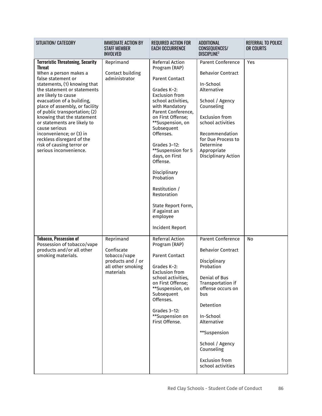| SITUATION/ CATEGORY                                                                                                                                                                                                                                                                                                                                                                                                                                                                          | <b>IMMEDIATE ACTION BY</b><br><b>STAFF MEMBER</b><br><b>INVOLVED</b>                           | <b>REQUIRED ACTION FOR</b><br><b>EACH OCCURRENCE</b>                                                                                                                                                                                                                                                                                                                                                                                          | <b>ADDITIONAL</b><br>CONSEQUENCES/<br><b>DISCIPLINE</b> <sup>2</sup>                                                                                                                                                                                                                        | REFERRAL TO POLICE<br>OR COURTS |
|----------------------------------------------------------------------------------------------------------------------------------------------------------------------------------------------------------------------------------------------------------------------------------------------------------------------------------------------------------------------------------------------------------------------------------------------------------------------------------------------|------------------------------------------------------------------------------------------------|-----------------------------------------------------------------------------------------------------------------------------------------------------------------------------------------------------------------------------------------------------------------------------------------------------------------------------------------------------------------------------------------------------------------------------------------------|---------------------------------------------------------------------------------------------------------------------------------------------------------------------------------------------------------------------------------------------------------------------------------------------|---------------------------------|
| <b>Terroristic Threatening, Security</b><br><b>Threat</b><br>When a person makes a<br>false statement or<br>statements, (1) knowing that<br>the statement or statements<br>are likely to cause<br>evacuation of a building,<br>place of assembly, or facility<br>of public transportation; (2)<br>knowing that the statement<br>or statements are likely to<br>cause serious<br>inconvenience; or (3) in<br>reckless disregard of the<br>risk of causing terror or<br>serious inconvenience. | Reprimand<br>Contact building<br>administrator                                                 | Referral Action<br>Program (RAP)<br><b>Parent Contact</b><br>Grades K-2:<br><b>Exclusion from</b><br>school activities,<br>with Mandatory<br>Parent Conference,<br>on First Offense;<br>**Suspension, on<br>Subsequent<br>Offenses.<br>Grades $3-12$ :<br>**Suspension for 5<br>days, on First<br>Offense.<br>Disciplinary<br>Probation<br>Restitution /<br>Restoration<br>State Report Form,<br>if against an<br>employee<br>Incident Report | <b>Parent Conference</b><br><b>Behavior Contract</b><br>In-School<br>Alternative<br>School / Agency<br>Counseling<br><b>Exclusion from</b><br>school activities<br>Recommendation<br>for Due Process to<br>Determine<br>Appropriate<br>Disciplinary Action                                  | Yes                             |
| <b>Tobacco, Possession of</b><br>Possession of tobacco/vape<br>products and/or all other<br>smoking materials.                                                                                                                                                                                                                                                                                                                                                                               | Reprimand<br>Confiscate<br>tobacco/vape<br>products and / or<br>all other smoking<br>materials | <b>Referral Action</b><br>Program (RAP)<br><b>Parent Contact</b><br>Grades K-2:<br><b>Exclusion from</b><br>school activities,<br>on First Offense;<br>**Suspension, on<br>Subsequent<br>Offenses.<br>Grades 3-12:<br>**Suspension on<br>First Offense.                                                                                                                                                                                       | <b>Parent Conference</b><br><b>Behavior Contract</b><br>Disciplinary<br>Probation<br>Denial of Bus<br>Transportation if<br>offense occurs on<br>bus<br>Detention<br>In-School<br>Alternative<br>**Suspension<br>School / Agency<br>Counseling<br><b>Exclusion from</b><br>school activities | No                              |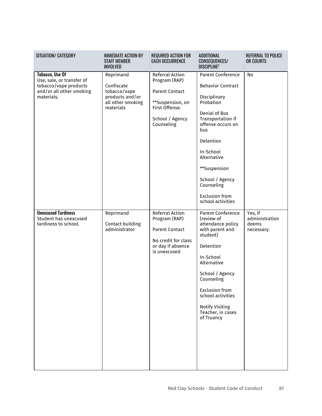| SITUATION/ CATEGORY                                                                                                    | <b>IMMEDIATE ACTION BY</b><br><b>STAFF MEMBER</b><br><b>INVOLVED</b>                         | <b>REQUIRED ACTION FOR</b><br><b>EACH OCCURRENCE</b>                                                                             | <b>ADDITIONAL</b><br>CONSEQUENCES/<br><b>DISCIPLINE</b> <sup>2</sup>                                                                                                                                                                                                                        | <b>REFERRAL TO POLICE</b><br>OR COURTS           |
|------------------------------------------------------------------------------------------------------------------------|----------------------------------------------------------------------------------------------|----------------------------------------------------------------------------------------------------------------------------------|---------------------------------------------------------------------------------------------------------------------------------------------------------------------------------------------------------------------------------------------------------------------------------------------|--------------------------------------------------|
| <b>Tobacco, Use Of</b><br>Use, sale, or transfer of<br>tobacco/vape products<br>and/or all other smoking<br>materials. | Reprimand<br>Confiscate<br>tobacco/vape<br>products and/or<br>all other smoking<br>materials | Referral Action<br>Program (RAP)<br><b>Parent Contact</b><br>**Suspension, on<br>First Offense.<br>School / Agency<br>Counseling | <b>Parent Conference</b><br><b>Behavior Contract</b><br>Disciplinary<br>Probation<br>Denial of Bus<br>Transportation if<br>offense occurs on<br>bus<br>Detention<br>In-School<br>Alternative<br>**Suspension<br>School / Agency<br>Counseling<br><b>Exclusion from</b><br>school activities | No                                               |
| <b>Unexcused Tardiness</b><br>Student has unexcused<br>tardiness to school.                                            | Reprimand<br>Contact building<br>administrator                                               | Referral Action<br>Program (RAP)<br><b>Parent Contact</b><br>No credit for class<br>or day if absence<br>is unexcused            | <b>Parent Conference</b><br>(review of<br>attendance policy<br>with parent and<br>student)<br>Detention<br>In-School<br>Alternative<br>School / Agency<br>Counseling<br><b>Exclusion from</b><br>school activities<br><b>Notify Visiting</b><br>Teacher, in cases<br>of Truancy             | Yes, if<br>administration<br>deems<br>necessary. |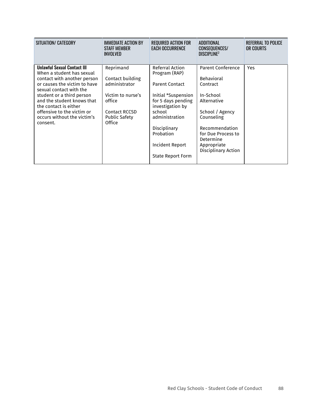| SITUATION/ CATEGORY                                                                                                                                                                                                                                                                                                    | IMMEDIATE ACTION BY<br><b>STAFF MEMBER</b><br><b>INVOLVED</b>                                                                           | <b>REQUIRED ACTION FOR</b><br><b>EACH OCCURRENCE</b>                                                                                                                                                                        | ADDITIONAL<br><b>CONSEQUENCES/</b><br><b>DISCIPLINE?</b>                                                                                                                                                          | REFERRAL TO POLICE<br>OR COURTS |
|------------------------------------------------------------------------------------------------------------------------------------------------------------------------------------------------------------------------------------------------------------------------------------------------------------------------|-----------------------------------------------------------------------------------------------------------------------------------------|-----------------------------------------------------------------------------------------------------------------------------------------------------------------------------------------------------------------------------|-------------------------------------------------------------------------------------------------------------------------------------------------------------------------------------------------------------------|---------------------------------|
| <b>Unlawful Sexual Contact III</b><br>When a student has sexual<br>contact with another person<br>or causes the victim to have<br>sexual contact with the<br>student or a third person<br>and the student knows that<br>the contact is either<br>offensive to the victim or<br>occurs without the victim's<br>consent. | Reprimand<br>Contact building<br>administrator<br>Victim to nurse's<br>office<br><b>Contact RCCSD</b><br><b>Public Safety</b><br>Office | Referral Action<br>Program (RAP)<br><b>Parent Contact</b><br>Initial *Suspension<br>for 5 days pending<br>investigation by<br>school<br>administration<br>Disciplinary<br>Probation<br>Incident Report<br>State Report Form | <b>Parent Conference</b><br><b>Behavioral</b><br>Contract<br>In-School<br>Alternative<br>School / Agency<br>Counseling<br>Recommendation<br>for Due Process to<br>Determine<br>Appropriate<br>Disciplinary Action | Yes                             |